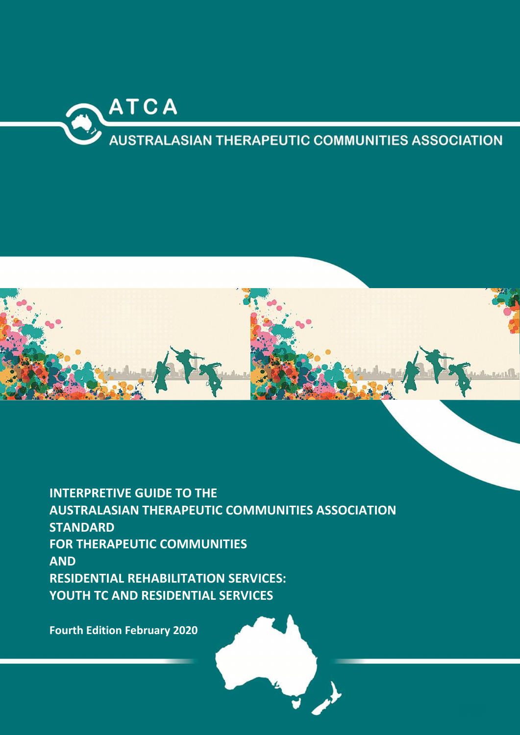

# **AUSTRALASIAN THERAPEUTIC COMMUNITIES ASSOCIATION**



INTERPRETIVE GUIDE TO THE AUSTRALASIAN THERAPEUTIC COMMUNITIES ASSOCIATION **STANDARD** FOR THERAPEUTIC COMMUNITIES AND RESIDENTIAL REHABILITATION SERVICES: YOUTH TC AND RESIDENTIAL SERVICES

Fourth Edition February 2020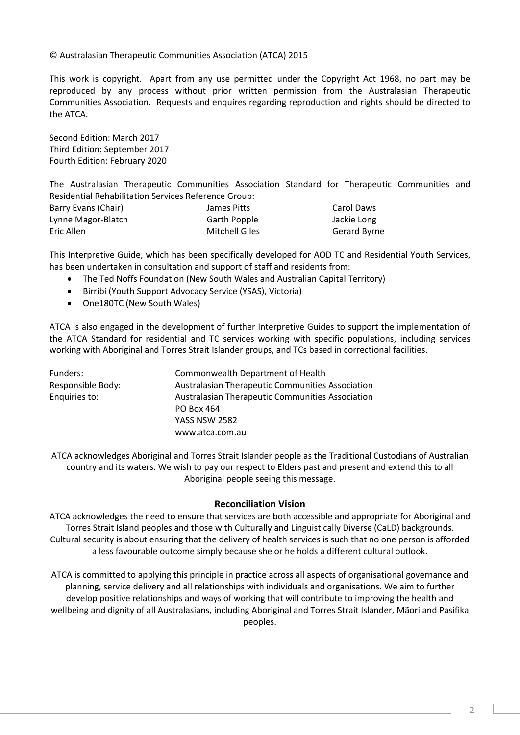#### © Australasian Therapeutic Communities Association (ATCA) 2015

This work is copyright. Apart from any use permitted under the Copyright Act 1968, no part may be reproduced by any process without prior written permission from the Australasian Therapeutic Communities Association. Requests and enquires regarding reproduction and rights should be directed to the ATCA.

Second Edition: March 2017 Third Edition: September 2017 Fourth Edition: February 2020

The Australasian Therapeutic Communities Association Standard for Therapeutic Communities and Residential Rehabilitation Services Reference Group:

| Barry Evans (Chair) | James Pitts    | Carol Daws   |
|---------------------|----------------|--------------|
| Lynne Magor-Blatch  | Garth Popple   | Jackie Long  |
| Eric Allen          | Mitchell Giles | Gerard Byrne |

This Interpretive Guide, which has been specifically developed for AOD TC and Residential Youth Services, has been undertaken in consultation and support of staff and residents from:

- The Ted Noffs Foundation (New South Wales and Australian Capital Territory)
- Birribi (Youth Support Advocacy Service (YSAS), Victoria)
- One180TC (New South Wales)

ATCA is also engaged in the development of further Interpretive Guides to support the implementation of the ATCA Standard for residential and TC services working with specific populations, including services working with Aboriginal and Torres Strait Islander groups, and TCs based in correctional facilities.

| Funders:          | Commonwealth Department of Health                |
|-------------------|--------------------------------------------------|
| Responsible Body: | Australasian Therapeutic Communities Association |
| Enquiries to:     | Australasian Therapeutic Communities Association |
|                   | PO Box 464                                       |
|                   | <b>YASS NSW 2582</b>                             |
|                   | www.atca.com.au                                  |

ATCA acknowledges Aboriginal and Torres Strait Islander people as the Traditional Custodians of Australian country and its waters. We wish to pay our respect to Elders past and present and extend this to all Aboriginal people seeing this message.

#### Reconciliation Vision

ATCA acknowledges the need to ensure that services are both accessible and appropriate for Aboriginal and Torres Strait Island peoples and those with Culturally and Linguistically Diverse (CaLD) backgrounds. Cultural security is about ensuring that the delivery of health services is such that no one person is afforded a less favourable outcome simply because she or he holds a different cultural outlook.

ATCA is committed to applying this principle in practice across all aspects of organisational governance and planning, service delivery and all relationships with individuals and organisations. We aim to further develop positive relationships and ways of working that will contribute to improving the health and wellbeing and dignity of all Australasians, including Aboriginal and Torres Strait Islander, Mãori and Pasifika peoples.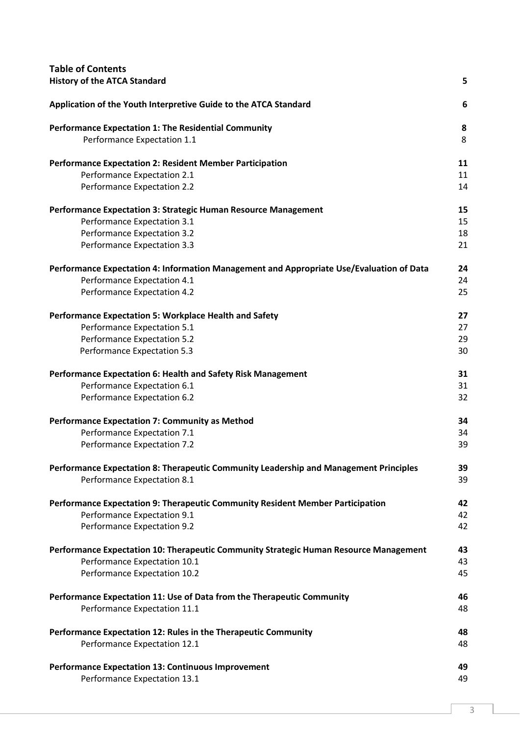| <b>Table of Contents</b><br><b>History of the ATCA Standard</b>                          | 5  |
|------------------------------------------------------------------------------------------|----|
| Application of the Youth Interpretive Guide to the ATCA Standard                         | 6  |
| <b>Performance Expectation 1: The Residential Community</b>                              | 8  |
| Performance Expectation 1.1                                                              | 8  |
| <b>Performance Expectation 2: Resident Member Participation</b>                          | 11 |
| Performance Expectation 2.1                                                              | 11 |
| Performance Expectation 2.2                                                              | 14 |
| Performance Expectation 3: Strategic Human Resource Management                           | 15 |
| Performance Expectation 3.1                                                              | 15 |
| Performance Expectation 3.2                                                              | 18 |
| Performance Expectation 3.3                                                              | 21 |
| Performance Expectation 4: Information Management and Appropriate Use/Evaluation of Data | 24 |
| Performance Expectation 4.1                                                              | 24 |
| Performance Expectation 4.2                                                              | 25 |
| <b>Performance Expectation 5: Workplace Health and Safety</b>                            | 27 |
| Performance Expectation 5.1                                                              | 27 |
| Performance Expectation 5.2                                                              | 29 |
| Performance Expectation 5.3                                                              | 30 |
| Performance Expectation 6: Health and Safety Risk Management                             | 31 |
| Performance Expectation 6.1                                                              | 31 |
| Performance Expectation 6.2                                                              | 32 |
| <b>Performance Expectation 7: Community as Method</b>                                    | 34 |
| Performance Expectation 7.1                                                              | 34 |
| Performance Expectation 7.2                                                              | 39 |
| Performance Expectation 8: Therapeutic Community Leadership and Management Principles    | 39 |
| Performance Expectation 8.1                                                              | 39 |
| Performance Expectation 9: Therapeutic Community Resident Member Participation           | 42 |
| Performance Expectation 9.1                                                              | 42 |
| Performance Expectation 9.2                                                              | 42 |
| Performance Expectation 10: Therapeutic Community Strategic Human Resource Management    | 43 |
| Performance Expectation 10.1                                                             | 43 |
| Performance Expectation 10.2                                                             | 45 |
| Performance Expectation 11: Use of Data from the Therapeutic Community                   | 46 |
| Performance Expectation 11.1                                                             | 48 |
| Performance Expectation 12: Rules in the Therapeutic Community                           | 48 |
| Performance Expectation 12.1                                                             | 48 |
| <b>Performance Expectation 13: Continuous Improvement</b>                                | 49 |
| Performance Expectation 13.1                                                             | 49 |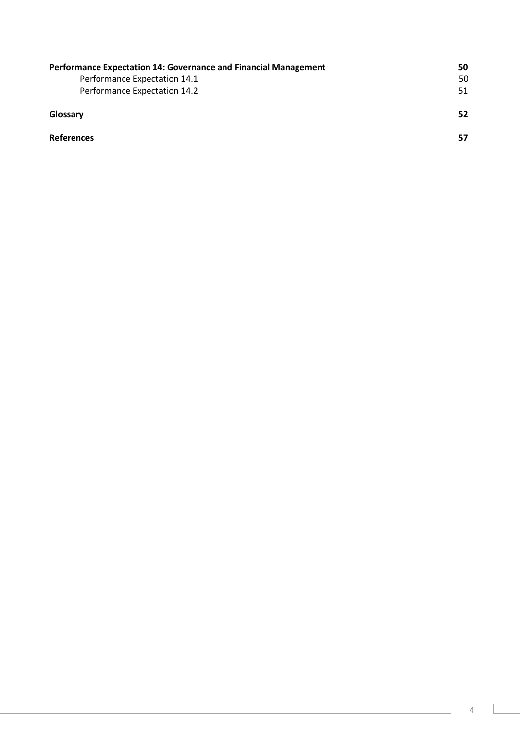| Performance Expectation 14: Governance and Financial Management | 50 |
|-----------------------------------------------------------------|----|
| Performance Expectation 14.1                                    | 50 |
| Performance Expectation 14.2                                    | 51 |
| Glossary                                                        | 52 |
| <b>References</b>                                               | 57 |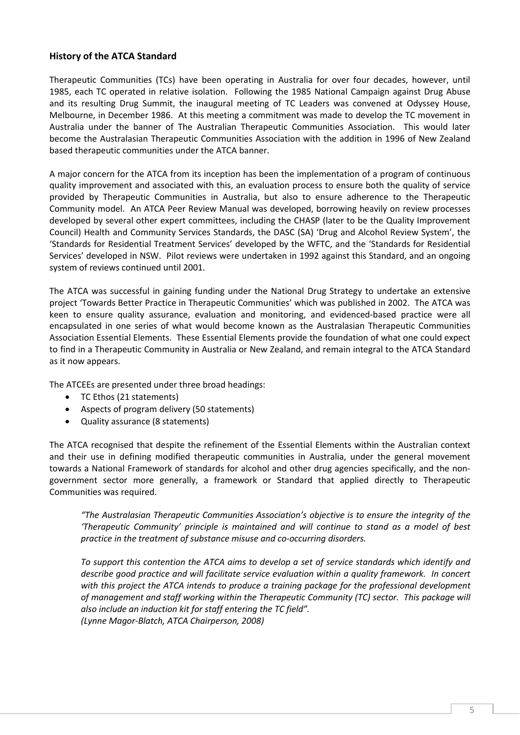## History of the ATCA Standard

Therapeutic Communities (TCs) have been operating in Australia for over four decades, however, until 1985, each TC operated in relative isolation. Following the 1985 National Campaign against Drug Abuse and its resulting Drug Summit, the inaugural meeting of TC Leaders was convened at Odyssey House, Melbourne, in December 1986. At this meeting a commitment was made to develop the TC movement in Australia under the banner of The Australian Therapeutic Communities Association. This would later become the Australasian Therapeutic Communities Association with the addition in 1996 of New Zealand based therapeutic communities under the ATCA banner.

A major concern for the ATCA from its inception has been the implementation of a program of continuous quality improvement and associated with this, an evaluation process to ensure both the quality of service provided by Therapeutic Communities in Australia, but also to ensure adherence to the Therapeutic Community model. An ATCA Peer Review Manual was developed, borrowing heavily on review processes developed by several other expert committees, including the CHASP (later to be the Quality Improvement Council) Health and Community Services Standards, the DASC (SA) 'Drug and Alcohol Review System', the 'Standards for Residential Treatment Services' developed by the WFTC, and the 'Standards for Residential Services' developed in NSW. Pilot reviews were undertaken in 1992 against this Standard, and an ongoing system of reviews continued until 2001.

The ATCA was successful in gaining funding under the National Drug Strategy to undertake an extensive project 'Towards Better Practice in Therapeutic Communities' which was published in 2002. The ATCA was keen to ensure quality assurance, evaluation and monitoring, and evidenced-based practice were all encapsulated in one series of what would become known as the Australasian Therapeutic Communities Association Essential Elements. These Essential Elements provide the foundation of what one could expect to find in a Therapeutic Community in Australia or New Zealand, and remain integral to the ATCA Standard as it now appears.

The ATCEEs are presented under three broad headings:

- TC Ethos (21 statements)
- Aspects of program delivery (50 statements)
- Quality assurance (8 statements)

The ATCA recognised that despite the refinement of the Essential Elements within the Australian context and their use in defining modified therapeutic communities in Australia, under the general movement towards a National Framework of standards for alcohol and other drug agencies specifically, and the nongovernment sector more generally, a framework or Standard that applied directly to Therapeutic Communities was required.

*"The Australasian Therapeutic Communities Association's objective is to ensure the integrity of the 'Therapeutic Community' principle is maintained and will continue to stand as a model of best practice in the treatment of substance misuse and co-occurring disorders.* 

*To support this contention the ATCA aims to develop a set of service standards which identify and describe good practice and will facilitate service evaluation within a quality framework. In concert with this project the ATCA intends to produce a training package for the professional development of management and staff working within the Therapeutic Community (TC) sector. This package will also include an induction kit for staff entering the TC field". (Lynne Magor-Blatch, ATCA Chairperson, 2008)*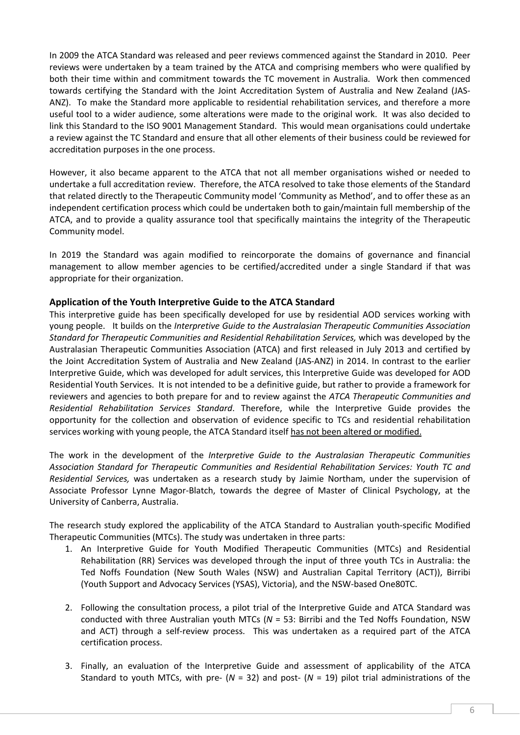In 2009 the ATCA Standard was released and peer reviews commenced against the Standard in 2010. Peer reviews were undertaken by a team trained by the ATCA and comprising members who were qualified by both their time within and commitment towards the TC movement in Australia. Work then commenced towards certifying the Standard with the Joint Accreditation System of Australia and New Zealand (JAS-ANZ). To make the Standard more applicable to residential rehabilitation services, and therefore a more useful tool to a wider audience, some alterations were made to the original work. It was also decided to link this Standard to the ISO 9001 Management Standard. This would mean organisations could undertake a review against the TC Standard and ensure that all other elements of their business could be reviewed for accreditation purposes in the one process.

However, it also became apparent to the ATCA that not all member organisations wished or needed to undertake a full accreditation review. Therefore, the ATCA resolved to take those elements of the Standard that related directly to the Therapeutic Community model 'Community as Method', and to offer these as an independent certification process which could be undertaken both to gain/maintain full membership of the ATCA, and to provide a quality assurance tool that specifically maintains the integrity of the Therapeutic Community model.

In 2019 the Standard was again modified to reincorporate the domains of governance and financial management to allow member agencies to be certified/accredited under a single Standard if that was appropriate for their organization.

## Application of the Youth Interpretive Guide to the ATCA Standard

This interpretive guide has been specifically developed for use by residential AOD services working with young people. It builds on the *Interpretive Guide to the Australasian Therapeutic Communities Association Standard for Therapeutic Communities and Residential Rehabilitation Services,* which was developed by the Australasian Therapeutic Communities Association (ATCA) and first released in July 2013 and certified by the Joint Accreditation System of Australia and New Zealand (JAS-ANZ) in 2014. In contrast to the earlier Interpretive Guide, which was developed for adult services, this Interpretive Guide was developed for AOD Residential Youth Services. It is not intended to be a definitive guide, but rather to provide a framework for reviewers and agencies to both prepare for and to review against the *ATCA Therapeutic Communities and Residential Rehabilitation Services Standard*. Therefore, while the Interpretive Guide provides the opportunity for the collection and observation of evidence specific to TCs and residential rehabilitation services working with young people, the ATCA Standard itself has not been altered or modified.

The work in the development of the *Interpretive Guide to the Australasian Therapeutic Communities Association Standard for Therapeutic Communities and Residential Rehabilitation Services: Youth TC and Residential Services,* was undertaken as a research study by Jaimie Northam, under the supervision of Associate Professor Lynne Magor-Blatch, towards the degree of Master of Clinical Psychology, at the University of Canberra, Australia.

The research study explored the applicability of the ATCA Standard to Australian youth-specific Modified Therapeutic Communities (MTCs). The study was undertaken in three parts:

- 1. An Interpretive Guide for Youth Modified Therapeutic Communities (MTCs) and Residential Rehabilitation (RR) Services was developed through the input of three youth TCs in Australia: the Ted Noffs Foundation (New South Wales (NSW) and Australian Capital Territory (ACT)), Birribi (Youth Support and Advocacy Services (YSAS), Victoria), and the NSW-based One80TC.
- 2. Following the consultation process, a pilot trial of the Interpretive Guide and ATCA Standard was conducted with three Australian youth MTCs (*N* = 53: Birribi and the Ted Noffs Foundation, NSW and ACT) through a self-review process. This was undertaken as a required part of the ATCA certification process.
- 3. Finally, an evaluation of the Interpretive Guide and assessment of applicability of the ATCA Standard to youth MTCs, with pre- (*N* = 32) and post- (*N* = 19) pilot trial administrations of the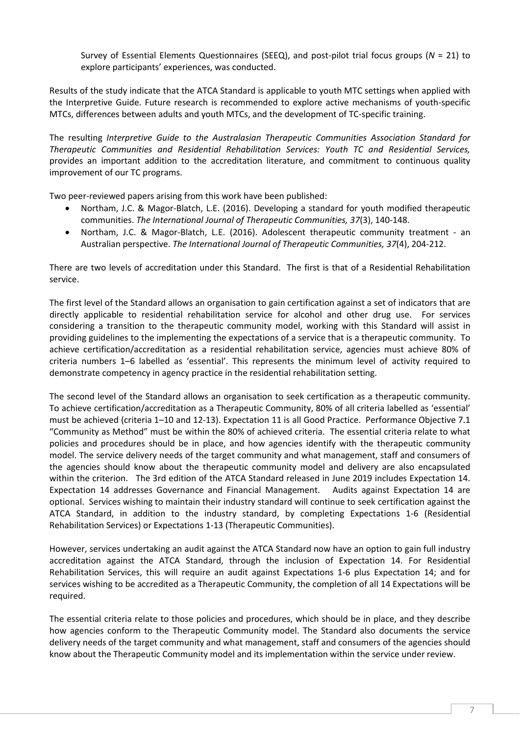Survey of Essential Elements Questionnaires (SEEQ), and post-pilot trial focus groups (*N* = 21) to explore participants' experiences, was conducted.

Results of the study indicate that the ATCA Standard is applicable to youth MTC settings when applied with the Interpretive Guide. Future research is recommended to explore active mechanisms of youth-specific MTCs, differences between adults and youth MTCs, and the development of TC-specific training.

The resulting *Interpretive Guide to the Australasian Therapeutic Communities Association Standard for Therapeutic Communities and Residential Rehabilitation Services: Youth TC and Residential Services,*  provides an important addition to the accreditation literature, and commitment to continuous quality improvement of our TC programs.

Two peer-reviewed papers arising from this work have been published:

- Northam, J.C. & Magor-Blatch, L.E. (2016). Developing a standard for youth modified therapeutic communities. *The International Journal of Therapeutic Communities, 37*(3), 140-148.
- Northam, J.C. & Magor-Blatch, L.E. (2016). Adolescent therapeutic community treatment an Australian perspective. *The International Journal of Therapeutic Communities, 37*(4), 204-212.

There are two levels of accreditation under this Standard. The first is that of a Residential Rehabilitation service.

The first level of the Standard allows an organisation to gain certification against a set of indicators that are directly applicable to residential rehabilitation service for alcohol and other drug use. For services considering a transition to the therapeutic community model, working with this Standard will assist in providing guidelines to the implementing the expectations of a service that is a therapeutic community. To achieve certification/accreditation as a residential rehabilitation service, agencies must achieve 80% of criteria numbers 1–6 labelled as 'essential'. This represents the minimum level of activity required to demonstrate competency in agency practice in the residential rehabilitation setting.

The second level of the Standard allows an organisation to seek certification as a therapeutic community. To achieve certification/accreditation as a Therapeutic Community, 80% of all criteria labelled as 'essential' must be achieved (criteria 1–10 and 12-13). Expectation 11 is all Good Practice. Performance Objective 7.1 "Community as Method" must be within the 80% of achieved criteria. The essential criteria relate to what policies and procedures should be in place, and how agencies identify with the therapeutic community model. The service delivery needs of the target community and what management, staff and consumers of the agencies should know about the therapeutic community model and delivery are also encapsulated within the criterion. The 3rd edition of the ATCA Standard released in June 2019 includes Expectation 14. Expectation 14 addresses Governance and Financial Management. Audits against Expectation 14 are optional. Services wishing to maintain their industry standard will continue to seek certification against the ATCA Standard, in addition to the industry standard, by completing Expectations 1-6 (Residential Rehabilitation Services) or Expectations 1-13 (Therapeutic Communities).

However, services undertaking an audit against the ATCA Standard now have an option to gain full industry accreditation against the ATCA Standard, through the inclusion of Expectation 14. For Residential Rehabilitation Services, this will require an audit against Expectations 1-6 plus Expectation 14; and for services wishing to be accredited as a Therapeutic Community, the completion of all 14 Expectations will be required.

The essential criteria relate to those policies and procedures, which should be in place, and they describe how agencies conform to the Therapeutic Community model. The Standard also documents the service delivery needs of the target community and what management, staff and consumers of the agencies should know about the Therapeutic Community model and its implementation within the service under review.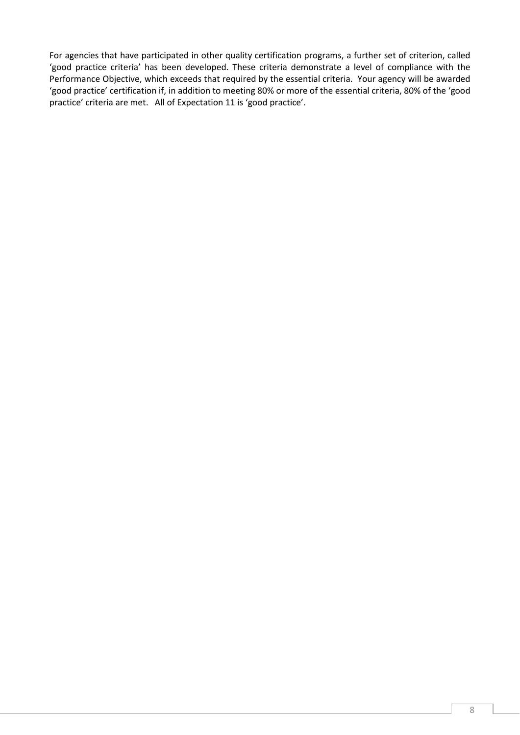For agencies that have participated in other quality certification programs, a further set of criterion, called 'good practice criteria' has been developed. These criteria demonstrate a level of compliance with the Performance Objective, which exceeds that required by the essential criteria. Your agency will be awarded 'good practice' certification if, in addition to meeting 80% or more of the essential criteria, 80% of the 'good practice' criteria are met. All of Expectation 11 is 'good practice'.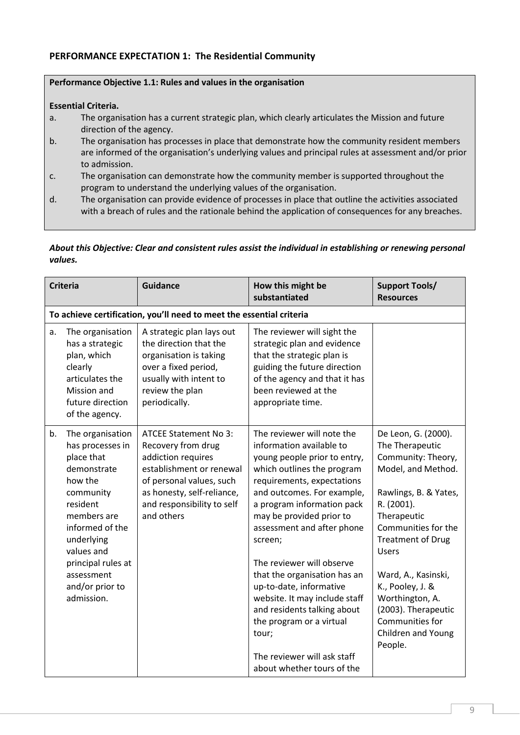# PERFORMANCE EXPECTATION 1: The Residential Community

#### Performance Objective 1.1: Rules and values in the organisation

#### Essential Criteria.

- a. The organisation has a current strategic plan, which clearly articulates the Mission and future direction of the agency.
- b. The organisation has processes in place that demonstrate how the community resident members are informed of the organisation's underlying values and principal rules at assessment and/or prior to admission.
- c. The organisation can demonstrate how the community member is supported throughout the program to understand the underlying values of the organisation.
- d. The organisation can provide evidence of processes in place that outline the activities associated with a breach of rules and the rationale behind the application of consequences for any breaches.

## *About this Objective: Clear and consistent rules assist the individual in establishing or renewing personal values.*

| <b>Criteria</b> |                                                                                                                                                                                                                                          | <b>Guidance</b>                                                                                                                                                                                            | How this might be<br>substantiated                                                                                                                                                                                                                                                                                                                                                                                                                                                                                                            | <b>Support Tools/</b><br><b>Resources</b>                                                                                                                                                                                                                                                                                                                   |  |
|-----------------|------------------------------------------------------------------------------------------------------------------------------------------------------------------------------------------------------------------------------------------|------------------------------------------------------------------------------------------------------------------------------------------------------------------------------------------------------------|-----------------------------------------------------------------------------------------------------------------------------------------------------------------------------------------------------------------------------------------------------------------------------------------------------------------------------------------------------------------------------------------------------------------------------------------------------------------------------------------------------------------------------------------------|-------------------------------------------------------------------------------------------------------------------------------------------------------------------------------------------------------------------------------------------------------------------------------------------------------------------------------------------------------------|--|
|                 | To achieve certification, you'll need to meet the essential criteria                                                                                                                                                                     |                                                                                                                                                                                                            |                                                                                                                                                                                                                                                                                                                                                                                                                                                                                                                                               |                                                                                                                                                                                                                                                                                                                                                             |  |
| a.              | The organisation<br>has a strategic<br>plan, which<br>clearly<br>articulates the<br>Mission and<br>future direction<br>of the agency.                                                                                                    | A strategic plan lays out<br>the direction that the<br>organisation is taking<br>over a fixed period,<br>usually with intent to<br>review the plan<br>periodically.                                        | The reviewer will sight the<br>strategic plan and evidence<br>that the strategic plan is<br>guiding the future direction<br>of the agency and that it has<br>been reviewed at the<br>appropriate time.                                                                                                                                                                                                                                                                                                                                        |                                                                                                                                                                                                                                                                                                                                                             |  |
| b.              | The organisation<br>has processes in<br>place that<br>demonstrate<br>how the<br>community<br>resident<br>members are<br>informed of the<br>underlying<br>values and<br>principal rules at<br>assessment<br>and/or prior to<br>admission. | <b>ATCEE Statement No 3:</b><br>Recovery from drug<br>addiction requires<br>establishment or renewal<br>of personal values, such<br>as honesty, self-reliance,<br>and responsibility to self<br>and others | The reviewer will note the<br>information available to<br>young people prior to entry,<br>which outlines the program<br>requirements, expectations<br>and outcomes. For example,<br>a program information pack<br>may be provided prior to<br>assessment and after phone<br>screen;<br>The reviewer will observe<br>that the organisation has an<br>up-to-date, informative<br>website. It may include staff<br>and residents talking about<br>the program or a virtual<br>tour;<br>The reviewer will ask staff<br>about whether tours of the | De Leon, G. (2000).<br>The Therapeutic<br>Community: Theory,<br>Model, and Method.<br>Rawlings, B. & Yates,<br>R. (2001).<br>Therapeutic<br>Communities for the<br><b>Treatment of Drug</b><br><b>Users</b><br>Ward, A., Kasinski,<br>K., Pooley, J. &<br>Worthington, A.<br>(2003). Therapeutic<br>Communities for<br><b>Children and Young</b><br>People. |  |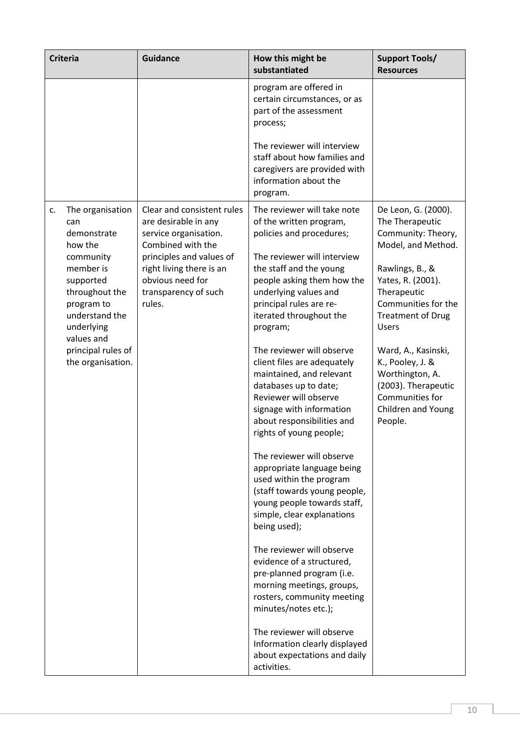| <b>Criteria</b>                                                                                                                                                                                                         | <b>Guidance</b>                                                                                                                                                                                                | How this might be<br>substantiated                                                                                                                                                                                                                                                                                                                                                                                                                                                                                                                                                                                                                                                                                                                                                                                                                                                | <b>Support Tools/</b><br><b>Resources</b>                                                                                                                                                                                                                                                                                                             |
|-------------------------------------------------------------------------------------------------------------------------------------------------------------------------------------------------------------------------|----------------------------------------------------------------------------------------------------------------------------------------------------------------------------------------------------------------|-----------------------------------------------------------------------------------------------------------------------------------------------------------------------------------------------------------------------------------------------------------------------------------------------------------------------------------------------------------------------------------------------------------------------------------------------------------------------------------------------------------------------------------------------------------------------------------------------------------------------------------------------------------------------------------------------------------------------------------------------------------------------------------------------------------------------------------------------------------------------------------|-------------------------------------------------------------------------------------------------------------------------------------------------------------------------------------------------------------------------------------------------------------------------------------------------------------------------------------------------------|
|                                                                                                                                                                                                                         |                                                                                                                                                                                                                | program are offered in<br>certain circumstances, or as<br>part of the assessment<br>process;                                                                                                                                                                                                                                                                                                                                                                                                                                                                                                                                                                                                                                                                                                                                                                                      |                                                                                                                                                                                                                                                                                                                                                       |
|                                                                                                                                                                                                                         |                                                                                                                                                                                                                | The reviewer will interview<br>staff about how families and<br>caregivers are provided with<br>information about the<br>program.                                                                                                                                                                                                                                                                                                                                                                                                                                                                                                                                                                                                                                                                                                                                                  |                                                                                                                                                                                                                                                                                                                                                       |
| The organisation<br>c.<br>can<br>demonstrate<br>how the<br>community<br>member is<br>supported<br>throughout the<br>program to<br>understand the<br>underlying<br>values and<br>principal rules of<br>the organisation. | Clear and consistent rules<br>are desirable in any<br>service organisation.<br>Combined with the<br>principles and values of<br>right living there is an<br>obvious need for<br>transparency of such<br>rules. | The reviewer will take note<br>of the written program,<br>policies and procedures;<br>The reviewer will interview<br>the staff and the young<br>people asking them how the<br>underlying values and<br>principal rules are re-<br>iterated throughout the<br>program;<br>The reviewer will observe<br>client files are adequately<br>maintained, and relevant<br>databases up to date;<br>Reviewer will observe<br>signage with information<br>about responsibilities and<br>rights of young people;<br>The reviewer will observe<br>appropriate language being<br>used within the program<br>(staff towards young people,<br>young people towards staff,<br>simple, clear explanations<br>being used);<br>The reviewer will observe<br>evidence of a structured,<br>pre-planned program (i.e.<br>morning meetings, groups,<br>rosters, community meeting<br>minutes/notes etc.); | De Leon, G. (2000).<br>The Therapeutic<br>Community: Theory,<br>Model, and Method.<br>Rawlings, B., &<br>Yates, R. (2001).<br>Therapeutic<br>Communities for the<br><b>Treatment of Drug</b><br><b>Users</b><br>Ward, A., Kasinski,<br>K., Pooley, J. &<br>Worthington, A.<br>(2003). Therapeutic<br>Communities for<br>Children and Young<br>People. |
|                                                                                                                                                                                                                         |                                                                                                                                                                                                                | The reviewer will observe<br>Information clearly displayed<br>about expectations and daily<br>activities.                                                                                                                                                                                                                                                                                                                                                                                                                                                                                                                                                                                                                                                                                                                                                                         |                                                                                                                                                                                                                                                                                                                                                       |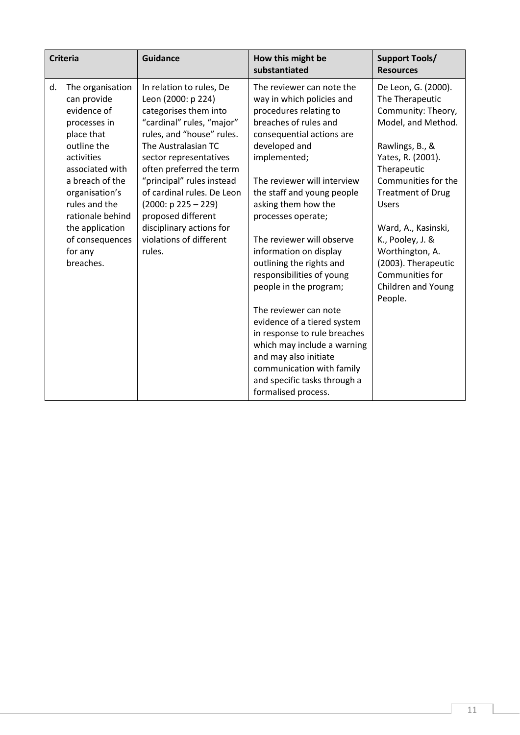|    | <b>Criteria</b>                                                                                                                                                                                                                                                      | <b>Guidance</b>                                                                                                                                                                                                                                                                                                                                                                           | How this might be<br>substantiated                                                                                                                                                                                                                                                                                                                                                                                                                                                                                                                                                                                                                              | <b>Support Tools/</b><br><b>Resources</b>                                                                                                                                                                                                                                                                                                                    |
|----|----------------------------------------------------------------------------------------------------------------------------------------------------------------------------------------------------------------------------------------------------------------------|-------------------------------------------------------------------------------------------------------------------------------------------------------------------------------------------------------------------------------------------------------------------------------------------------------------------------------------------------------------------------------------------|-----------------------------------------------------------------------------------------------------------------------------------------------------------------------------------------------------------------------------------------------------------------------------------------------------------------------------------------------------------------------------------------------------------------------------------------------------------------------------------------------------------------------------------------------------------------------------------------------------------------------------------------------------------------|--------------------------------------------------------------------------------------------------------------------------------------------------------------------------------------------------------------------------------------------------------------------------------------------------------------------------------------------------------------|
| d. | The organisation<br>can provide<br>evidence of<br>processes in<br>place that<br>outline the<br>activities<br>associated with<br>a breach of the<br>organisation's<br>rules and the<br>rationale behind<br>the application<br>of consequences<br>for any<br>breaches. | In relation to rules, De<br>Leon (2000: p 224)<br>categorises them into<br>"cardinal" rules, "major"<br>rules, and "house" rules.<br>The Australasian TC<br>sector representatives<br>often preferred the term<br>"principal" rules instead<br>of cardinal rules. De Leon<br>$(2000: p 225 - 229)$<br>proposed different<br>disciplinary actions for<br>violations of different<br>rules. | The reviewer can note the<br>way in which policies and<br>procedures relating to<br>breaches of rules and<br>consequential actions are<br>developed and<br>implemented;<br>The reviewer will interview<br>the staff and young people<br>asking them how the<br>processes operate;<br>The reviewer will observe<br>information on display<br>outlining the rights and<br>responsibilities of young<br>people in the program;<br>The reviewer can note<br>evidence of a tiered system<br>in response to rule breaches<br>which may include a warning<br>and may also initiate<br>communication with family<br>and specific tasks through a<br>formalised process. | De Leon, G. (2000).<br>The Therapeutic<br>Community: Theory,<br>Model, and Method.<br>Rawlings, B., &<br>Yates, R. (2001).<br>Therapeutic<br>Communities for the<br><b>Treatment of Drug</b><br><b>Users</b><br>Ward, A., Kasinski,<br>K., Pooley, J. &<br>Worthington, A.<br>(2003). Therapeutic<br>Communities for<br><b>Children and Young</b><br>People. |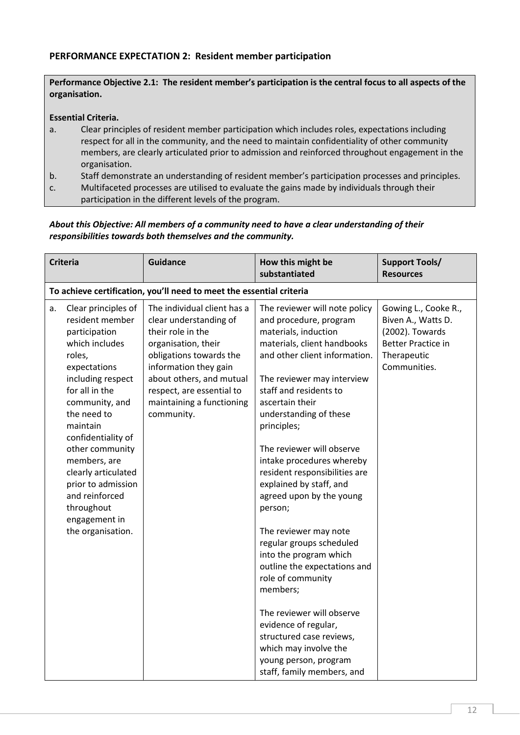# PERFORMANCE EXPECTATION 2: Resident member participation

Performance Objective 2.1: The resident member's participation is the central focus to all aspects of the organisation.

#### Essential Criteria.

- a. Clear principles of resident member participation which includes roles, expectations including respect for all in the community, and the need to maintain confidentiality of other community members, are clearly articulated prior to admission and reinforced throughout engagement in the organisation.
- b. Staff demonstrate an understanding of resident member's participation processes and principles.
- c. Multifaceted processes are utilised to evaluate the gains made by individuals through their participation in the different levels of the program.

#### *About this Objective: All members of a community need to have a clear understanding of their responsibilities towards both themselves and the community.*

|    | <b>Criteria</b>                                                                                                                                                                                                                                                                                                                                                     | <b>Guidance</b>                                                                                                                                                                                                                                           | How this might be<br>substantiated                                                                                                                                                                                                                                                                                                                                                                                                                                                                                                                                                                                                                                                                                                                | <b>Support Tools/</b><br><b>Resources</b>                                                                                 |  |
|----|---------------------------------------------------------------------------------------------------------------------------------------------------------------------------------------------------------------------------------------------------------------------------------------------------------------------------------------------------------------------|-----------------------------------------------------------------------------------------------------------------------------------------------------------------------------------------------------------------------------------------------------------|---------------------------------------------------------------------------------------------------------------------------------------------------------------------------------------------------------------------------------------------------------------------------------------------------------------------------------------------------------------------------------------------------------------------------------------------------------------------------------------------------------------------------------------------------------------------------------------------------------------------------------------------------------------------------------------------------------------------------------------------------|---------------------------------------------------------------------------------------------------------------------------|--|
|    | To achieve certification, you'll need to meet the essential criteria                                                                                                                                                                                                                                                                                                |                                                                                                                                                                                                                                                           |                                                                                                                                                                                                                                                                                                                                                                                                                                                                                                                                                                                                                                                                                                                                                   |                                                                                                                           |  |
| a. | Clear principles of<br>resident member<br>participation<br>which includes<br>roles,<br>expectations<br>including respect<br>for all in the<br>community, and<br>the need to<br>maintain<br>confidentiality of<br>other community<br>members, are<br>clearly articulated<br>prior to admission<br>and reinforced<br>throughout<br>engagement in<br>the organisation. | The individual client has a<br>clear understanding of<br>their role in the<br>organisation, their<br>obligations towards the<br>information they gain<br>about others, and mutual<br>respect, are essential to<br>maintaining a functioning<br>community. | The reviewer will note policy<br>and procedure, program<br>materials, induction<br>materials, client handbooks<br>and other client information.<br>The reviewer may interview<br>staff and residents to<br>ascertain their<br>understanding of these<br>principles;<br>The reviewer will observe<br>intake procedures whereby<br>resident responsibilities are<br>explained by staff, and<br>agreed upon by the young<br>person;<br>The reviewer may note<br>regular groups scheduled<br>into the program which<br>outline the expectations and<br>role of community<br>members;<br>The reviewer will observe<br>evidence of regular,<br>structured case reviews,<br>which may involve the<br>young person, program<br>staff, family members, and | Gowing L., Cooke R.,<br>Biven A., Watts D.<br>(2002). Towards<br><b>Better Practice in</b><br>Therapeutic<br>Communities. |  |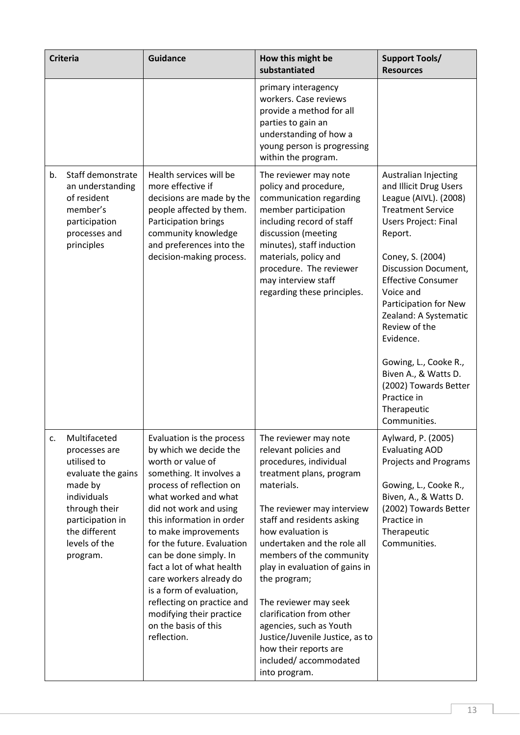| <b>Criteria</b>                                                                                                                                                                       | <b>Guidance</b>                                                                                                                                                                                                                                                                                                                                                                                                                                                                      | How this might be<br>substantiated                                                                                                                                                                                                                                                                                                                                                                                                                                                                     | <b>Support Tools/</b><br><b>Resources</b>                                                                                                                                                                                                                                                                                                                                                                                                   |
|---------------------------------------------------------------------------------------------------------------------------------------------------------------------------------------|--------------------------------------------------------------------------------------------------------------------------------------------------------------------------------------------------------------------------------------------------------------------------------------------------------------------------------------------------------------------------------------------------------------------------------------------------------------------------------------|--------------------------------------------------------------------------------------------------------------------------------------------------------------------------------------------------------------------------------------------------------------------------------------------------------------------------------------------------------------------------------------------------------------------------------------------------------------------------------------------------------|---------------------------------------------------------------------------------------------------------------------------------------------------------------------------------------------------------------------------------------------------------------------------------------------------------------------------------------------------------------------------------------------------------------------------------------------|
|                                                                                                                                                                                       |                                                                                                                                                                                                                                                                                                                                                                                                                                                                                      | primary interagency<br>workers. Case reviews<br>provide a method for all<br>parties to gain an<br>understanding of how a<br>young person is progressing<br>within the program.                                                                                                                                                                                                                                                                                                                         |                                                                                                                                                                                                                                                                                                                                                                                                                                             |
| Staff demonstrate<br>b.<br>an understanding<br>of resident<br>member's<br>participation<br>processes and<br>principles                                                                | Health services will be<br>more effective if<br>decisions are made by the<br>people affected by them.<br>Participation brings<br>community knowledge<br>and preferences into the<br>decision-making process.                                                                                                                                                                                                                                                                         | The reviewer may note<br>policy and procedure,<br>communication regarding<br>member participation<br>including record of staff<br>discussion (meeting<br>minutes), staff induction<br>materials, policy and<br>procedure. The reviewer<br>may interview staff<br>regarding these principles.                                                                                                                                                                                                           | Australian Injecting<br>and Illicit Drug Users<br>League (AIVL). (2008)<br><b>Treatment Service</b><br><b>Users Project: Final</b><br>Report.<br>Coney, S. (2004)<br>Discussion Document,<br><b>Effective Consumer</b><br>Voice and<br>Participation for New<br>Zealand: A Systematic<br>Review of the<br>Evidence.<br>Gowing, L., Cooke R.,<br>Biven A., & Watts D.<br>(2002) Towards Better<br>Practice in<br>Therapeutic<br>Communities. |
| Multifaceted<br>c.<br>processes are<br>utilised to<br>evaluate the gains<br>made by<br>individuals<br>through their<br>participation in<br>the different<br>levels of the<br>program. | Evaluation is the process<br>by which we decide the<br>worth or value of<br>something. It involves a<br>process of reflection on<br>what worked and what<br>did not work and using<br>this information in order<br>to make improvements<br>for the future. Evaluation<br>can be done simply. In<br>fact a lot of what health<br>care workers already do<br>is a form of evaluation,<br>reflecting on practice and<br>modifying their practice<br>on the basis of this<br>reflection. | The reviewer may note<br>relevant policies and<br>procedures, individual<br>treatment plans, program<br>materials.<br>The reviewer may interview<br>staff and residents asking<br>how evaluation is<br>undertaken and the role all<br>members of the community<br>play in evaluation of gains in<br>the program;<br>The reviewer may seek<br>clarification from other<br>agencies, such as Youth<br>Justice/Juvenile Justice, as to<br>how their reports are<br>included/accommodated<br>into program. | Aylward, P. (2005)<br><b>Evaluating AOD</b><br>Projects and Programs<br>Gowing, L., Cooke R.,<br>Biven, A., & Watts D.<br>(2002) Towards Better<br>Practice in<br>Therapeutic<br>Communities.                                                                                                                                                                                                                                               |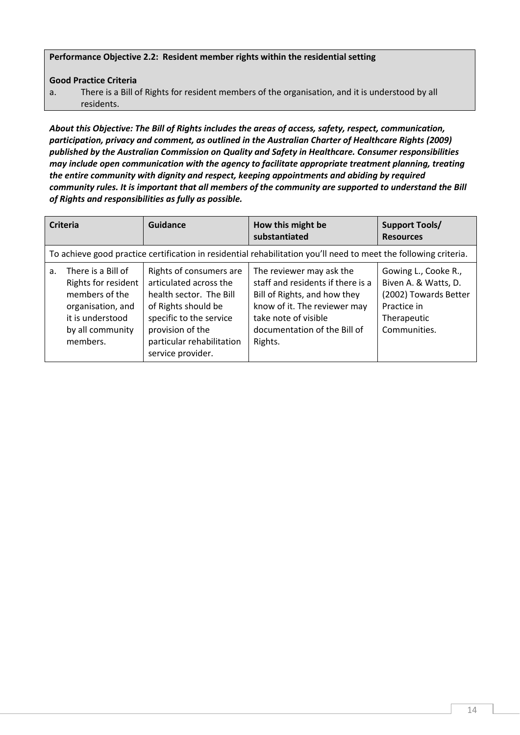#### Performance Objective 2.2: Resident member rights within the residential setting

Good Practice Criteria

a. There is a Bill of Rights for resident members of the organisation, and it is understood by all residents.

*About this Objective: The Bill of Rights includes the areas of access, safety, respect, communication, participation, privacy and comment, as outlined in the Australian Charter of Healthcare Rights (2009) published by the Australian Commission on Quality and Safety in Healthcare. Consumer responsibilities may include open communication with the agency to facilitate appropriate treatment planning, treating the entire community with dignity and respect, keeping appointments and abiding by required community rules. It is important that all members of the community are supported to understand the Bill of Rights and responsibilities as fully as possible.*

| <b>Criteria</b>                                                                                                                                        | Guidance                                                                                                                                                                                             | How this might be<br>substantiated                                                                                                                                                               | <b>Support Tools/</b><br><b>Resources</b>                                                                           |
|--------------------------------------------------------------------------------------------------------------------------------------------------------|------------------------------------------------------------------------------------------------------------------------------------------------------------------------------------------------------|--------------------------------------------------------------------------------------------------------------------------------------------------------------------------------------------------|---------------------------------------------------------------------------------------------------------------------|
|                                                                                                                                                        |                                                                                                                                                                                                      | To achieve good practice certification in residential rehabilitation you'll need to meet the following criteria.                                                                                 |                                                                                                                     |
| There is a Bill of<br>a <sub>z</sub><br>Rights for resident<br>members of the<br>organisation, and<br>it is understood<br>by all community<br>members. | Rights of consumers are<br>articulated across the<br>health sector. The Bill<br>of Rights should be<br>specific to the service<br>provision of the<br>particular rehabilitation<br>service provider. | The reviewer may ask the<br>staff and residents if there is a<br>Bill of Rights, and how they<br>know of it. The reviewer may<br>take note of visible<br>documentation of the Bill of<br>Rights. | Gowing L., Cooke R.,<br>Biven A. & Watts, D.<br>(2002) Towards Better<br>Practice in<br>Therapeutic<br>Communities. |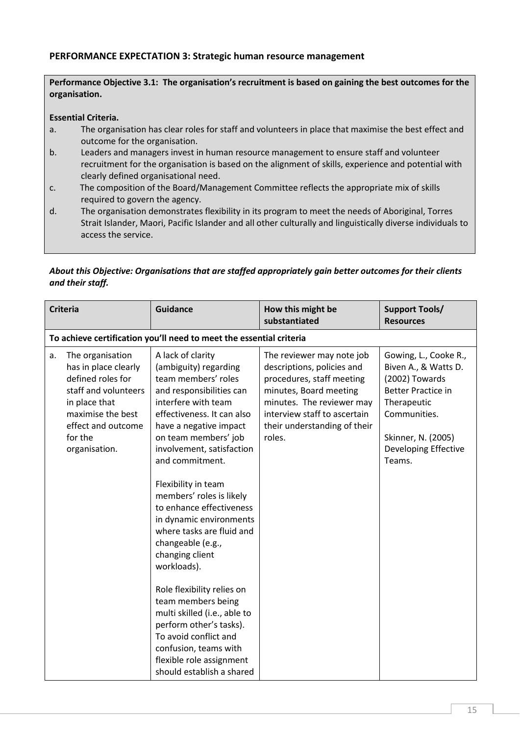# PERFORMANCE EXPECTATION 3: Strategic human resource management

#### Performance Objective 3.1: The organisation's recruitment is based on gaining the best outcomes for the organisation.

#### Essential Criteria.

- a. The organisation has clear roles for staff and volunteers in place that maximise the best effect and outcome for the organisation.
- b. Leaders and managers invest in human resource management to ensure staff and volunteer recruitment for the organisation is based on the alignment of skills, experience and potential with clearly defined organisational need.
- c. The composition of the Board/Management Committee reflects the appropriate mix of skills required to govern the agency.
- d. The organisation demonstrates flexibility in its program to meet the needs of Aboriginal, Torres Strait Islander, Maori, Pacific Islander and all other culturally and linguistically diverse individuals to access the service.

# *About this Objective: Organisations that are staffed appropriately gain better outcomes for their clients and their staff.*

| <b>Criteria</b>                                                                                                                                                                     | <b>Guidance</b>                                                                                                                                                                                                                                                                                                                                                                                                                                                                                                                                                                                                                                                              | How this might be<br>substantiated                                                                                                                                                                                    | <b>Support Tools/</b><br><b>Resources</b>                                                                                                                                           |
|-------------------------------------------------------------------------------------------------------------------------------------------------------------------------------------|------------------------------------------------------------------------------------------------------------------------------------------------------------------------------------------------------------------------------------------------------------------------------------------------------------------------------------------------------------------------------------------------------------------------------------------------------------------------------------------------------------------------------------------------------------------------------------------------------------------------------------------------------------------------------|-----------------------------------------------------------------------------------------------------------------------------------------------------------------------------------------------------------------------|-------------------------------------------------------------------------------------------------------------------------------------------------------------------------------------|
|                                                                                                                                                                                     | To achieve certification you'll need to meet the essential criteria                                                                                                                                                                                                                                                                                                                                                                                                                                                                                                                                                                                                          |                                                                                                                                                                                                                       |                                                                                                                                                                                     |
| The organisation<br>a.<br>has in place clearly<br>defined roles for<br>staff and volunteers<br>in place that<br>maximise the best<br>effect and outcome<br>for the<br>organisation. | A lack of clarity<br>(ambiguity) regarding<br>team members' roles<br>and responsibilities can<br>interfere with team<br>effectiveness. It can also<br>have a negative impact<br>on team members' job<br>involvement, satisfaction<br>and commitment.<br>Flexibility in team<br>members' roles is likely<br>to enhance effectiveness<br>in dynamic environments<br>where tasks are fluid and<br>changeable (e.g.,<br>changing client<br>workloads).<br>Role flexibility relies on<br>team members being<br>multi skilled (i.e., able to<br>perform other's tasks).<br>To avoid conflict and<br>confusion, teams with<br>flexible role assignment<br>should establish a shared | The reviewer may note job<br>descriptions, policies and<br>procedures, staff meeting<br>minutes, Board meeting<br>minutes. The reviewer may<br>interview staff to ascertain<br>their understanding of their<br>roles. | Gowing, L., Cooke R.,<br>Biven A., & Watts D.<br>(2002) Towards<br><b>Better Practice in</b><br>Therapeutic<br>Communities.<br>Skinner, N. (2005)<br>Developing Effective<br>Teams. |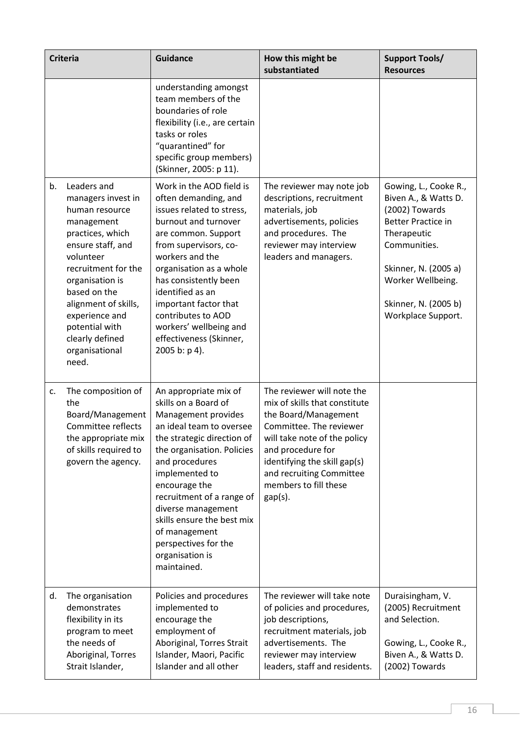| <b>Criteria</b>                                                                                                                                                                                                                                                                                   | <b>Guidance</b>                                                                                                                                                                                                                                                                                                                                                               | How this might be<br>substantiated                                                                                                                                                                                                                                     | <b>Support Tools/</b><br><b>Resources</b>                                                                                                                                                                              |
|---------------------------------------------------------------------------------------------------------------------------------------------------------------------------------------------------------------------------------------------------------------------------------------------------|-------------------------------------------------------------------------------------------------------------------------------------------------------------------------------------------------------------------------------------------------------------------------------------------------------------------------------------------------------------------------------|------------------------------------------------------------------------------------------------------------------------------------------------------------------------------------------------------------------------------------------------------------------------|------------------------------------------------------------------------------------------------------------------------------------------------------------------------------------------------------------------------|
|                                                                                                                                                                                                                                                                                                   | understanding amongst<br>team members of the<br>boundaries of role<br>flexibility (i.e., are certain<br>tasks or roles<br>"quarantined" for<br>specific group members)<br>(Skinner, 2005: p 11).                                                                                                                                                                              |                                                                                                                                                                                                                                                                        |                                                                                                                                                                                                                        |
| Leaders and<br>b.<br>managers invest in<br>human resource<br>management<br>practices, which<br>ensure staff, and<br>volunteer<br>recruitment for the<br>organisation is<br>based on the<br>alignment of skills,<br>experience and<br>potential with<br>clearly defined<br>organisational<br>need. | Work in the AOD field is<br>often demanding, and<br>issues related to stress,<br>burnout and turnover<br>are common. Support<br>from supervisors, co-<br>workers and the<br>organisation as a whole<br>has consistently been<br>identified as an<br>important factor that<br>contributes to AOD<br>workers' wellbeing and<br>effectiveness (Skinner,<br>2005 b: p 4).         | The reviewer may note job<br>descriptions, recruitment<br>materials, job<br>advertisements, policies<br>and procedures. The<br>reviewer may interview<br>leaders and managers.                                                                                         | Gowing, L., Cooke R.,<br>Biven A., & Watts D.<br>(2002) Towards<br><b>Better Practice in</b><br>Therapeutic<br>Communities.<br>Skinner, N. (2005 a)<br>Worker Wellbeing.<br>Skinner, N. (2005 b)<br>Workplace Support. |
| The composition of<br>c.<br>the<br>Board/Management<br>Committee reflects<br>the appropriate mix<br>of skills required to<br>govern the agency.                                                                                                                                                   | An appropriate mix of<br>skills on a Board of<br>Management provides<br>an ideal team to oversee<br>the strategic direction of<br>the organisation. Policies<br>and procedures<br>implemented to<br>encourage the<br>recruitment of a range of<br>diverse management<br>skills ensure the best mix<br>of management<br>perspectives for the<br>organisation is<br>maintained. | The reviewer will note the<br>mix of skills that constitute<br>the Board/Management<br>Committee. The reviewer<br>will take note of the policy<br>and procedure for<br>identifying the skill gap(s)<br>and recruiting Committee<br>members to fill these<br>$gap(s)$ . |                                                                                                                                                                                                                        |
| The organisation<br>d.<br>demonstrates<br>flexibility in its<br>program to meet<br>the needs of<br>Aboriginal, Torres<br>Strait Islander,                                                                                                                                                         | Policies and procedures<br>implemented to<br>encourage the<br>employment of<br>Aboriginal, Torres Strait<br>Islander, Maori, Pacific<br>Islander and all other                                                                                                                                                                                                                | The reviewer will take note<br>of policies and procedures,<br>job descriptions,<br>recruitment materials, job<br>advertisements. The<br>reviewer may interview<br>leaders, staff and residents.                                                                        | Duraisingham, V.<br>(2005) Recruitment<br>and Selection.<br>Gowing, L., Cooke R.,<br>Biven A., & Watts D.<br>(2002) Towards                                                                                            |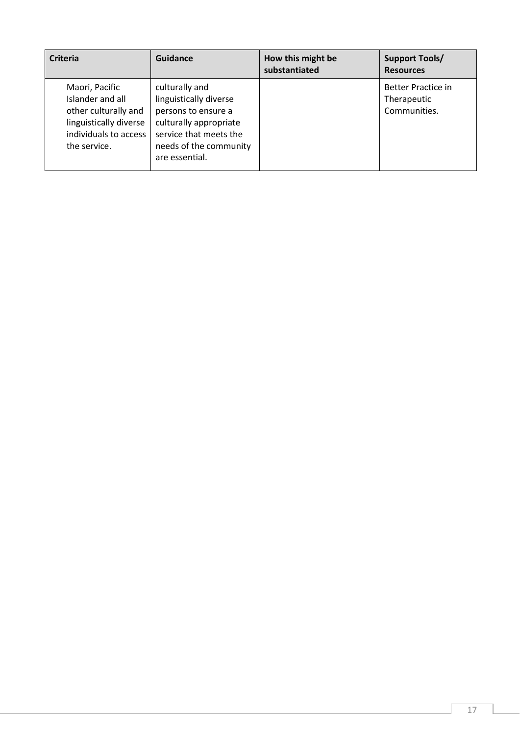| <b>Criteria</b>                                                                                                               | Guidance                                                                                                                                                        | How this might be<br>substantiated | <b>Support Tools/</b><br><b>Resources</b>                |
|-------------------------------------------------------------------------------------------------------------------------------|-----------------------------------------------------------------------------------------------------------------------------------------------------------------|------------------------------------|----------------------------------------------------------|
| Maori, Pacific<br>Islander and all<br>other culturally and<br>linguistically diverse<br>individuals to access<br>the service. | culturally and<br>linguistically diverse<br>persons to ensure a<br>culturally appropriate<br>service that meets the<br>needs of the community<br>are essential. |                                    | <b>Better Practice in</b><br>Therapeutic<br>Communities. |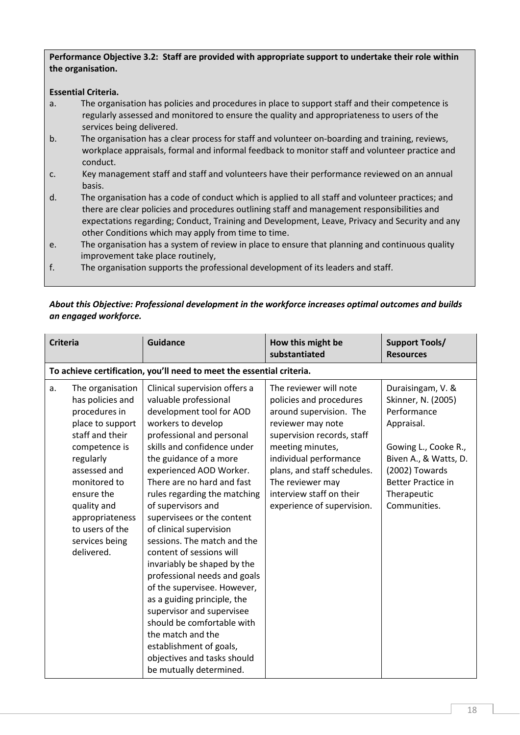## Performance Objective 3.2: Staff are provided with appropriate support to undertake their role within the organisation.

## Essential Criteria.

- a. The organisation has policies and procedures in place to support staff and their competence is regularly assessed and monitored to ensure the quality and appropriateness to users of the services being delivered.
- b. The organisation has a clear process for staff and volunteer on-boarding and training, reviews, workplace appraisals, formal and informal feedback to monitor staff and volunteer practice and conduct.
- c. Key management staff and staff and volunteers have their performance reviewed on an annual basis.
- d. The organisation has a code of conduct which is applied to all staff and volunteer practices; and there are clear policies and procedures outlining staff and management responsibilities and expectations regarding; Conduct, Training and Development, Leave, Privacy and Security and any other Conditions which may apply from time to time.
- e. The organisation has a system of review in place to ensure that planning and continuous quality improvement take place routinely,
- f. The organisation supports the professional development of its leaders and staff.

# *About this Objective: Professional development in the workforce increases optimal outcomes and builds an engaged workforce.*

| <b>Criteria</b> |                                                                                                                                                                                                                                                               | <b>Guidance</b>                                                                                                                                                                                                                                                                                                                                                                                                                                                                                                                                                                                                                                                                                                                     | How this might be<br>substantiated                                                                                                                                                                                                                                                         | <b>Support Tools/</b><br><b>Resources</b>                                                                                                                                                           |
|-----------------|---------------------------------------------------------------------------------------------------------------------------------------------------------------------------------------------------------------------------------------------------------------|-------------------------------------------------------------------------------------------------------------------------------------------------------------------------------------------------------------------------------------------------------------------------------------------------------------------------------------------------------------------------------------------------------------------------------------------------------------------------------------------------------------------------------------------------------------------------------------------------------------------------------------------------------------------------------------------------------------------------------------|--------------------------------------------------------------------------------------------------------------------------------------------------------------------------------------------------------------------------------------------------------------------------------------------|-----------------------------------------------------------------------------------------------------------------------------------------------------------------------------------------------------|
|                 | To achieve certification, you'll need to meet the essential criteria.                                                                                                                                                                                         |                                                                                                                                                                                                                                                                                                                                                                                                                                                                                                                                                                                                                                                                                                                                     |                                                                                                                                                                                                                                                                                            |                                                                                                                                                                                                     |
| a.              | The organisation<br>has policies and<br>procedures in<br>place to support<br>staff and their<br>competence is<br>regularly<br>assessed and<br>monitored to<br>ensure the<br>quality and<br>appropriateness<br>to users of the<br>services being<br>delivered. | Clinical supervision offers a<br>valuable professional<br>development tool for AOD<br>workers to develop<br>professional and personal<br>skills and confidence under<br>the guidance of a more<br>experienced AOD Worker.<br>There are no hard and fast<br>rules regarding the matching<br>of supervisors and<br>supervisees or the content<br>of clinical supervision<br>sessions. The match and the<br>content of sessions will<br>invariably be shaped by the<br>professional needs and goals<br>of the supervisee. However,<br>as a guiding principle, the<br>supervisor and supervisee<br>should be comfortable with<br>the match and the<br>establishment of goals,<br>objectives and tasks should<br>be mutually determined. | The reviewer will note<br>policies and procedures<br>around supervision. The<br>reviewer may note<br>supervision records, staff<br>meeting minutes,<br>individual performance<br>plans, and staff schedules.<br>The reviewer may<br>interview staff on their<br>experience of supervision. | Duraisingam, V. &<br>Skinner, N. (2005)<br>Performance<br>Appraisal.<br>Gowing L., Cooke R.,<br>Biven A., & Watts, D.<br>(2002) Towards<br><b>Better Practice in</b><br>Therapeutic<br>Communities. |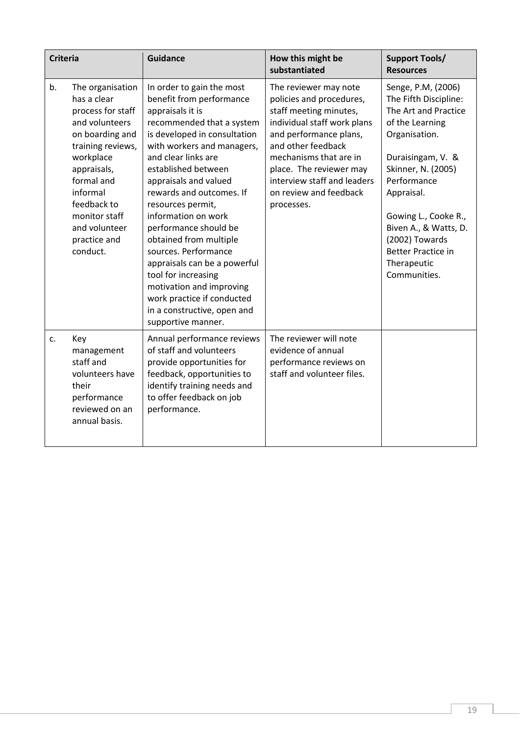| <b>Criteria</b> |                                                                                                                                                                                                                                                   | <b>Guidance</b>                                                                                                                                                                                                                                                                                                                                                                                                                                                                                                                                                      | How this might be<br>substantiated                                                                                                                                                                                                                                                     | <b>Support Tools/</b><br><b>Resources</b>                                                                                                                                                                                                                                                                      |
|-----------------|---------------------------------------------------------------------------------------------------------------------------------------------------------------------------------------------------------------------------------------------------|----------------------------------------------------------------------------------------------------------------------------------------------------------------------------------------------------------------------------------------------------------------------------------------------------------------------------------------------------------------------------------------------------------------------------------------------------------------------------------------------------------------------------------------------------------------------|----------------------------------------------------------------------------------------------------------------------------------------------------------------------------------------------------------------------------------------------------------------------------------------|----------------------------------------------------------------------------------------------------------------------------------------------------------------------------------------------------------------------------------------------------------------------------------------------------------------|
| b.              | The organisation<br>has a clear<br>process for staff<br>and volunteers<br>on boarding and<br>training reviews,<br>workplace<br>appraisals,<br>formal and<br>informal<br>feedback to<br>monitor staff<br>and volunteer<br>practice and<br>conduct. | In order to gain the most<br>benefit from performance<br>appraisals it is<br>recommended that a system<br>is developed in consultation<br>with workers and managers,<br>and clear links are<br>established between<br>appraisals and valued<br>rewards and outcomes. If<br>resources permit,<br>information on work<br>performance should be<br>obtained from multiple<br>sources. Performance<br>appraisals can be a powerful<br>tool for increasing<br>motivation and improving<br>work practice if conducted<br>in a constructive, open and<br>supportive manner. | The reviewer may note<br>policies and procedures,<br>staff meeting minutes,<br>individual staff work plans<br>and performance plans,<br>and other feedback<br>mechanisms that are in<br>place. The reviewer may<br>interview staff and leaders<br>on review and feedback<br>processes. | Senge, P.M, (2006)<br>The Fifth Discipline:<br>The Art and Practice<br>of the Learning<br>Organisation.<br>Duraisingam, V. &<br>Skinner, N. (2005)<br>Performance<br>Appraisal.<br>Gowing L., Cooke R.,<br>Biven A., & Watts, D.<br>(2002) Towards<br><b>Better Practice in</b><br>Therapeutic<br>Communities. |
| c.              | Key<br>management<br>staff and<br>volunteers have<br>their<br>performance<br>reviewed on an<br>annual basis.                                                                                                                                      | Annual performance reviews<br>of staff and volunteers<br>provide opportunities for<br>feedback, opportunities to<br>identify training needs and<br>to offer feedback on job<br>performance.                                                                                                                                                                                                                                                                                                                                                                          | The reviewer will note<br>evidence of annual<br>performance reviews on<br>staff and volunteer files.                                                                                                                                                                                   |                                                                                                                                                                                                                                                                                                                |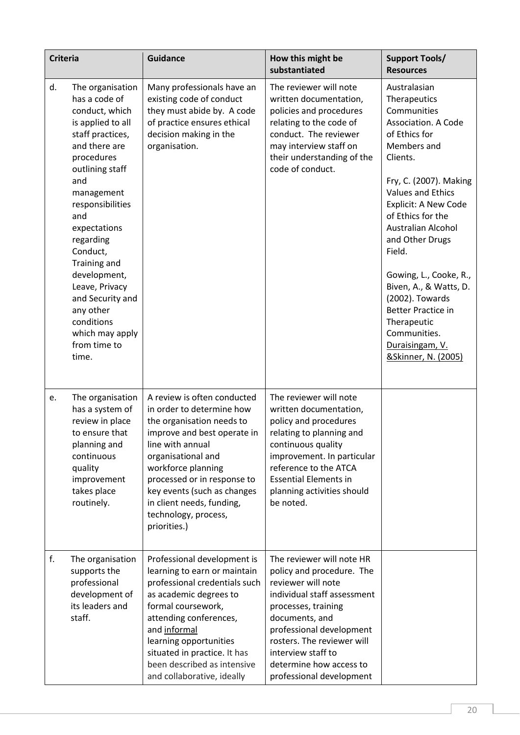| <b>Criteria</b> |                                                                                                                                                                                                                                                                                                                                                                                      | <b>Guidance</b>                                                                                                                                                                                                                                                                                                         | How this might be<br>substantiated                                                                                                                                                                                                                                                          | <b>Support Tools/</b><br><b>Resources</b>                                                                                                                                                                                                                                                                                                                                                                                                                |
|-----------------|--------------------------------------------------------------------------------------------------------------------------------------------------------------------------------------------------------------------------------------------------------------------------------------------------------------------------------------------------------------------------------------|-------------------------------------------------------------------------------------------------------------------------------------------------------------------------------------------------------------------------------------------------------------------------------------------------------------------------|---------------------------------------------------------------------------------------------------------------------------------------------------------------------------------------------------------------------------------------------------------------------------------------------|----------------------------------------------------------------------------------------------------------------------------------------------------------------------------------------------------------------------------------------------------------------------------------------------------------------------------------------------------------------------------------------------------------------------------------------------------------|
| d.              | The organisation<br>has a code of<br>conduct, which<br>is applied to all<br>staff practices,<br>and there are<br>procedures<br>outlining staff<br>and<br>management<br>responsibilities<br>and<br>expectations<br>regarding<br>Conduct,<br>Training and<br>development,<br>Leave, Privacy<br>and Security and<br>any other<br>conditions<br>which may apply<br>from time to<br>time. | Many professionals have an<br>existing code of conduct<br>they must abide by. A code<br>of practice ensures ethical<br>decision making in the<br>organisation.                                                                                                                                                          | The reviewer will note<br>written documentation,<br>policies and procedures<br>relating to the code of<br>conduct. The reviewer<br>may interview staff on<br>their understanding of the<br>code of conduct.                                                                                 | Australasian<br>Therapeutics<br>Communities<br>Association. A Code<br>of Ethics for<br>Members and<br>Clients.<br>Fry, C. (2007). Making<br><b>Values and Ethics</b><br>Explicit: A New Code<br>of Ethics for the<br><b>Australian Alcohol</b><br>and Other Drugs<br>Field.<br>Gowing, L., Cooke, R.,<br>Biven, A., & Watts, D.<br>(2002). Towards<br><b>Better Practice in</b><br>Therapeutic<br>Communities.<br>Duraisingam, V.<br>&Skinner, N. (2005) |
| e.              | The organisation<br>has a system of<br>review in place<br>to ensure that<br>planning and<br>continuous<br>quality<br>improvement<br>takes place<br>routinely.                                                                                                                                                                                                                        | A review is often conducted<br>in order to determine how<br>the organisation needs to<br>improve and best operate in<br>line with annual<br>organisational and<br>workforce planning<br>processed or in response to<br>key events (such as changes<br>in client needs, funding,<br>technology, process,<br>priorities.) | The reviewer will note<br>written documentation,<br>policy and procedures<br>relating to planning and<br>continuous quality<br>improvement. In particular<br>reference to the ATCA<br><b>Essential Elements in</b><br>planning activities should<br>be noted.                               |                                                                                                                                                                                                                                                                                                                                                                                                                                                          |
| f.              | The organisation<br>supports the<br>professional<br>development of<br>its leaders and<br>staff.                                                                                                                                                                                                                                                                                      | Professional development is<br>learning to earn or maintain<br>professional credentials such<br>as academic degrees to<br>formal coursework,<br>attending conferences,<br>and informal<br>learning opportunities<br>situated in practice. It has<br>been described as intensive<br>and collaborative, ideally           | The reviewer will note HR<br>policy and procedure. The<br>reviewer will note<br>individual staff assessment<br>processes, training<br>documents, and<br>professional development<br>rosters. The reviewer will<br>interview staff to<br>determine how access to<br>professional development |                                                                                                                                                                                                                                                                                                                                                                                                                                                          |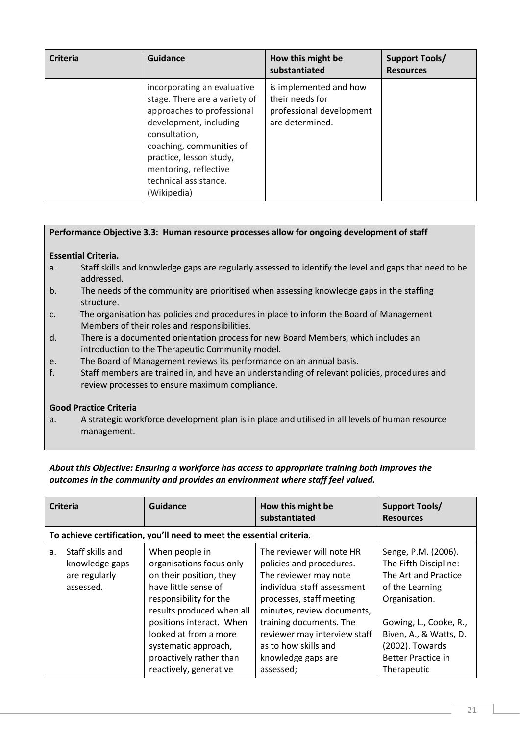| <b>Criteria</b> | Guidance                                                                                                                                                                                                                                                      | How this might be<br>substantiated                                                       | <b>Support Tools/</b><br><b>Resources</b> |
|-----------------|---------------------------------------------------------------------------------------------------------------------------------------------------------------------------------------------------------------------------------------------------------------|------------------------------------------------------------------------------------------|-------------------------------------------|
|                 | incorporating an evaluative<br>stage. There are a variety of<br>approaches to professional<br>development, including<br>consultation,<br>coaching, communities of<br>practice, lesson study,<br>mentoring, reflective<br>technical assistance.<br>(Wikipedia) | is implemented and how<br>their needs for<br>professional development<br>are determined. |                                           |

## Performance Objective 3.3: Human resource processes allow for ongoing development of staff

## Essential Criteria.

- a. Staff skills and knowledge gaps are regularly assessed to identify the level and gaps that need to be addressed.
- b. The needs of the community are prioritised when assessing knowledge gaps in the staffing structure.
- c. The organisation has policies and procedures in place to inform the Board of Management Members of their roles and responsibilities.
- d. There is a documented orientation process for new Board Members, which includes an introduction to the Therapeutic Community model.
- e. The Board of Management reviews its performance on an annual basis.
- f. Staff members are trained in, and have an understanding of relevant policies, procedures and review processes to ensure maximum compliance.

## Good Practice Criteria

a. A strategic workforce development plan is in place and utilised in all levels of human resource management.

# *About this Objective: Ensuring a workforce has access to appropriate training both improves the outcomes in the community and provides an environment where staff feel valued.*

|    | <b>Criteria</b>                                                  | <b>Guidance</b>                                                                                                                                                                                                                                                                        | How this might be<br>substantiated                                                                                                                                                                                                                                                            | <b>Support Tools/</b><br><b>Resources</b>                                                                                                                                                                                   |
|----|------------------------------------------------------------------|----------------------------------------------------------------------------------------------------------------------------------------------------------------------------------------------------------------------------------------------------------------------------------------|-----------------------------------------------------------------------------------------------------------------------------------------------------------------------------------------------------------------------------------------------------------------------------------------------|-----------------------------------------------------------------------------------------------------------------------------------------------------------------------------------------------------------------------------|
|    |                                                                  | To achieve certification, you'll need to meet the essential criteria.                                                                                                                                                                                                                  |                                                                                                                                                                                                                                                                                               |                                                                                                                                                                                                                             |
| a. | Staff skills and<br>knowledge gaps<br>are regularly<br>assessed. | When people in<br>organisations focus only<br>on their position, they<br>have little sense of<br>responsibility for the<br>results produced when all<br>positions interact. When<br>looked at from a more<br>systematic approach,<br>proactively rather than<br>reactively, generative | The reviewer will note HR<br>policies and procedures.<br>The reviewer may note<br>individual staff assessment<br>processes, staff meeting<br>minutes, review documents,<br>training documents. The<br>reviewer may interview staff<br>as to how skills and<br>knowledge gaps are<br>assessed; | Senge, P.M. (2006).<br>The Fifth Discipline:<br>The Art and Practice<br>of the Learning<br>Organisation.<br>Gowing, L., Cooke, R.,<br>Biven, A., & Watts, D.<br>(2002). Towards<br><b>Better Practice in</b><br>Therapeutic |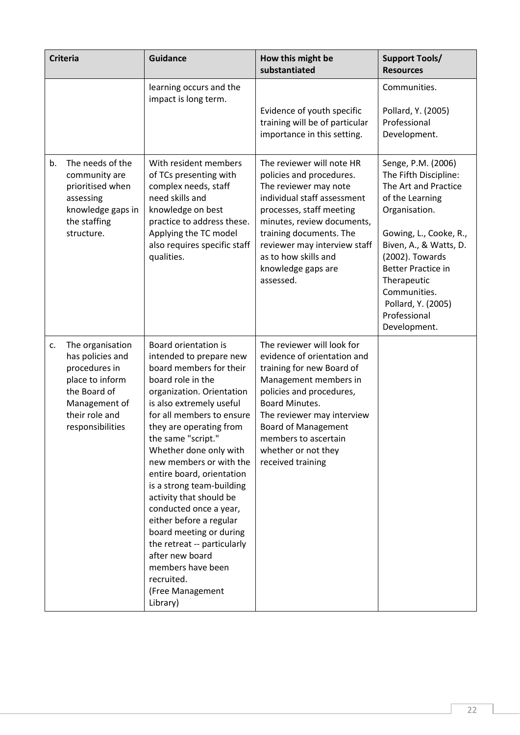|    | <b>Criteria</b>                                                                                                                                 | <b>Guidance</b>                                                                                                                                                                                                                                                                                                                                                                                                                                                                                                                                                                       | How this might be<br>substantiated                                                                                                                                                                                                                                                                   | <b>Support Tools/</b><br><b>Resources</b>                                                                                                                                                                                                                                                        |
|----|-------------------------------------------------------------------------------------------------------------------------------------------------|---------------------------------------------------------------------------------------------------------------------------------------------------------------------------------------------------------------------------------------------------------------------------------------------------------------------------------------------------------------------------------------------------------------------------------------------------------------------------------------------------------------------------------------------------------------------------------------|------------------------------------------------------------------------------------------------------------------------------------------------------------------------------------------------------------------------------------------------------------------------------------------------------|--------------------------------------------------------------------------------------------------------------------------------------------------------------------------------------------------------------------------------------------------------------------------------------------------|
|    |                                                                                                                                                 | learning occurs and the<br>impact is long term.                                                                                                                                                                                                                                                                                                                                                                                                                                                                                                                                       | Evidence of youth specific<br>training will be of particular<br>importance in this setting.                                                                                                                                                                                                          | Communities.<br>Pollard, Y. (2005)<br>Professional<br>Development.                                                                                                                                                                                                                               |
| b. | The needs of the<br>community are<br>prioritised when<br>assessing<br>knowledge gaps in<br>the staffing<br>structure.                           | With resident members<br>of TCs presenting with<br>complex needs, staff<br>need skills and<br>knowledge on best<br>practice to address these.<br>Applying the TC model<br>also requires specific staff<br>qualities.                                                                                                                                                                                                                                                                                                                                                                  | The reviewer will note HR<br>policies and procedures.<br>The reviewer may note<br>individual staff assessment<br>processes, staff meeting<br>minutes, review documents,<br>training documents. The<br>reviewer may interview staff<br>as to how skills and<br>knowledge gaps are<br>assessed.        | Senge, P.M. (2006)<br>The Fifth Discipline:<br>The Art and Practice<br>of the Learning<br>Organisation.<br>Gowing, L., Cooke, R.,<br>Biven, A., & Watts, D.<br>(2002). Towards<br><b>Better Practice in</b><br>Therapeutic<br>Communities.<br>Pollard, Y. (2005)<br>Professional<br>Development. |
| c. | The organisation<br>has policies and<br>procedures in<br>place to inform<br>the Board of<br>Management of<br>their role and<br>responsibilities | Board orientation is<br>intended to prepare new<br>board members for their<br>board role in the<br>organization. Orientation<br>is also extremely useful<br>for all members to ensure<br>they are operating from<br>the same "script."<br>Whether done only with<br>new members or with the<br>entire board, orientation<br>is a strong team-building<br>activity that should be<br>conducted once a year,<br>either before a regular<br>board meeting or during<br>the retreat -- particularly<br>after new board<br>members have been<br>recruited.<br>(Free Management<br>Library) | The reviewer will look for<br>evidence of orientation and<br>training for new Board of<br>Management members in<br>policies and procedures,<br><b>Board Minutes.</b><br>The reviewer may interview<br><b>Board of Management</b><br>members to ascertain<br>whether or not they<br>received training |                                                                                                                                                                                                                                                                                                  |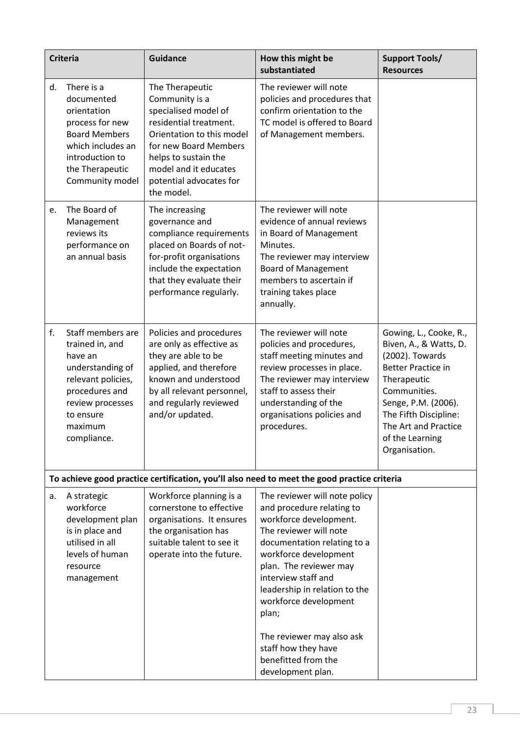|    | <b>Criteria</b>                                                                                                                                                        | <b>Guidance</b>                                                                                                                                                                                                                     | How this might be<br>substantiated                                                                                                                                                                                                                                                                                                                                                         | <b>Support Tools/</b><br><b>Resources</b>                                                                                                                                                                                                   |
|----|------------------------------------------------------------------------------------------------------------------------------------------------------------------------|-------------------------------------------------------------------------------------------------------------------------------------------------------------------------------------------------------------------------------------|--------------------------------------------------------------------------------------------------------------------------------------------------------------------------------------------------------------------------------------------------------------------------------------------------------------------------------------------------------------------------------------------|---------------------------------------------------------------------------------------------------------------------------------------------------------------------------------------------------------------------------------------------|
| d. | There is a<br>documented<br>orientation<br>process for new<br><b>Board Members</b><br>which includes an<br>introduction to<br>the Therapeutic<br>Community model       | The Therapeutic<br>Community is a<br>specialised model of<br>residential treatment.<br>Orientation to this model<br>for new Board Members<br>helps to sustain the<br>model and it educates<br>potential advocates for<br>the model. | The reviewer will note<br>policies and procedures that<br>confirm orientation to the<br>TC model is offered to Board<br>of Management members.                                                                                                                                                                                                                                             |                                                                                                                                                                                                                                             |
| e. | The Board of<br>Management<br>reviews its<br>performance on<br>an annual basis                                                                                         | The increasing<br>governance and<br>compliance requirements<br>placed on Boards of not-<br>for-profit organisations<br>include the expectation<br>that they evaluate their<br>performance regularly.                                | The reviewer will note<br>evidence of annual reviews<br>in Board of Management<br>Minutes.<br>The reviewer may interview<br><b>Board of Management</b><br>members to ascertain if<br>training takes place<br>annually.                                                                                                                                                                     |                                                                                                                                                                                                                                             |
| f. | Staff members are<br>trained in, and<br>have an<br>understanding of<br>relevant policies,<br>procedures and<br>review processes<br>to ensure<br>maximum<br>compliance. | Policies and procedures<br>are only as effective as<br>they are able to be<br>applied, and therefore<br>known and understood<br>by all relevant personnel,<br>and regularly reviewed<br>and/or updated.                             | The reviewer will note<br>policies and procedures,<br>staff meeting minutes and<br>review processes in place.<br>The reviewer may interview<br>staff to assess their<br>understanding of the<br>organisations policies and<br>procedures.                                                                                                                                                  | Gowing, L., Cooke, R.,<br>Biven, A., & Watts, D.<br>(2002). Towards<br><b>Better Practice in</b><br>Therapeutic<br>Communities.<br>Senge, P.M. (2006).<br>The Fifth Discipline:<br>The Art and Practice<br>of the Learning<br>Organisation. |
|    |                                                                                                                                                                        |                                                                                                                                                                                                                                     | To achieve good practice certification, you'll also need to meet the good practice criteria                                                                                                                                                                                                                                                                                                |                                                                                                                                                                                                                                             |
| a. | A strategic<br>workforce<br>development plan<br>is in place and<br>utilised in all<br>levels of human<br>resource<br>management                                        | Workforce planning is a<br>cornerstone to effective<br>organisations. It ensures<br>the organisation has<br>suitable talent to see it<br>operate into the future.                                                                   | The reviewer will note policy<br>and procedure relating to<br>workforce development.<br>The reviewer will note<br>documentation relating to a<br>workforce development<br>plan. The reviewer may<br>interview staff and<br>leadership in relation to the<br>workforce development<br>plan;<br>The reviewer may also ask<br>staff how they have<br>benefitted from the<br>development plan. |                                                                                                                                                                                                                                             |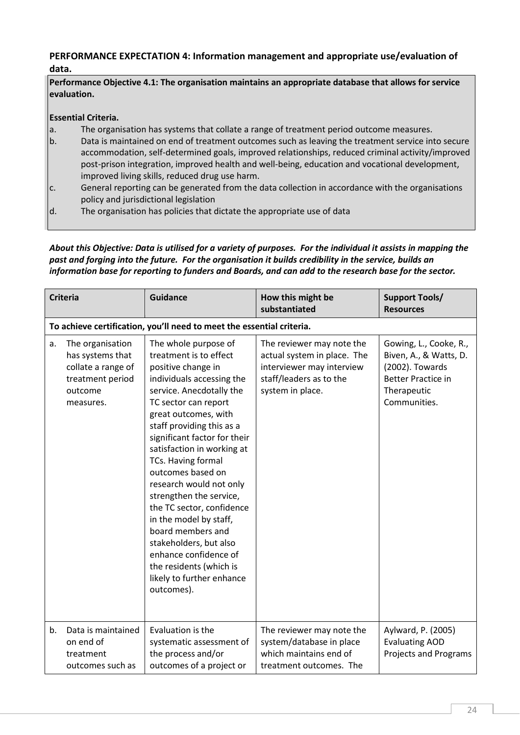# PERFORMANCE EXPECTATION 4: Information management and appropriate use/evaluation of data.

Performance Objective 4.1: The organisation maintains an appropriate database that allows for service evaluation.

## Essential Criteria.

- a. The organisation has systems that collate a range of treatment period outcome measures.
- b. Data is maintained on end of treatment outcomes such as leaving the treatment service into secure accommodation, self-determined goals, improved relationships, reduced criminal activity/improved post-prison integration, improved health and well-being, education and vocational development, improved living skills, reduced drug use harm.
- $|c|$ . General reporting can be generated from the data collection in accordance with the organisations policy and jurisdictional legislation
- d. The organisation has policies that dictate the appropriate use of data

# *About this Objective: Data is utilised for a variety of purposes. For the individual it assists in mapping the past and forging into the future. For the organisation it builds credibility in the service, builds an information base for reporting to funders and Boards, and can add to the research base for the sector.*

| <b>Criteria</b>                                                                                              | <b>Guidance</b>                                                                                                                                                                                                                                                                                                                                                                                                                                                                                                                                                                | How this might be<br>substantiated                                                                                                   | <b>Support Tools/</b><br><b>Resources</b>                                                                                       |
|--------------------------------------------------------------------------------------------------------------|--------------------------------------------------------------------------------------------------------------------------------------------------------------------------------------------------------------------------------------------------------------------------------------------------------------------------------------------------------------------------------------------------------------------------------------------------------------------------------------------------------------------------------------------------------------------------------|--------------------------------------------------------------------------------------------------------------------------------------|---------------------------------------------------------------------------------------------------------------------------------|
|                                                                                                              | To achieve certification, you'll need to meet the essential criteria.                                                                                                                                                                                                                                                                                                                                                                                                                                                                                                          |                                                                                                                                      |                                                                                                                                 |
| The organisation<br>a.<br>has systems that<br>collate a range of<br>treatment period<br>outcome<br>measures. | The whole purpose of<br>treatment is to effect<br>positive change in<br>individuals accessing the<br>service. Anecdotally the<br>TC sector can report<br>great outcomes, with<br>staff providing this as a<br>significant factor for their<br>satisfaction in working at<br>TCs. Having formal<br>outcomes based on<br>research would not only<br>strengthen the service,<br>the TC sector, confidence<br>in the model by staff,<br>board members and<br>stakeholders, but also<br>enhance confidence of<br>the residents (which is<br>likely to further enhance<br>outcomes). | The reviewer may note the<br>actual system in place. The<br>interviewer may interview<br>staff/leaders as to the<br>system in place. | Gowing, L., Cooke, R.,<br>Biven, A., & Watts, D.<br>(2002). Towards<br><b>Better Practice in</b><br>Therapeutic<br>Communities. |
| b.<br>Data is maintained<br>on end of<br>treatment<br>outcomes such as                                       | Evaluation is the<br>systematic assessment of<br>the process and/or<br>outcomes of a project or                                                                                                                                                                                                                                                                                                                                                                                                                                                                                | The reviewer may note the<br>system/database in place<br>which maintains end of<br>treatment outcomes. The                           | Aylward, P. (2005)<br><b>Evaluating AOD</b><br><b>Projects and Programs</b>                                                     |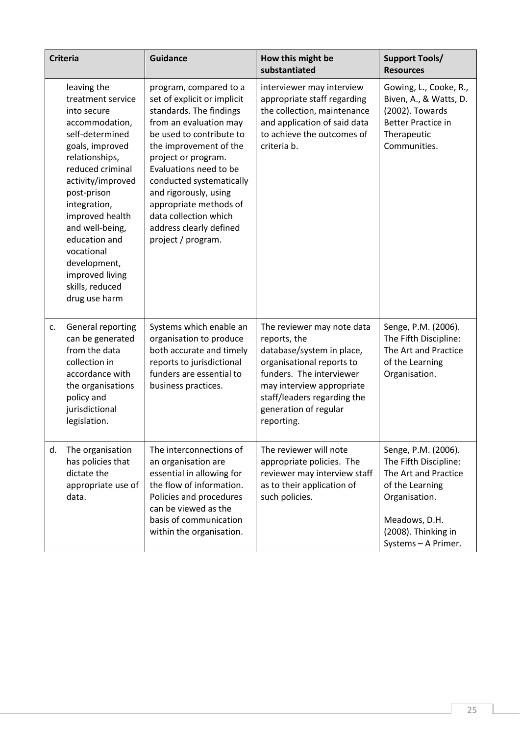|    | <b>Criteria</b>                                                                                                                                                                                                                                                                                                                               | <b>Guidance</b>                                                                                                                                                                                                                                                                                                                                                            | How this might be<br>substantiated                                                                                                                                                                                                  | <b>Support Tools/</b><br><b>Resources</b>                                                                                                                               |
|----|-----------------------------------------------------------------------------------------------------------------------------------------------------------------------------------------------------------------------------------------------------------------------------------------------------------------------------------------------|----------------------------------------------------------------------------------------------------------------------------------------------------------------------------------------------------------------------------------------------------------------------------------------------------------------------------------------------------------------------------|-------------------------------------------------------------------------------------------------------------------------------------------------------------------------------------------------------------------------------------|-------------------------------------------------------------------------------------------------------------------------------------------------------------------------|
|    | leaving the<br>treatment service<br>into secure<br>accommodation,<br>self-determined<br>goals, improved<br>relationships,<br>reduced criminal<br>activity/improved<br>post-prison<br>integration,<br>improved health<br>and well-being,<br>education and<br>vocational<br>development,<br>improved living<br>skills, reduced<br>drug use harm | program, compared to a<br>set of explicit or implicit<br>standards. The findings<br>from an evaluation may<br>be used to contribute to<br>the improvement of the<br>project or program.<br>Evaluations need to be<br>conducted systematically<br>and rigorously, using<br>appropriate methods of<br>data collection which<br>address clearly defined<br>project / program. | interviewer may interview<br>appropriate staff regarding<br>the collection, maintenance<br>and application of said data<br>to achieve the outcomes of<br>criteria b.                                                                | Gowing, L., Cooke, R.,<br>Biven, A., & Watts, D.<br>(2002). Towards<br><b>Better Practice in</b><br>Therapeutic<br>Communities.                                         |
| c. | General reporting<br>can be generated<br>from the data<br>collection in<br>accordance with<br>the organisations<br>policy and<br>jurisdictional<br>legislation.                                                                                                                                                                               | Systems which enable an<br>organisation to produce<br>both accurate and timely<br>reports to jurisdictional<br>funders are essential to<br>business practices.                                                                                                                                                                                                             | The reviewer may note data<br>reports, the<br>database/system in place,<br>organisational reports to<br>funders. The interviewer<br>may interview appropriate<br>staff/leaders regarding the<br>generation of regular<br>reporting. | Senge, P.M. (2006).<br>The Fifth Discipline:<br>The Art and Practice<br>of the Learning<br>Organisation.                                                                |
| d. | The organisation<br>has policies that<br>dictate the<br>appropriate use of<br>data.                                                                                                                                                                                                                                                           | The interconnections of<br>an organisation are<br>essential in allowing for<br>the flow of information.<br>Policies and procedures<br>can be viewed as the<br>basis of communication<br>within the organisation.                                                                                                                                                           | The reviewer will note<br>appropriate policies. The<br>reviewer may interview staff<br>as to their application of<br>such policies.                                                                                                 | Senge, P.M. (2006).<br>The Fifth Discipline:<br>The Art and Practice<br>of the Learning<br>Organisation.<br>Meadows, D.H.<br>(2008). Thinking in<br>Systems - A Primer. |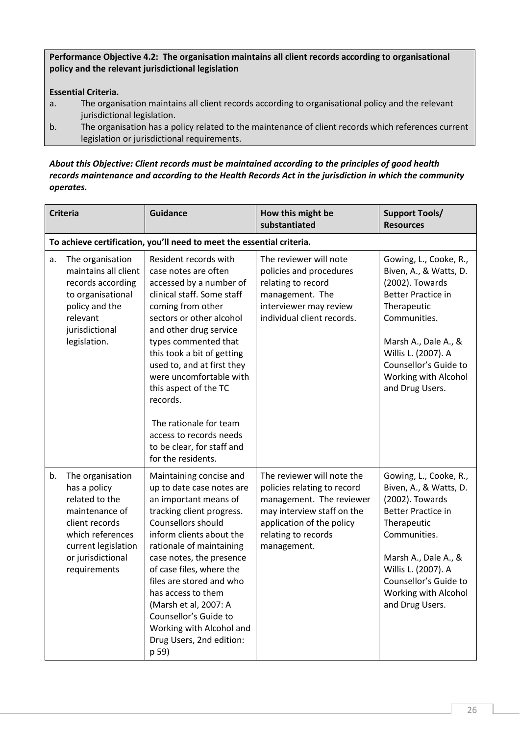Performance Objective 4.2: The organisation maintains all client records according to organisational policy and the relevant jurisdictional legislation

# Essential Criteria.

- a. The organisation maintains all client records according to organisational policy and the relevant jurisdictional legislation.
- b. The organisation has a policy related to the maintenance of client records which references current legislation or jurisdictional requirements.

## *About this Objective: Client records must be maintained according to the principles of good health records maintenance and according to the Health Records Act in the jurisdiction in which the community operates.*

|    | <b>Criteria</b>                                                                                                                                                        | <b>Guidance</b>                                                                                                                                                                                                                                                                                                                                                                                                                                | How this might be<br>substantiated                                                                                                                                                     | <b>Support Tools/</b><br><b>Resources</b>                                                                                                                                                                                                          |
|----|------------------------------------------------------------------------------------------------------------------------------------------------------------------------|------------------------------------------------------------------------------------------------------------------------------------------------------------------------------------------------------------------------------------------------------------------------------------------------------------------------------------------------------------------------------------------------------------------------------------------------|----------------------------------------------------------------------------------------------------------------------------------------------------------------------------------------|----------------------------------------------------------------------------------------------------------------------------------------------------------------------------------------------------------------------------------------------------|
|    |                                                                                                                                                                        | To achieve certification, you'll need to meet the essential criteria.                                                                                                                                                                                                                                                                                                                                                                          |                                                                                                                                                                                        |                                                                                                                                                                                                                                                    |
| a. | The organisation<br>maintains all client<br>records according<br>to organisational<br>policy and the<br>relevant<br>jurisdictional<br>legislation.                     | Resident records with<br>case notes are often<br>accessed by a number of<br>clinical staff. Some staff<br>coming from other<br>sectors or other alcohol<br>and other drug service<br>types commented that<br>this took a bit of getting<br>used to, and at first they<br>were uncomfortable with<br>this aspect of the TC<br>records.<br>The rationale for team<br>access to records needs<br>to be clear, for staff and<br>for the residents. | The reviewer will note<br>policies and procedures<br>relating to record<br>management. The<br>interviewer may review<br>individual client records.                                     | Gowing, L., Cooke, R.,<br>Biven, A., & Watts, D.<br>(2002). Towards<br><b>Better Practice in</b><br>Therapeutic<br>Communities.<br>Marsh A., Dale A., &<br>Willis L. (2007). A<br>Counsellor's Guide to<br>Working with Alcohol<br>and Drug Users. |
| b. | The organisation<br>has a policy<br>related to the<br>maintenance of<br>client records<br>which references<br>current legislation<br>or jurisdictional<br>requirements | Maintaining concise and<br>up to date case notes are<br>an important means of<br>tracking client progress.<br>Counsellors should<br>inform clients about the<br>rationale of maintaining<br>case notes, the presence<br>of case files, where the<br>files are stored and who<br>has access to them<br>(Marsh et al, 2007: A<br>Counsellor's Guide to<br>Working with Alcohol and<br>Drug Users, 2nd edition:<br>p 59)                          | The reviewer will note the<br>policies relating to record<br>management. The reviewer<br>may interview staff on the<br>application of the policy<br>relating to records<br>management. | Gowing, L., Cooke, R.,<br>Biven, A., & Watts, D.<br>(2002). Towards<br><b>Better Practice in</b><br>Therapeutic<br>Communities.<br>Marsh A., Dale A., &<br>Willis L. (2007). A<br>Counsellor's Guide to<br>Working with Alcohol<br>and Drug Users. |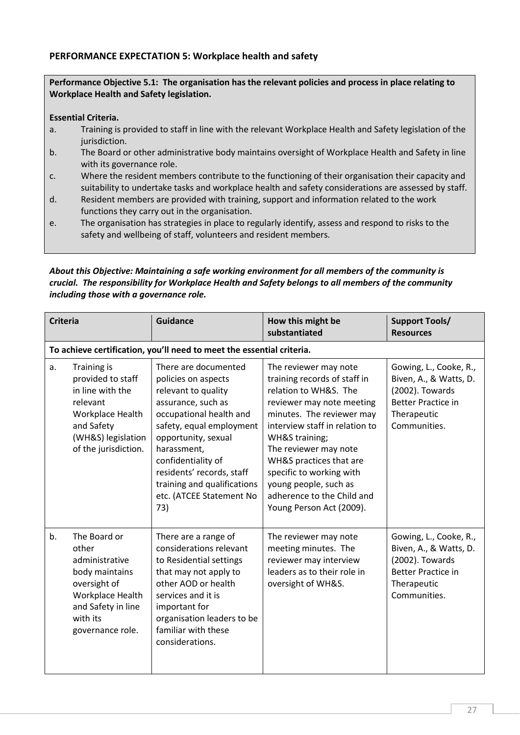## PERFORMANCE EXPECTATION 5: Workplace health and safety

#### Performance Objective 5.1: The organisation has the relevant policies and process in place relating to Workplace Health and Safety legislation.

#### Essential Criteria.

- a. Training is provided to staff in line with the relevant Workplace Health and Safety legislation of the jurisdiction.
- b. The Board or other administrative body maintains oversight of Workplace Health and Safety in line with its governance role.
- c. Where the resident members contribute to the functioning of their organisation their capacity and suitability to undertake tasks and workplace health and safety considerations are assessed by staff.
- d. Resident members are provided with training, support and information related to the work functions they carry out in the organisation.
- e. The organisation has strategies in place to regularly identify, assess and respond to risks to the safety and wellbeing of staff, volunteers and resident members.

### *About this Objective: Maintaining a safe working environment for all members of the community is crucial. The responsibility for Workplace Health and Safety belongs to all members of the community including those with a governance role.*

| <b>Criteria</b> |                                                                                                                                                         | <b>Guidance</b>                                                                                                                                                                                                                                                                                            | How this might be<br>substantiated                                                                                                                                                                                                                                                                                                                              | <b>Support Tools/</b><br><b>Resources</b>                                                                                       |  |
|-----------------|---------------------------------------------------------------------------------------------------------------------------------------------------------|------------------------------------------------------------------------------------------------------------------------------------------------------------------------------------------------------------------------------------------------------------------------------------------------------------|-----------------------------------------------------------------------------------------------------------------------------------------------------------------------------------------------------------------------------------------------------------------------------------------------------------------------------------------------------------------|---------------------------------------------------------------------------------------------------------------------------------|--|
|                 | To achieve certification, you'll need to meet the essential criteria.                                                                                   |                                                                                                                                                                                                                                                                                                            |                                                                                                                                                                                                                                                                                                                                                                 |                                                                                                                                 |  |
| a.              | <b>Training is</b><br>provided to staff<br>in line with the<br>relevant<br>Workplace Health<br>and Safety<br>(WH&S) legislation<br>of the jurisdiction. | There are documented<br>policies on aspects<br>relevant to quality<br>assurance, such as<br>occupational health and<br>safety, equal employment<br>opportunity, sexual<br>harassment,<br>confidentiality of<br>residents' records, staff<br>training and qualifications<br>etc. (ATCEE Statement No<br>73) | The reviewer may note<br>training records of staff in<br>relation to WH&S. The<br>reviewer may note meeting<br>minutes. The reviewer may<br>interview staff in relation to<br>WH&S training;<br>The reviewer may note<br>WH&S practices that are<br>specific to working with<br>young people, such as<br>adherence to the Child and<br>Young Person Act (2009). | Gowing, L., Cooke, R.,<br>Biven, A., & Watts, D.<br>(2002). Towards<br><b>Better Practice in</b><br>Therapeutic<br>Communities. |  |
| b.              | The Board or<br>other<br>administrative<br>body maintains<br>oversight of<br>Workplace Health<br>and Safety in line<br>with its<br>governance role.     | There are a range of<br>considerations relevant<br>to Residential settings<br>that may not apply to<br>other AOD or health<br>services and it is<br>important for<br>organisation leaders to be<br>familiar with these<br>considerations.                                                                  | The reviewer may note<br>meeting minutes. The<br>reviewer may interview<br>leaders as to their role in<br>oversight of WH&S.                                                                                                                                                                                                                                    | Gowing, L., Cooke, R.,<br>Biven, A., & Watts, D.<br>(2002). Towards<br><b>Better Practice in</b><br>Therapeutic<br>Communities. |  |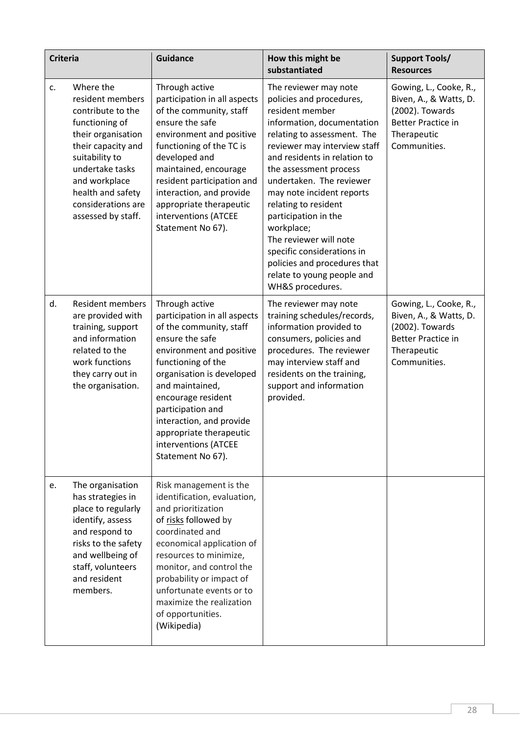| <b>Criteria</b> |                                                                                                                                                                                                                                         | <b>Guidance</b>                                                                                                                                                                                                                                                                                                                               | How this might be<br>substantiated                                                                                                                                                                                                                                                                                                                                                                                                                                                           | <b>Support Tools/</b><br><b>Resources</b>                                                                                       |
|-----------------|-----------------------------------------------------------------------------------------------------------------------------------------------------------------------------------------------------------------------------------------|-----------------------------------------------------------------------------------------------------------------------------------------------------------------------------------------------------------------------------------------------------------------------------------------------------------------------------------------------|----------------------------------------------------------------------------------------------------------------------------------------------------------------------------------------------------------------------------------------------------------------------------------------------------------------------------------------------------------------------------------------------------------------------------------------------------------------------------------------------|---------------------------------------------------------------------------------------------------------------------------------|
| c.              | Where the<br>resident members<br>contribute to the<br>functioning of<br>their organisation<br>their capacity and<br>suitability to<br>undertake tasks<br>and workplace<br>health and safety<br>considerations are<br>assessed by staff. | Through active<br>participation in all aspects<br>of the community, staff<br>ensure the safe<br>environment and positive<br>functioning of the TC is<br>developed and<br>maintained, encourage<br>resident participation and<br>interaction, and provide<br>appropriate therapeutic<br>interventions (ATCEE<br>Statement No 67).              | The reviewer may note<br>policies and procedures,<br>resident member<br>information, documentation<br>relating to assessment. The<br>reviewer may interview staff<br>and residents in relation to<br>the assessment process<br>undertaken. The reviewer<br>may note incident reports<br>relating to resident<br>participation in the<br>workplace;<br>The reviewer will note<br>specific considerations in<br>policies and procedures that<br>relate to young people and<br>WH&S procedures. | Gowing, L., Cooke, R.,<br>Biven, A., & Watts, D.<br>(2002). Towards<br><b>Better Practice in</b><br>Therapeutic<br>Communities. |
| d.              | <b>Resident members</b><br>are provided with<br>training, support<br>and information<br>related to the<br>work functions<br>they carry out in<br>the organisation.                                                                      | Through active<br>participation in all aspects<br>of the community, staff<br>ensure the safe<br>environment and positive<br>functioning of the<br>organisation is developed<br>and maintained,<br>encourage resident<br>participation and<br>interaction, and provide<br>appropriate therapeutic<br>interventions (ATCEE<br>Statement No 67). | The reviewer may note<br>training schedules/records,<br>information provided to<br>consumers, policies and<br>procedures. The reviewer<br>may interview staff and<br>residents on the training,<br>support and information<br>provided.                                                                                                                                                                                                                                                      | Gowing, L., Cooke, R.,<br>Biven, A., & Watts, D.<br>(2002). Towards<br><b>Better Practice in</b><br>Therapeutic<br>Communities. |
| e.              | The organisation<br>has strategies in<br>place to regularly<br>identify, assess<br>and respond to<br>risks to the safety<br>and wellbeing of<br>staff, volunteers<br>and resident<br>members.                                           | Risk management is the<br>identification, evaluation,<br>and prioritization<br>of risks followed by<br>coordinated and<br>economical application of<br>resources to minimize,<br>monitor, and control the<br>probability or impact of<br>unfortunate events or to<br>maximize the realization<br>of opportunities.<br>(Wikipedia)             |                                                                                                                                                                                                                                                                                                                                                                                                                                                                                              |                                                                                                                                 |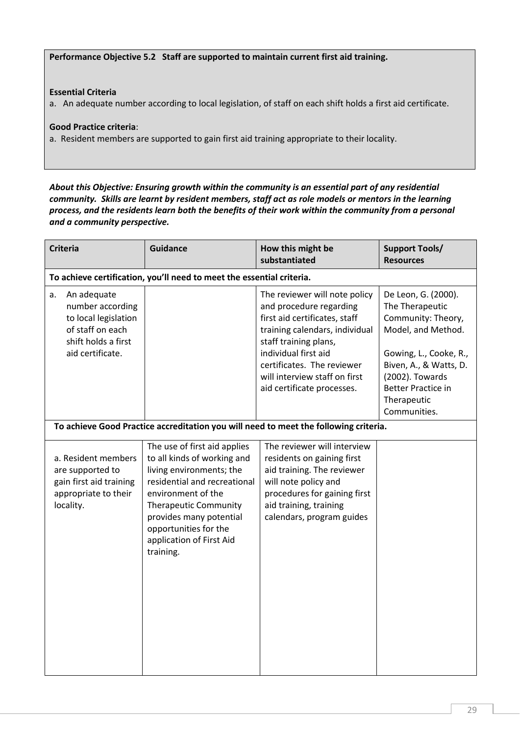Performance Objective 5.2 Staff are supported to maintain current first aid training.

## Essential Criteria

a. An adequate number according to local legislation, of staff on each shift holds a first aid certificate.

#### Good Practice criteria:

a. Resident members are supported to gain first aid training appropriate to their locality.

## *About this Objective: Ensuring growth within the community is an essential part of any residential community. Skills are learnt by resident members, staff act as role models or mentors in the learning process, and the residents learn both the benefits of their work within the community from a personal and a community perspective.*

| <b>Criteria</b>                                                                                                              | <b>Guidance</b>                                                                                                                                                                                                                                                            | How this might be<br>substantiated                                                                                                                                                                                                                                        | <b>Support Tools/</b><br><b>Resources</b>                                                                                                                                                                             |
|------------------------------------------------------------------------------------------------------------------------------|----------------------------------------------------------------------------------------------------------------------------------------------------------------------------------------------------------------------------------------------------------------------------|---------------------------------------------------------------------------------------------------------------------------------------------------------------------------------------------------------------------------------------------------------------------------|-----------------------------------------------------------------------------------------------------------------------------------------------------------------------------------------------------------------------|
|                                                                                                                              | To achieve certification, you'll need to meet the essential criteria.                                                                                                                                                                                                      |                                                                                                                                                                                                                                                                           |                                                                                                                                                                                                                       |
| An adequate<br>а.<br>number according<br>to local legislation<br>of staff on each<br>shift holds a first<br>aid certificate. |                                                                                                                                                                                                                                                                            | The reviewer will note policy<br>and procedure regarding<br>first aid certificates, staff<br>training calendars, individual<br>staff training plans,<br>individual first aid<br>certificates. The reviewer<br>will interview staff on first<br>aid certificate processes. | De Leon, G. (2000).<br>The Therapeutic<br>Community: Theory,<br>Model, and Method.<br>Gowing, L., Cooke, R.,<br>Biven, A., & Watts, D.<br>(2002). Towards<br><b>Better Practice in</b><br>Therapeutic<br>Communities. |
|                                                                                                                              |                                                                                                                                                                                                                                                                            | To achieve Good Practice accreditation you will need to meet the following criteria.                                                                                                                                                                                      |                                                                                                                                                                                                                       |
| a. Resident members<br>are supported to<br>gain first aid training<br>appropriate to their<br>locality.                      | The use of first aid applies<br>to all kinds of working and<br>living environments; the<br>residential and recreational<br>environment of the<br><b>Therapeutic Community</b><br>provides many potential<br>opportunities for the<br>application of First Aid<br>training. | The reviewer will interview<br>residents on gaining first<br>aid training. The reviewer<br>will note policy and<br>procedures for gaining first<br>aid training, training<br>calendars, program guides                                                                    |                                                                                                                                                                                                                       |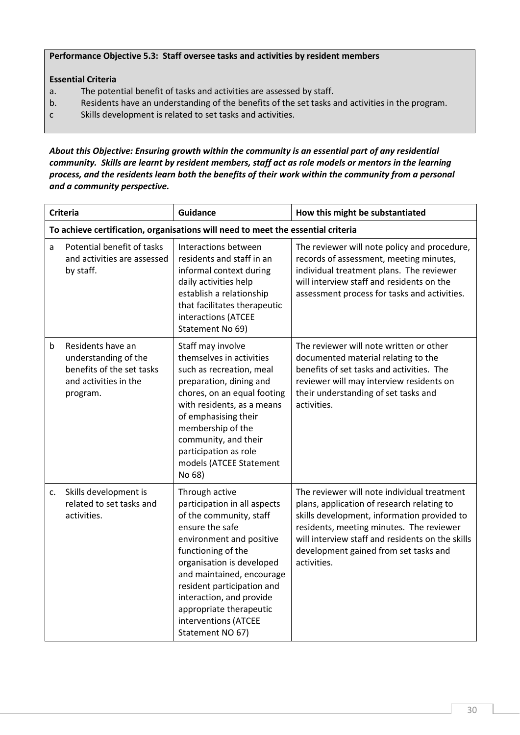#### Performance Objective 5.3: Staff oversee tasks and activities by resident members

## Essential Criteria

- a. The potential benefit of tasks and activities are assessed by staff.
- b. Residents have an understanding of the benefits of the set tasks and activities in the program.
- c Skills development is related to set tasks and activities.

## *About this Objective: Ensuring growth within the community is an essential part of any residential community. Skills are learnt by resident members, staff act as role models or mentors in the learning process, and the residents learn both the benefits of their work within the community from a personal and a community perspective.*

|    | <b>Criteria</b>                                                                                             | <b>Guidance</b>                                                                                                                                                                                                                                                                                                                           | How this might be substantiated                                                                                                                                                                                                                                                                  |
|----|-------------------------------------------------------------------------------------------------------------|-------------------------------------------------------------------------------------------------------------------------------------------------------------------------------------------------------------------------------------------------------------------------------------------------------------------------------------------|--------------------------------------------------------------------------------------------------------------------------------------------------------------------------------------------------------------------------------------------------------------------------------------------------|
|    |                                                                                                             | To achieve certification, organisations will need to meet the essential criteria                                                                                                                                                                                                                                                          |                                                                                                                                                                                                                                                                                                  |
| a  | Potential benefit of tasks<br>and activities are assessed<br>by staff.                                      | Interactions between<br>residents and staff in an<br>informal context during<br>daily activities help<br>establish a relationship<br>that facilitates therapeutic<br>interactions (ATCEE<br>Statement No 69)                                                                                                                              | The reviewer will note policy and procedure,<br>records of assessment, meeting minutes,<br>individual treatment plans. The reviewer<br>will interview staff and residents on the<br>assessment process for tasks and activities.                                                                 |
| b  | Residents have an<br>understanding of the<br>benefits of the set tasks<br>and activities in the<br>program. | Staff may involve<br>themselves in activities<br>such as recreation, meal<br>preparation, dining and<br>chores, on an equal footing<br>with residents, as a means<br>of emphasising their<br>membership of the<br>community, and their<br>participation as role<br>models (ATCEE Statement<br>No 68)                                      | The reviewer will note written or other<br>documented material relating to the<br>benefits of set tasks and activities. The<br>reviewer will may interview residents on<br>their understanding of set tasks and<br>activities.                                                                   |
| c. | Skills development is<br>related to set tasks and<br>activities.                                            | Through active<br>participation in all aspects<br>of the community, staff<br>ensure the safe<br>environment and positive<br>functioning of the<br>organisation is developed<br>and maintained, encourage<br>resident participation and<br>interaction, and provide<br>appropriate therapeutic<br>interventions (ATCEE<br>Statement NO 67) | The reviewer will note individual treatment<br>plans, application of research relating to<br>skills development, information provided to<br>residents, meeting minutes. The reviewer<br>will interview staff and residents on the skills<br>development gained from set tasks and<br>activities. |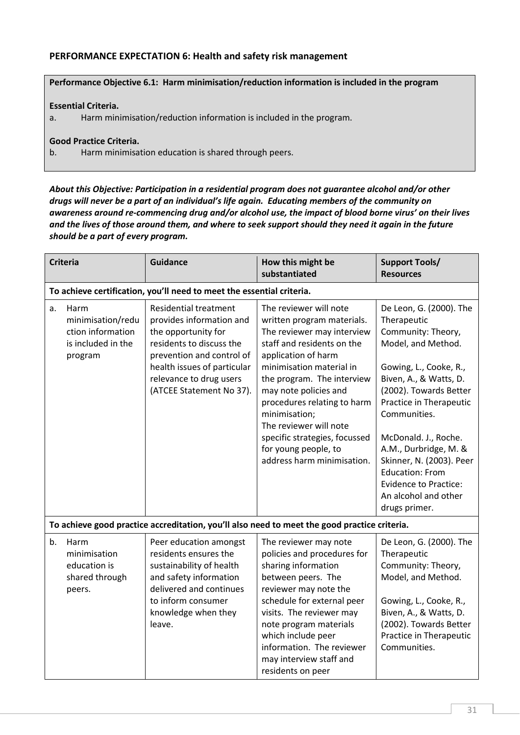# PERFORMANCE EXPECTATION 6: Health and safety risk management

## Performance Objective 6.1: Harm minimisation/reduction information is included in the program

#### Essential Criteria.

a. Harm minimisation/reduction information is included in the program.

#### Good Practice Criteria.

b. Harm minimisation education is shared through peers.

*About this Objective: Participation in a residential program does not guarantee alcohol and/or other drugs will never be a part of an individual's life again. Educating members of the community on awareness around re-commencing drug and/or alcohol use, the impact of blood borne virus' on their lives and the lives of those around them, and where to seek support should they need it again in the future should be a part of every program.*

|    | <b>Criteria</b>                                                                 | <b>Guidance</b>                                                                                                                                                                                                                | How this might be<br>substantiated                                                                                                                                                                                                                                                                                                                                                          | <b>Support Tools/</b><br><b>Resources</b>                                                                                                                                                                                                                                                                                                                                                   |
|----|---------------------------------------------------------------------------------|--------------------------------------------------------------------------------------------------------------------------------------------------------------------------------------------------------------------------------|---------------------------------------------------------------------------------------------------------------------------------------------------------------------------------------------------------------------------------------------------------------------------------------------------------------------------------------------------------------------------------------------|---------------------------------------------------------------------------------------------------------------------------------------------------------------------------------------------------------------------------------------------------------------------------------------------------------------------------------------------------------------------------------------------|
|    |                                                                                 | To achieve certification, you'll need to meet the essential criteria.                                                                                                                                                          |                                                                                                                                                                                                                                                                                                                                                                                             |                                                                                                                                                                                                                                                                                                                                                                                             |
| a. | Harm<br>minimisation/redu<br>ction information<br>is included in the<br>program | <b>Residential treatment</b><br>provides information and<br>the opportunity for<br>residents to discuss the<br>prevention and control of<br>health issues of particular<br>relevance to drug users<br>(ATCEE Statement No 37). | The reviewer will note<br>written program materials.<br>The reviewer may interview<br>staff and residents on the<br>application of harm<br>minimisation material in<br>the program. The interview<br>may note policies and<br>procedures relating to harm<br>minimisation;<br>The reviewer will note<br>specific strategies, focussed<br>for young people, to<br>address harm minimisation. | De Leon, G. (2000). The<br>Therapeutic<br>Community: Theory,<br>Model, and Method.<br>Gowing, L., Cooke, R.,<br>Biven, A., & Watts, D.<br>(2002). Towards Better<br>Practice in Therapeutic<br>Communities.<br>McDonald. J., Roche.<br>A.M., Durbridge, M. &<br>Skinner, N. (2003). Peer<br><b>Education: From</b><br><b>Evidence to Practice:</b><br>An alcohol and other<br>drugs primer. |
|    |                                                                                 |                                                                                                                                                                                                                                | To achieve good practice accreditation, you'll also need to meet the good practice criteria.                                                                                                                                                                                                                                                                                                |                                                                                                                                                                                                                                                                                                                                                                                             |
| b. | Harm<br>minimisation<br>education is<br>shared through<br>peers.                | Peer education amongst<br>residents ensures the<br>sustainability of health<br>and safety information<br>delivered and continues<br>to inform consumer<br>knowledge when they<br>leave.                                        | The reviewer may note<br>policies and procedures for<br>sharing information<br>between peers. The<br>reviewer may note the<br>schedule for external peer<br>visits. The reviewer may<br>note program materials<br>which include peer<br>information. The reviewer<br>may interview staff and<br>residents on peer                                                                           | De Leon, G. (2000). The<br>Therapeutic<br>Community: Theory,<br>Model, and Method.<br>Gowing, L., Cooke, R.,<br>Biven, A., & Watts, D.<br>(2002). Towards Better<br>Practice in Therapeutic<br>Communities.                                                                                                                                                                                 |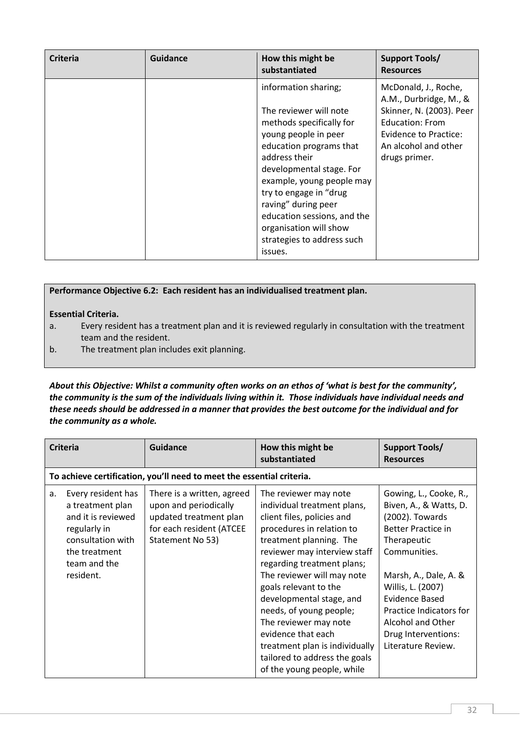| <b>Criteria</b> | Guidance | How this might be<br>substantiated                                                                                                                                                                                                                                                                                                                         | <b>Support Tools/</b><br><b>Resources</b>                                                                                                                              |
|-----------------|----------|------------------------------------------------------------------------------------------------------------------------------------------------------------------------------------------------------------------------------------------------------------------------------------------------------------------------------------------------------------|------------------------------------------------------------------------------------------------------------------------------------------------------------------------|
|                 |          | information sharing;<br>The reviewer will note<br>methods specifically for<br>young people in peer<br>education programs that<br>address their<br>developmental stage. For<br>example, young people may<br>try to engage in "drug<br>raving" during peer<br>education sessions, and the<br>organisation will show<br>strategies to address such<br>issues. | McDonald, J., Roche,<br>A.M., Durbridge, M., &<br>Skinner, N. (2003). Peer<br><b>Education: From</b><br>Evidence to Practice:<br>An alcohol and other<br>drugs primer. |

## Performance Objective 6.2: Each resident has an individualised treatment plan.

#### Essential Criteria.

- a. Every resident has a treatment plan and it is reviewed regularly in consultation with the treatment team and the resident.
- b. The treatment plan includes exit planning.

*About this Objective: Whilst a community often works on an ethos of 'what is best for the community', the community is the sum of the individuals living within it. Those individuals have individual needs and these needs should be addressed in a manner that provides the best outcome for the individual and for the community as a whole.*

|    | <b>Criteria</b>                                                                                                                                 | <b>Guidance</b>                                                                                                               | How this might be<br>substantiated                                                                                                                                                                                                                                                                                                                                                                                                                                     | <b>Support Tools/</b><br><b>Resources</b>                                                                                                                                                                                                                                                           |
|----|-------------------------------------------------------------------------------------------------------------------------------------------------|-------------------------------------------------------------------------------------------------------------------------------|------------------------------------------------------------------------------------------------------------------------------------------------------------------------------------------------------------------------------------------------------------------------------------------------------------------------------------------------------------------------------------------------------------------------------------------------------------------------|-----------------------------------------------------------------------------------------------------------------------------------------------------------------------------------------------------------------------------------------------------------------------------------------------------|
|    |                                                                                                                                                 | To achieve certification, you'll need to meet the essential criteria.                                                         |                                                                                                                                                                                                                                                                                                                                                                                                                                                                        |                                                                                                                                                                                                                                                                                                     |
| a. | Every resident has<br>a treatment plan<br>and it is reviewed<br>regularly in<br>consultation with<br>the treatment<br>team and the<br>resident. | There is a written, agreed<br>upon and periodically<br>updated treatment plan<br>for each resident (ATCEE<br>Statement No 53) | The reviewer may note<br>individual treatment plans,<br>client files, policies and<br>procedures in relation to<br>treatment planning. The<br>reviewer may interview staff<br>regarding treatment plans;<br>The reviewer will may note<br>goals relevant to the<br>developmental stage, and<br>needs, of young people;<br>The reviewer may note<br>evidence that each<br>treatment plan is individually<br>tailored to address the goals<br>of the young people, while | Gowing, L., Cooke, R.,<br>Biven, A., & Watts, D.<br>(2002). Towards<br><b>Better Practice in</b><br>Therapeutic<br>Communities.<br>Marsh, A., Dale, A. &<br>Willis, L. (2007)<br><b>Evidence Based</b><br>Practice Indicators for<br>Alcohol and Other<br>Drug Interventions:<br>Literature Review. |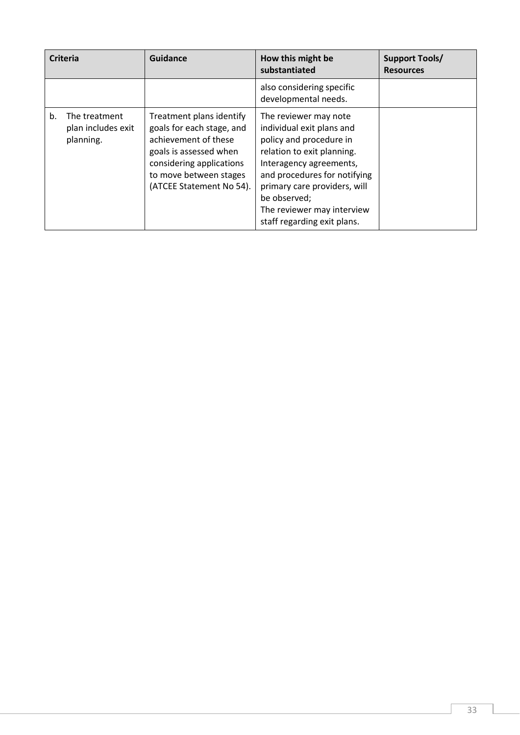| <b>Criteria</b>                                        | Guidance                                                                                                                                                                                  | How this might be<br>substantiated                                                                                                                                                                                                                                                  | <b>Support Tools/</b><br><b>Resources</b> |
|--------------------------------------------------------|-------------------------------------------------------------------------------------------------------------------------------------------------------------------------------------------|-------------------------------------------------------------------------------------------------------------------------------------------------------------------------------------------------------------------------------------------------------------------------------------|-------------------------------------------|
|                                                        |                                                                                                                                                                                           | also considering specific<br>developmental needs.                                                                                                                                                                                                                                   |                                           |
| The treatment<br>b.<br>plan includes exit<br>planning. | Treatment plans identify<br>goals for each stage, and<br>achievement of these<br>goals is assessed when<br>considering applications<br>to move between stages<br>(ATCEE Statement No 54). | The reviewer may note<br>individual exit plans and<br>policy and procedure in<br>relation to exit planning.<br>Interagency agreements,<br>and procedures for notifying<br>primary care providers, will<br>be observed;<br>The reviewer may interview<br>staff regarding exit plans. |                                           |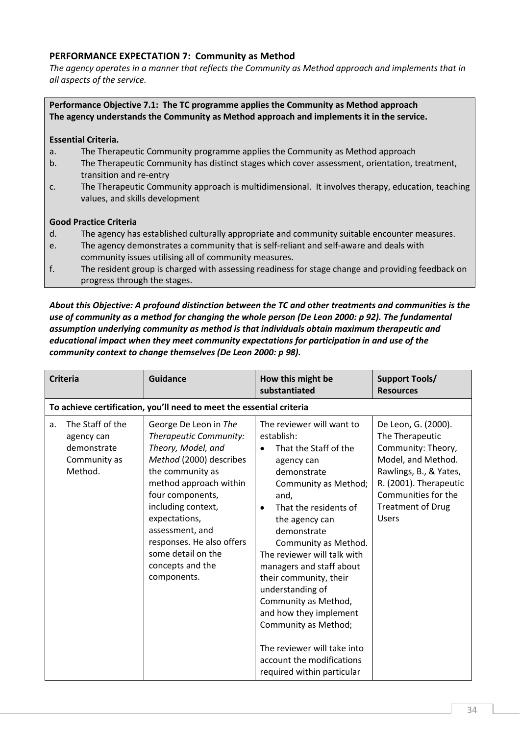# PERFORMANCE EXPECTATION 7: Community as Method

*The agency operates in a manner that reflects the Community as Method approach and implements that in all aspects of the service.*

Performance Objective 7.1: The TC programme applies the Community as Method approach The agency understands the Community as Method approach and implements it in the service.

#### Essential Criteria.

- a. The Therapeutic Community programme applies the Community as Method approach
- b. The Therapeutic Community has distinct stages which cover assessment, orientation, treatment, transition and re-entry
- c. The Therapeutic Community approach is multidimensional. It involves therapy, education, teaching values, and skills development

#### Good Practice Criteria

- d. The agency has established culturally appropriate and community suitable encounter measures.
- e. The agency demonstrates a community that is self-reliant and self-aware and deals with community issues utilising all of community measures.
- f. The resident group is charged with assessing readiness for stage change and providing feedback on progress through the stages.

*About this Objective: A profound distinction between the TC and other treatments and communities is the use of community as a method for changing the whole person (De Leon 2000: p 92). The fundamental assumption underlying community as method is that individuals obtain maximum therapeutic and educational impact when they meet community expectations for participation in and use of the community context to change themselves (De Leon 2000: p 98).*

|    | <b>Criteria</b>                                                          | <b>Guidance</b>                                                                                                                                                                                                                                                                                                    | How this might be<br>substantiated                                                                                                                                                                                                                                                                                                                                                                                                                                                                        | <b>Support Tools/</b><br><b>Resources</b>                                                                                                                                                                 |
|----|--------------------------------------------------------------------------|--------------------------------------------------------------------------------------------------------------------------------------------------------------------------------------------------------------------------------------------------------------------------------------------------------------------|-----------------------------------------------------------------------------------------------------------------------------------------------------------------------------------------------------------------------------------------------------------------------------------------------------------------------------------------------------------------------------------------------------------------------------------------------------------------------------------------------------------|-----------------------------------------------------------------------------------------------------------------------------------------------------------------------------------------------------------|
|    |                                                                          | To achieve certification, you'll need to meet the essential criteria                                                                                                                                                                                                                                               |                                                                                                                                                                                                                                                                                                                                                                                                                                                                                                           |                                                                                                                                                                                                           |
| a. | The Staff of the<br>agency can<br>demonstrate<br>Community as<br>Method. | George De Leon in The<br>Therapeutic Community:<br>Theory, Model, and<br>Method (2000) describes<br>the community as<br>method approach within<br>four components,<br>including context,<br>expectations,<br>assessment, and<br>responses. He also offers<br>some detail on the<br>concepts and the<br>components. | The reviewer will want to<br>establish:<br>That the Staff of the<br>agency can<br>demonstrate<br>Community as Method;<br>and,<br>That the residents of<br>$\bullet$<br>the agency can<br>demonstrate<br>Community as Method.<br>The reviewer will talk with<br>managers and staff about<br>their community, their<br>understanding of<br>Community as Method,<br>and how they implement<br>Community as Method;<br>The reviewer will take into<br>account the modifications<br>required within particular | De Leon, G. (2000).<br>The Therapeutic<br>Community: Theory,<br>Model, and Method.<br>Rawlings, B., & Yates,<br>R. (2001). Therapeutic<br>Communities for the<br><b>Treatment of Drug</b><br><b>Users</b> |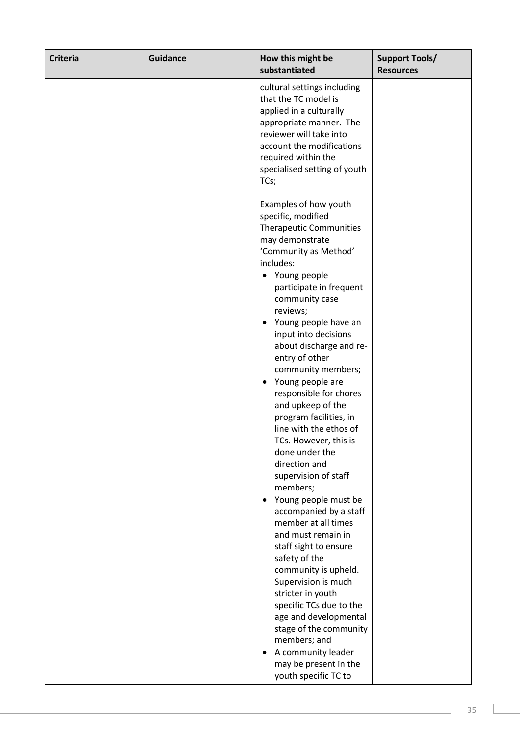| <b>Criteria</b> | <b>Guidance</b> | How this might be<br>substantiated                                                                                                                                                                                                                                                                                                                                                                                                                                                                                                                                                                                                                                                                                                                                                                                                                                                                                                               | <b>Support Tools/</b><br><b>Resources</b> |
|-----------------|-----------------|--------------------------------------------------------------------------------------------------------------------------------------------------------------------------------------------------------------------------------------------------------------------------------------------------------------------------------------------------------------------------------------------------------------------------------------------------------------------------------------------------------------------------------------------------------------------------------------------------------------------------------------------------------------------------------------------------------------------------------------------------------------------------------------------------------------------------------------------------------------------------------------------------------------------------------------------------|-------------------------------------------|
|                 |                 | cultural settings including<br>that the TC model is<br>applied in a culturally<br>appropriate manner. The<br>reviewer will take into<br>account the modifications<br>required within the<br>specialised setting of youth<br>TCs;                                                                                                                                                                                                                                                                                                                                                                                                                                                                                                                                                                                                                                                                                                                 |                                           |
|                 |                 | Examples of how youth<br>specific, modified<br><b>Therapeutic Communities</b><br>may demonstrate<br>'Community as Method'<br>includes:<br>• Young people<br>participate in frequent<br>community case<br>reviews;<br>Young people have an<br>$\bullet$<br>input into decisions<br>about discharge and re-<br>entry of other<br>community members;<br>Young people are<br>$\bullet$<br>responsible for chores<br>and upkeep of the<br>program facilities, in<br>line with the ethos of<br>TCs. However, this is<br>done under the<br>direction and<br>supervision of staff<br>members;<br>Young people must be<br>$\bullet$<br>accompanied by a staff<br>member at all times<br>and must remain in<br>staff sight to ensure<br>safety of the<br>community is upheld.<br>Supervision is much<br>stricter in youth<br>specific TCs due to the<br>age and developmental<br>stage of the community<br>members; and<br>A community leader<br>$\bullet$ |                                           |
|                 |                 | may be present in the<br>youth specific TC to                                                                                                                                                                                                                                                                                                                                                                                                                                                                                                                                                                                                                                                                                                                                                                                                                                                                                                    |                                           |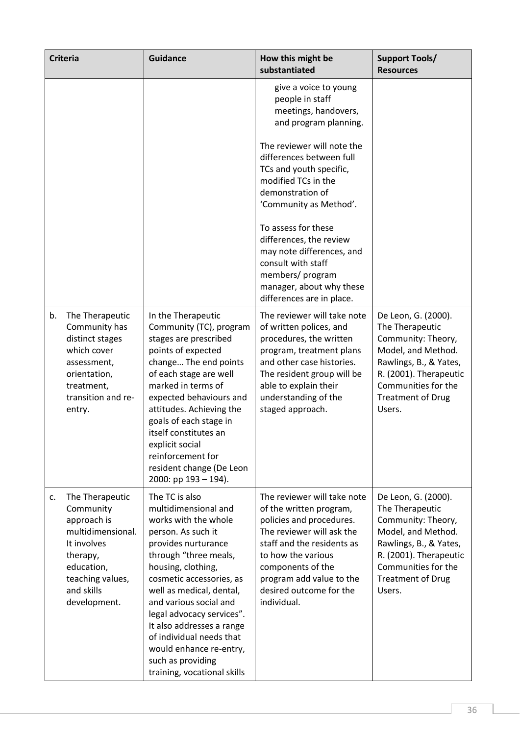| <b>Criteria</b> |                                                                                                                                                             | <b>Guidance</b>                                                                                                                                                                                                                                                                                                                                                                                                   | How this might be<br>substantiated                                                                                                                                                                                                                             | <b>Support Tools/</b><br><b>Resources</b>                                                                                                                                                           |
|-----------------|-------------------------------------------------------------------------------------------------------------------------------------------------------------|-------------------------------------------------------------------------------------------------------------------------------------------------------------------------------------------------------------------------------------------------------------------------------------------------------------------------------------------------------------------------------------------------------------------|----------------------------------------------------------------------------------------------------------------------------------------------------------------------------------------------------------------------------------------------------------------|-----------------------------------------------------------------------------------------------------------------------------------------------------------------------------------------------------|
|                 |                                                                                                                                                             |                                                                                                                                                                                                                                                                                                                                                                                                                   | give a voice to young<br>people in staff<br>meetings, handovers,<br>and program planning.                                                                                                                                                                      |                                                                                                                                                                                                     |
|                 |                                                                                                                                                             |                                                                                                                                                                                                                                                                                                                                                                                                                   | The reviewer will note the<br>differences between full<br>TCs and youth specific,<br>modified TCs in the<br>demonstration of<br>'Community as Method'.                                                                                                         |                                                                                                                                                                                                     |
|                 |                                                                                                                                                             |                                                                                                                                                                                                                                                                                                                                                                                                                   | To assess for these<br>differences, the review<br>may note differences, and<br>consult with staff<br>members/program<br>manager, about why these<br>differences are in place.                                                                                  |                                                                                                                                                                                                     |
| b.              | The Therapeutic<br>Community has<br>distinct stages<br>which cover<br>assessment,<br>orientation,<br>treatment,<br>transition and re-<br>entry.             | In the Therapeutic<br>Community (TC), program<br>stages are prescribed<br>points of expected<br>change The end points<br>of each stage are well<br>marked in terms of<br>expected behaviours and<br>attitudes. Achieving the<br>goals of each stage in<br>itself constitutes an<br>explicit social<br>reinforcement for<br>resident change (De Leon<br>2000: pp $193 - 194$ ).                                    | The reviewer will take note<br>of written polices, and<br>procedures, the written<br>program, treatment plans<br>and other case histories.<br>The resident group will be<br>able to explain their<br>understanding of the<br>staged approach.                  | De Leon, G. (2000).<br>The Therapeutic<br>Community: Theory,<br>Model, and Method.<br>Rawlings, B., & Yates,<br>R. (2001). Therapeutic<br>Communities for the<br><b>Treatment of Drug</b><br>Users. |
| c.              | The Therapeutic<br>Community<br>approach is<br>multidimensional.<br>It involves<br>therapy,<br>education,<br>teaching values,<br>and skills<br>development. | The TC is also<br>multidimensional and<br>works with the whole<br>person. As such it<br>provides nurturance<br>through "three meals,<br>housing, clothing,<br>cosmetic accessories, as<br>well as medical, dental,<br>and various social and<br>legal advocacy services".<br>It also addresses a range<br>of individual needs that<br>would enhance re-entry,<br>such as providing<br>training, vocational skills | The reviewer will take note<br>of the written program,<br>policies and procedures.<br>The reviewer will ask the<br>staff and the residents as<br>to how the various<br>components of the<br>program add value to the<br>desired outcome for the<br>individual. | De Leon, G. (2000).<br>The Therapeutic<br>Community: Theory,<br>Model, and Method.<br>Rawlings, B., & Yates,<br>R. (2001). Therapeutic<br>Communities for the<br><b>Treatment of Drug</b><br>Users. |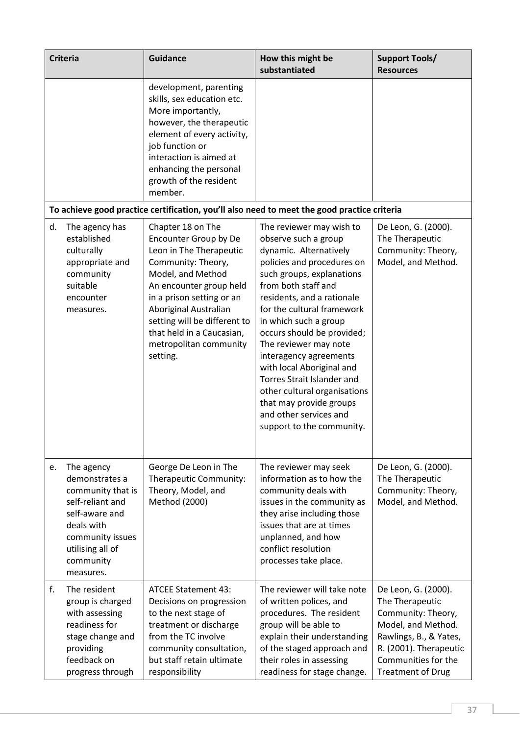|    | <b>Criteria</b>                                                                                                                                                         | <b>Guidance</b>                                                                                                                                                                                                                                                                                      | How this might be<br>substantiated                                                                                                                                                                                                                                                                                                                                                                                                                                                                                     | <b>Support Tools/</b><br><b>Resources</b>                                                                                                                                                 |
|----|-------------------------------------------------------------------------------------------------------------------------------------------------------------------------|------------------------------------------------------------------------------------------------------------------------------------------------------------------------------------------------------------------------------------------------------------------------------------------------------|------------------------------------------------------------------------------------------------------------------------------------------------------------------------------------------------------------------------------------------------------------------------------------------------------------------------------------------------------------------------------------------------------------------------------------------------------------------------------------------------------------------------|-------------------------------------------------------------------------------------------------------------------------------------------------------------------------------------------|
|    |                                                                                                                                                                         | development, parenting<br>skills, sex education etc.<br>More importantly,<br>however, the therapeutic<br>element of every activity,<br>job function or<br>interaction is aimed at<br>enhancing the personal<br>growth of the resident<br>member.                                                     |                                                                                                                                                                                                                                                                                                                                                                                                                                                                                                                        |                                                                                                                                                                                           |
|    |                                                                                                                                                                         |                                                                                                                                                                                                                                                                                                      | To achieve good practice certification, you'll also need to meet the good practice criteria                                                                                                                                                                                                                                                                                                                                                                                                                            |                                                                                                                                                                                           |
| d. | The agency has<br>established<br>culturally<br>appropriate and<br>community<br>suitable<br>encounter<br>measures.                                                       | Chapter 18 on The<br>Encounter Group by De<br>Leon in The Therapeutic<br>Community: Theory,<br>Model, and Method<br>An encounter group held<br>in a prison setting or an<br>Aboriginal Australian<br>setting will be different to<br>that held in a Caucasian,<br>metropolitan community<br>setting. | The reviewer may wish to<br>observe such a group<br>dynamic. Alternatively<br>policies and procedures on<br>such groups, explanations<br>from both staff and<br>residents, and a rationale<br>for the cultural framework<br>in which such a group<br>occurs should be provided;<br>The reviewer may note<br>interagency agreements<br>with local Aboriginal and<br><b>Torres Strait Islander and</b><br>other cultural organisations<br>that may provide groups<br>and other services and<br>support to the community. | De Leon, G. (2000).<br>The Therapeutic<br>Community: Theory,<br>Model, and Method.                                                                                                        |
| е. | The agency<br>demonstrates a<br>community that is<br>self-reliant and<br>self-aware and<br>deals with<br>community issues<br>utilising all of<br>community<br>measures. | George De Leon in The<br>Therapeutic Community:<br>Theory, Model, and<br>Method (2000)                                                                                                                                                                                                               | The reviewer may seek<br>information as to how the<br>community deals with<br>issues in the community as<br>they arise including those<br>issues that are at times<br>unplanned, and how<br>conflict resolution<br>processes take place.                                                                                                                                                                                                                                                                               | De Leon, G. (2000).<br>The Therapeutic<br>Community: Theory,<br>Model, and Method.                                                                                                        |
| f. | The resident<br>group is charged<br>with assessing<br>readiness for<br>stage change and<br>providing<br>feedback on<br>progress through                                 | <b>ATCEE Statement 43:</b><br>Decisions on progression<br>to the next stage of<br>treatment or discharge<br>from the TC involve<br>community consultation,<br>but staff retain ultimate<br>responsibility                                                                                            | The reviewer will take note<br>of written polices, and<br>procedures. The resident<br>group will be able to<br>explain their understanding<br>of the staged approach and<br>their roles in assessing<br>readiness for stage change.                                                                                                                                                                                                                                                                                    | De Leon, G. (2000).<br>The Therapeutic<br>Community: Theory,<br>Model, and Method.<br>Rawlings, B., & Yates,<br>R. (2001). Therapeutic<br>Communities for the<br><b>Treatment of Drug</b> |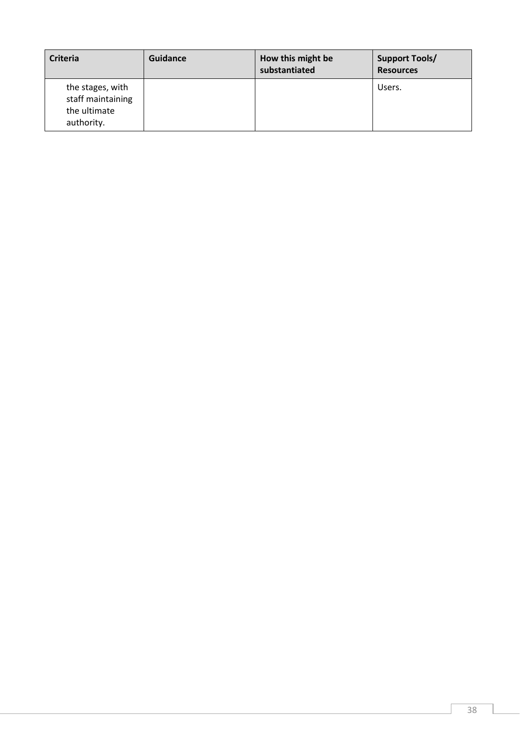| <b>Criteria</b>                                                     | Guidance | How this might be<br>substantiated | <b>Support Tools/</b><br><b>Resources</b> |
|---------------------------------------------------------------------|----------|------------------------------------|-------------------------------------------|
| the stages, with<br>staff maintaining<br>the ultimate<br>authority. |          |                                    | Users.                                    |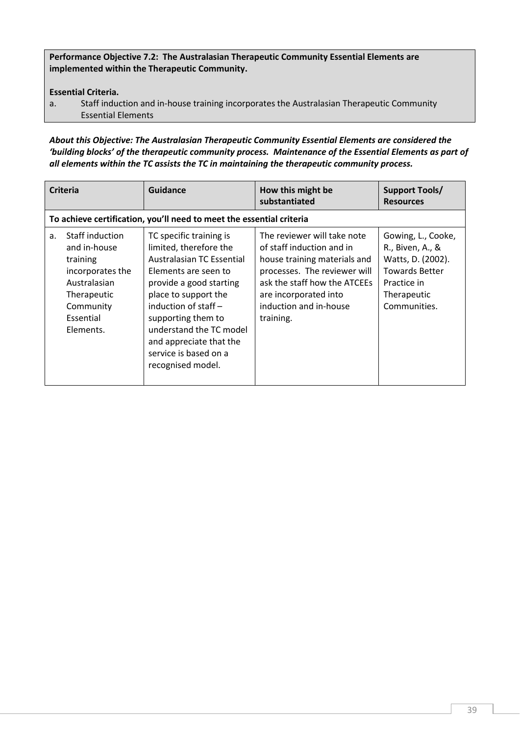Performance Objective 7.2: The Australasian Therapeutic Community Essential Elements are implemented within the Therapeutic Community.

# Essential Criteria.

a. Staff induction and in-house training incorporates the Australasian Therapeutic Community Essential Elements

*About this Objective: The Australasian Therapeutic Community Essential Elements are considered the 'building blocks' of the therapeutic community process. Maintenance of the Essential Elements as part of all elements within the TC assists the TC in maintaining the therapeutic community process.* 

|                | <b>Criteria</b>                                                                                                                       | Guidance                                                                                                                                                                                                                                                                                                      | How this might be<br>substantiated                                                                                                                                                                                       | <b>Support Tools/</b><br><b>Resources</b>                                                                                          |
|----------------|---------------------------------------------------------------------------------------------------------------------------------------|---------------------------------------------------------------------------------------------------------------------------------------------------------------------------------------------------------------------------------------------------------------------------------------------------------------|--------------------------------------------------------------------------------------------------------------------------------------------------------------------------------------------------------------------------|------------------------------------------------------------------------------------------------------------------------------------|
|                |                                                                                                                                       | To achieve certification, you'll need to meet the essential criteria                                                                                                                                                                                                                                          |                                                                                                                                                                                                                          |                                                                                                                                    |
| a <sub>z</sub> | Staff induction<br>and in-house<br>training<br>incorporates the<br>Australasian<br>Therapeutic<br>Community<br>Essential<br>Elements. | TC specific training is<br>limited, therefore the<br>Australasian TC Essential<br>Elements are seen to<br>provide a good starting<br>place to support the<br>induction of staff $-$<br>supporting them to<br>understand the TC model<br>and appreciate that the<br>service is based on a<br>recognised model. | The reviewer will take note<br>of staff induction and in<br>house training materials and<br>processes. The reviewer will<br>ask the staff how the ATCEEs<br>are incorporated into<br>induction and in-house<br>training. | Gowing, L., Cooke,<br>R., Biven, A., &<br>Watts, D. (2002).<br><b>Towards Better</b><br>Practice in<br>Therapeutic<br>Communities. |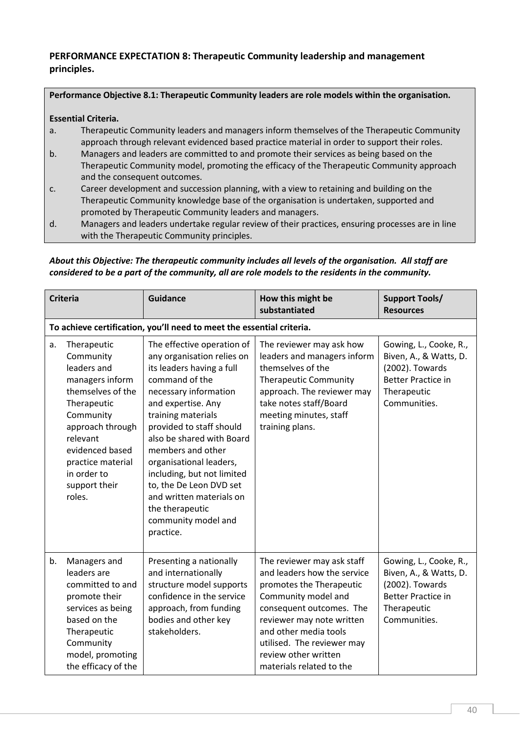# PERFORMANCE EXPECTATION 8: Therapeutic Community leadership and management principles.

#### Performance Objective 8.1: Therapeutic Community leaders are role models within the organisation.

## Essential Criteria.

- a. Therapeutic Community leaders and managers inform themselves of the Therapeutic Community approach through relevant evidenced based practice material in order to support their roles.
- b. Managers and leaders are committed to and promote their services as being based on the Therapeutic Community model, promoting the efficacy of the Therapeutic Community approach and the consequent outcomes.
- c. Career development and succession planning, with a view to retaining and building on the Therapeutic Community knowledge base of the organisation is undertaken, supported and promoted by Therapeutic Community leaders and managers.
- d. Managers and leaders undertake regular review of their practices, ensuring processes are in line with the Therapeutic Community principles.

## *About this Objective: The therapeutic community includes all levels of the organisation. All staff are considered to be a part of the community, all are role models to the residents in the community.*

|    | <b>Criteria</b>                                                                                                                                                                                                               | <b>Guidance</b>                                                                                                                                                                                                                                                                                                                                                                                                                   | How this might be<br>substantiated                                                                                                                                                                                                                                               | <b>Support Tools/</b><br><b>Resources</b>                                                                                       |
|----|-------------------------------------------------------------------------------------------------------------------------------------------------------------------------------------------------------------------------------|-----------------------------------------------------------------------------------------------------------------------------------------------------------------------------------------------------------------------------------------------------------------------------------------------------------------------------------------------------------------------------------------------------------------------------------|----------------------------------------------------------------------------------------------------------------------------------------------------------------------------------------------------------------------------------------------------------------------------------|---------------------------------------------------------------------------------------------------------------------------------|
|    |                                                                                                                                                                                                                               | To achieve certification, you'll need to meet the essential criteria.                                                                                                                                                                                                                                                                                                                                                             |                                                                                                                                                                                                                                                                                  |                                                                                                                                 |
| a. | Therapeutic<br>Community<br>leaders and<br>managers inform<br>themselves of the<br>Therapeutic<br>Community<br>approach through<br>relevant<br>evidenced based<br>practice material<br>in order to<br>support their<br>roles. | The effective operation of<br>any organisation relies on<br>its leaders having a full<br>command of the<br>necessary information<br>and expertise. Any<br>training materials<br>provided to staff should<br>also be shared with Board<br>members and other<br>organisational leaders,<br>including, but not limited<br>to, the De Leon DVD set<br>and written materials on<br>the therapeutic<br>community model and<br>practice. | The reviewer may ask how<br>leaders and managers inform<br>themselves of the<br><b>Therapeutic Community</b><br>approach. The reviewer may<br>take notes staff/Board<br>meeting minutes, staff<br>training plans.                                                                | Gowing, L., Cooke, R.,<br>Biven, A., & Watts, D.<br>(2002). Towards<br><b>Better Practice in</b><br>Therapeutic<br>Communities. |
| b. | Managers and<br>leaders are<br>committed to and<br>promote their<br>services as being<br>based on the<br>Therapeutic<br>Community<br>model, promoting<br>the efficacy of the                                                  | Presenting a nationally<br>and internationally<br>structure model supports<br>confidence in the service<br>approach, from funding<br>bodies and other key<br>stakeholders.                                                                                                                                                                                                                                                        | The reviewer may ask staff<br>and leaders how the service<br>promotes the Therapeutic<br>Community model and<br>consequent outcomes. The<br>reviewer may note written<br>and other media tools<br>utilised. The reviewer may<br>review other written<br>materials related to the | Gowing, L., Cooke, R.,<br>Biven, A., & Watts, D.<br>(2002). Towards<br><b>Better Practice in</b><br>Therapeutic<br>Communities. |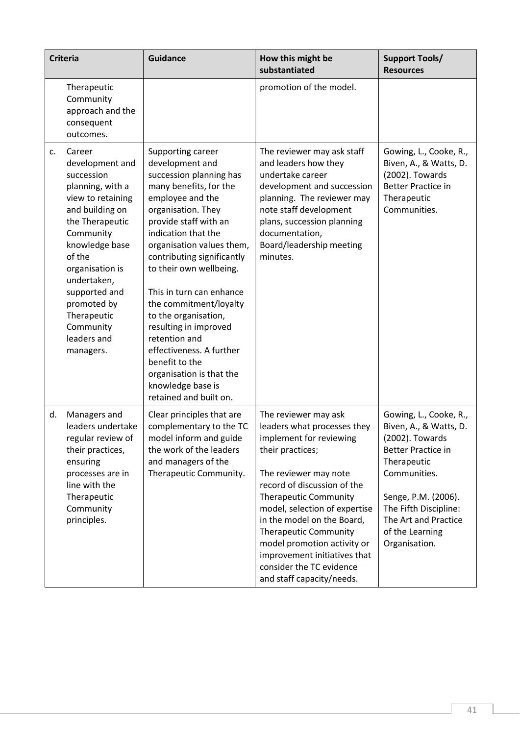|    | <b>Criteria</b>                                                                                                                                                                                                                                                                           | <b>Guidance</b>                                                                                                                                                                                                                                                                                                                                                                                                                                                                                                            | How this might be<br>substantiated                                                                                                                                                                                                                                                                                                                                                                                | <b>Support Tools/</b><br><b>Resources</b>                                                                                                                                                                                                   |
|----|-------------------------------------------------------------------------------------------------------------------------------------------------------------------------------------------------------------------------------------------------------------------------------------------|----------------------------------------------------------------------------------------------------------------------------------------------------------------------------------------------------------------------------------------------------------------------------------------------------------------------------------------------------------------------------------------------------------------------------------------------------------------------------------------------------------------------------|-------------------------------------------------------------------------------------------------------------------------------------------------------------------------------------------------------------------------------------------------------------------------------------------------------------------------------------------------------------------------------------------------------------------|---------------------------------------------------------------------------------------------------------------------------------------------------------------------------------------------------------------------------------------------|
|    | Therapeutic<br>Community<br>approach and the<br>consequent<br>outcomes.                                                                                                                                                                                                                   |                                                                                                                                                                                                                                                                                                                                                                                                                                                                                                                            | promotion of the model.                                                                                                                                                                                                                                                                                                                                                                                           |                                                                                                                                                                                                                                             |
| C. | Career<br>development and<br>succession<br>planning, with a<br>view to retaining<br>and building on<br>the Therapeutic<br>Community<br>knowledge base<br>of the<br>organisation is<br>undertaken,<br>supported and<br>promoted by<br>Therapeutic<br>Community<br>leaders and<br>managers. | Supporting career<br>development and<br>succession planning has<br>many benefits, for the<br>employee and the<br>organisation. They<br>provide staff with an<br>indication that the<br>organisation values them,<br>contributing significantly<br>to their own wellbeing.<br>This in turn can enhance<br>the commitment/loyalty<br>to the organisation,<br>resulting in improved<br>retention and<br>effectiveness. A further<br>benefit to the<br>organisation is that the<br>knowledge base is<br>retained and built on. | The reviewer may ask staff<br>and leaders how they<br>undertake career<br>development and succession<br>planning. The reviewer may<br>note staff development<br>plans, succession planning<br>documentation,<br>Board/leadership meeting<br>minutes.                                                                                                                                                              | Gowing, L., Cooke, R.,<br>Biven, A., & Watts, D.<br>(2002). Towards<br><b>Better Practice in</b><br>Therapeutic<br>Communities.                                                                                                             |
| d. | Managers and<br>leaders undertake<br>regular review of<br>their practices,<br>ensuring<br>processes are in<br>line with the<br>Therapeutic<br>Community<br>principles.                                                                                                                    | Clear principles that are<br>complementary to the TC<br>model inform and guide<br>the work of the leaders<br>and managers of the<br>Therapeutic Community.                                                                                                                                                                                                                                                                                                                                                                 | The reviewer may ask<br>leaders what processes they<br>implement for reviewing<br>their practices;<br>The reviewer may note<br>record of discussion of the<br><b>Therapeutic Community</b><br>model, selection of expertise<br>in the model on the Board,<br><b>Therapeutic Community</b><br>model promotion activity or<br>improvement initiatives that<br>consider the TC evidence<br>and staff capacity/needs. | Gowing, L., Cooke, R.,<br>Biven, A., & Watts, D.<br>(2002). Towards<br><b>Better Practice in</b><br>Therapeutic<br>Communities.<br>Senge, P.M. (2006).<br>The Fifth Discipline:<br>The Art and Practice<br>of the Learning<br>Organisation. |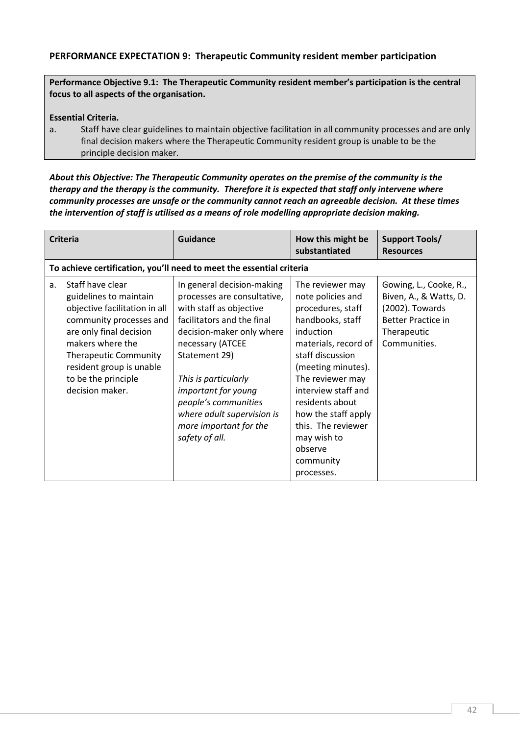# PERFORMANCE EXPECTATION 9: Therapeutic Community resident member participation

Performance Objective 9.1: The Therapeutic Community resident member's participation is the central focus to all aspects of the organisation.

Essential Criteria.

a. Staff have clear guidelines to maintain objective facilitation in all community processes and are only final decision makers where the Therapeutic Community resident group is unable to be the principle decision maker.

*About this Objective: The Therapeutic Community operates on the premise of the community is the therapy and the therapy is the community. Therefore it is expected that staff only intervene where community processes are unsafe or the community cannot reach an agreeable decision. At these times the intervention of staff is utilised as a means of role modelling appropriate decision making.*

| <b>Criteria</b>                                                                                                                                                                                                                                                               | Guidance                                                                                                                                                                                                                                                                                                                              | How this might be<br>substantiated                                                                                                                                                                                                                                                                                            | <b>Support Tools/</b><br><b>Resources</b>                                                                                       |
|-------------------------------------------------------------------------------------------------------------------------------------------------------------------------------------------------------------------------------------------------------------------------------|---------------------------------------------------------------------------------------------------------------------------------------------------------------------------------------------------------------------------------------------------------------------------------------------------------------------------------------|-------------------------------------------------------------------------------------------------------------------------------------------------------------------------------------------------------------------------------------------------------------------------------------------------------------------------------|---------------------------------------------------------------------------------------------------------------------------------|
|                                                                                                                                                                                                                                                                               | To achieve certification, you'll need to meet the essential criteria                                                                                                                                                                                                                                                                  |                                                                                                                                                                                                                                                                                                                               |                                                                                                                                 |
| Staff have clear<br>a <sub>r</sub><br>guidelines to maintain<br>objective facilitation in all<br>community processes and<br>are only final decision<br>makers where the<br><b>Therapeutic Community</b><br>resident group is unable<br>to be the principle<br>decision maker. | In general decision-making<br>processes are consultative,<br>with staff as objective<br>facilitators and the final<br>decision-maker only where<br>necessary (ATCEE<br>Statement 29)<br>This is particularly<br>important for young<br>people's communities<br>where adult supervision is<br>more important for the<br>safety of all. | The reviewer may<br>note policies and<br>procedures, staff<br>handbooks, staff<br>induction<br>materials, record of<br>staff discussion<br>(meeting minutes).<br>The reviewer may<br>interview staff and<br>residents about<br>how the staff apply<br>this. The reviewer<br>may wish to<br>observe<br>community<br>processes. | Gowing, L., Cooke, R.,<br>Biven, A., & Watts, D.<br>(2002). Towards<br><b>Better Practice in</b><br>Therapeutic<br>Communities. |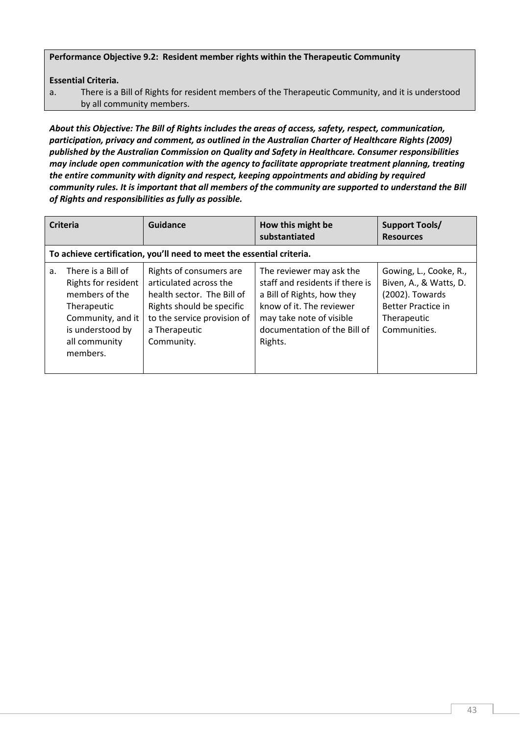#### Performance Objective 9.2: Resident member rights within the Therapeutic Community

Essential Criteria.

a. There is a Bill of Rights for resident members of the Therapeutic Community, and it is understood by all community members.

*About this Objective: The Bill of Rights includes the areas of access, safety, respect, communication, participation, privacy and comment, as outlined in the Australian Charter of Healthcare Rights (2009) published by the Australian Commission on Quality and Safety in Healthcare. Consumer responsibilities may include open communication with the agency to facilitate appropriate treatment planning, treating the entire community with dignity and respect, keeping appointments and abiding by required community rules. It is important that all members of the community are supported to understand the Bill of Rights and responsibilities as fully as possible.*

| <b>Criteria</b> |                                                                                                                                                  | Guidance                                                                                                                                                                   | How this might be<br>substantiated                                                                                                                                                           | Support Tools/<br><b>Resources</b>                                                                                       |
|-----------------|--------------------------------------------------------------------------------------------------------------------------------------------------|----------------------------------------------------------------------------------------------------------------------------------------------------------------------------|----------------------------------------------------------------------------------------------------------------------------------------------------------------------------------------------|--------------------------------------------------------------------------------------------------------------------------|
|                 |                                                                                                                                                  | To achieve certification, you'll need to meet the essential criteria.                                                                                                      |                                                                                                                                                                                              |                                                                                                                          |
| a.              | There is a Bill of<br>Rights for resident<br>members of the<br>Therapeutic<br>Community, and it<br>is understood by<br>all community<br>members. | Rights of consumers are<br>articulated across the<br>health sector. The Bill of<br>Rights should be specific<br>to the service provision of<br>a Therapeutic<br>Community. | The reviewer may ask the<br>staff and residents if there is<br>a Bill of Rights, how they<br>know of it. The reviewer<br>may take note of visible<br>documentation of the Bill of<br>Rights. | Gowing, L., Cooke, R.,<br>Biven, A., & Watts, D.<br>(2002). Towards<br>Better Practice in<br>Therapeutic<br>Communities. |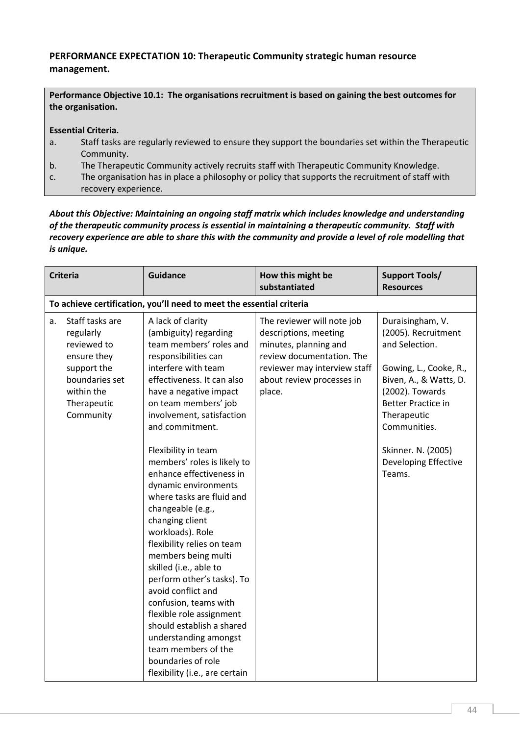# PERFORMANCE EXPECTATION 10: Therapeutic Community strategic human resource management.

Performance Objective 10.1: The organisations recruitment is based on gaining the best outcomes for the organisation.

Essential Criteria.

- a. Staff tasks are regularly reviewed to ensure they support the boundaries set within the Therapeutic Community.
- b. The Therapeutic Community actively recruits staff with Therapeutic Community Knowledge.
- c. The organisation has in place a philosophy or policy that supports the recruitment of staff with recovery experience.

*About this Objective: Maintaining an ongoing staff matrix which includes knowledge and understanding of the therapeutic community process is essential in maintaining a therapeutic community. Staff with recovery experience are able to share this with the community and provide a level of role modelling that is unique.* 

| <b>Criteria</b> |                                                                                                                                       | <b>Guidance</b>                                                                                                                                                                                                                                                                                                                                                                                                                                                                                                                                                                                                                                                                                                                                                                      | How this might be<br>substantiated                                                                                                                                               | <b>Support Tools/</b><br><b>Resources</b>                                                                                                                                                                                                            |  |
|-----------------|---------------------------------------------------------------------------------------------------------------------------------------|--------------------------------------------------------------------------------------------------------------------------------------------------------------------------------------------------------------------------------------------------------------------------------------------------------------------------------------------------------------------------------------------------------------------------------------------------------------------------------------------------------------------------------------------------------------------------------------------------------------------------------------------------------------------------------------------------------------------------------------------------------------------------------------|----------------------------------------------------------------------------------------------------------------------------------------------------------------------------------|------------------------------------------------------------------------------------------------------------------------------------------------------------------------------------------------------------------------------------------------------|--|
|                 | To achieve certification, you'll need to meet the essential criteria                                                                  |                                                                                                                                                                                                                                                                                                                                                                                                                                                                                                                                                                                                                                                                                                                                                                                      |                                                                                                                                                                                  |                                                                                                                                                                                                                                                      |  |
| a.              | Staff tasks are<br>regularly<br>reviewed to<br>ensure they<br>support the<br>boundaries set<br>within the<br>Therapeutic<br>Community | A lack of clarity<br>(ambiguity) regarding<br>team members' roles and<br>responsibilities can<br>interfere with team<br>effectiveness. It can also<br>have a negative impact<br>on team members' job<br>involvement, satisfaction<br>and commitment.<br>Flexibility in team<br>members' roles is likely to<br>enhance effectiveness in<br>dynamic environments<br>where tasks are fluid and<br>changeable (e.g.,<br>changing client<br>workloads). Role<br>flexibility relies on team<br>members being multi<br>skilled (i.e., able to<br>perform other's tasks). To<br>avoid conflict and<br>confusion, teams with<br>flexible role assignment<br>should establish a shared<br>understanding amongst<br>team members of the<br>boundaries of role<br>flexibility (i.e., are certain | The reviewer will note job<br>descriptions, meeting<br>minutes, planning and<br>review documentation. The<br>reviewer may interview staff<br>about review processes in<br>place. | Duraisingham, V.<br>(2005). Recruitment<br>and Selection.<br>Gowing, L., Cooke, R.,<br>Biven, A., & Watts, D.<br>(2002). Towards<br><b>Better Practice in</b><br>Therapeutic<br>Communities.<br>Skinner. N. (2005)<br>Developing Effective<br>Teams. |  |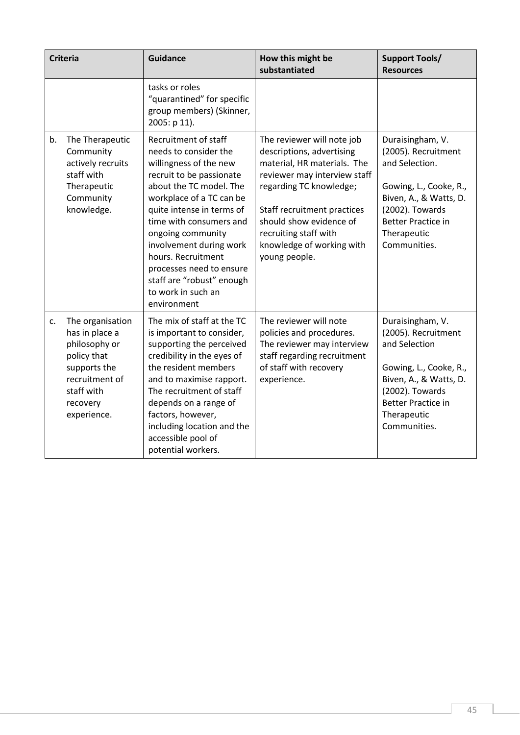|    | <b>Criteria</b>                                                                                                                               | <b>Guidance</b>                                                                                                                                                                                                                                                                                                                                                                        | How this might be<br>substantiated                                                                                                                                                                                                                                                 | <b>Support Tools/</b><br><b>Resources</b>                                                                                                                                                    |
|----|-----------------------------------------------------------------------------------------------------------------------------------------------|----------------------------------------------------------------------------------------------------------------------------------------------------------------------------------------------------------------------------------------------------------------------------------------------------------------------------------------------------------------------------------------|------------------------------------------------------------------------------------------------------------------------------------------------------------------------------------------------------------------------------------------------------------------------------------|----------------------------------------------------------------------------------------------------------------------------------------------------------------------------------------------|
|    |                                                                                                                                               | tasks or roles<br>"quarantined" for specific<br>group members) (Skinner,<br>2005: p 11).                                                                                                                                                                                                                                                                                               |                                                                                                                                                                                                                                                                                    |                                                                                                                                                                                              |
| b. | The Therapeutic<br>Community<br>actively recruits<br>staff with<br>Therapeutic<br>Community<br>knowledge.                                     | Recruitment of staff<br>needs to consider the<br>willingness of the new<br>recruit to be passionate<br>about the TC model. The<br>workplace of a TC can be<br>quite intense in terms of<br>time with consumers and<br>ongoing community<br>involvement during work<br>hours. Recruitment<br>processes need to ensure<br>staff are "robust" enough<br>to work in such an<br>environment | The reviewer will note job<br>descriptions, advertising<br>material, HR materials. The<br>reviewer may interview staff<br>regarding TC knowledge;<br>Staff recruitment practices<br>should show evidence of<br>recruiting staff with<br>knowledge of working with<br>young people. | Duraisingham, V.<br>(2005). Recruitment<br>and Selection.<br>Gowing, L., Cooke, R.,<br>Biven, A., & Watts, D.<br>(2002). Towards<br><b>Better Practice in</b><br>Therapeutic<br>Communities. |
| c. | The organisation<br>has in place a<br>philosophy or<br>policy that<br>supports the<br>recruitment of<br>staff with<br>recovery<br>experience. | The mix of staff at the TC<br>is important to consider,<br>supporting the perceived<br>credibility in the eyes of<br>the resident members<br>and to maximise rapport.<br>The recruitment of staff<br>depends on a range of<br>factors, however,<br>including location and the<br>accessible pool of<br>potential workers.                                                              | The reviewer will note<br>policies and procedures.<br>The reviewer may interview<br>staff regarding recruitment<br>of staff with recovery<br>experience.                                                                                                                           | Duraisingham, V.<br>(2005). Recruitment<br>and Selection<br>Gowing, L., Cooke, R.,<br>Biven, A., & Watts, D.<br>(2002). Towards<br><b>Better Practice in</b><br>Therapeutic<br>Communities.  |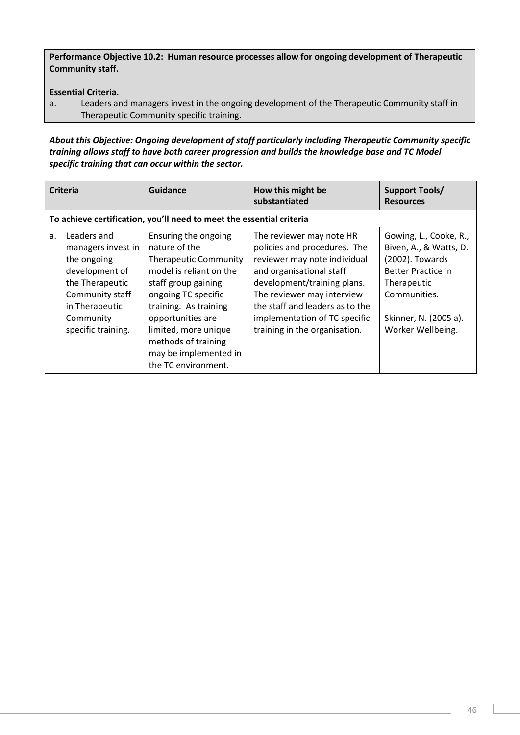Performance Objective 10.2: Human resource processes allow for ongoing development of Therapeutic Community staff.

## Essential Criteria.

a. Leaders and managers invest in the ongoing development of the Therapeutic Community staff in Therapeutic Community specific training.

*About this Objective: Ongoing development of staff particularly including Therapeutic Community specific training allows staff to have both career progression and builds the knowledge base and TC Model specific training that can occur within the sector.*

|    | <b>Criteria</b>                                                                                                                                               | Guidance                                                                                                                                                                                                                                                                                    | How this might be<br>substantiated                                                                                                                                                                                                                                                     | <b>Support Tools/</b><br><b>Resources</b>                                                                                                                                     |
|----|---------------------------------------------------------------------------------------------------------------------------------------------------------------|---------------------------------------------------------------------------------------------------------------------------------------------------------------------------------------------------------------------------------------------------------------------------------------------|----------------------------------------------------------------------------------------------------------------------------------------------------------------------------------------------------------------------------------------------------------------------------------------|-------------------------------------------------------------------------------------------------------------------------------------------------------------------------------|
|    |                                                                                                                                                               | To achieve certification, you'll need to meet the essential criteria                                                                                                                                                                                                                        |                                                                                                                                                                                                                                                                                        |                                                                                                                                                                               |
| a. | Leaders and<br>managers invest in<br>the ongoing<br>development of<br>the Therapeutic<br>Community staff<br>in Therapeutic<br>Community<br>specific training. | Ensuring the ongoing<br>nature of the<br><b>Therapeutic Community</b><br>model is reliant on the<br>staff group gaining<br>ongoing TC specific<br>training. As training<br>opportunities are<br>limited, more unique<br>methods of training<br>may be implemented in<br>the TC environment. | The reviewer may note HR<br>policies and procedures. The<br>reviewer may note individual<br>and organisational staff<br>development/training plans.<br>The reviewer may interview<br>the staff and leaders as to the<br>implementation of TC specific<br>training in the organisation. | Gowing, L., Cooke, R.,<br>Biven, A., & Watts, D.<br>(2002). Towards<br><b>Better Practice in</b><br>Therapeutic<br>Communities.<br>Skinner, N. (2005 a).<br>Worker Wellbeing. |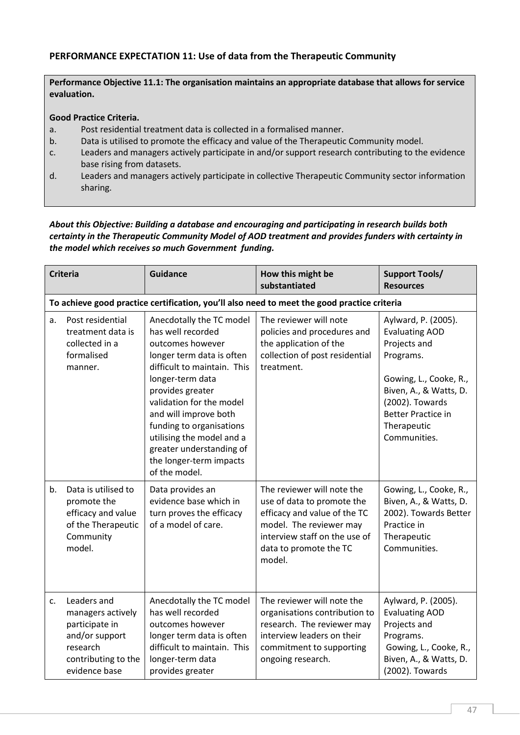# PERFORMANCE EXPECTATION 11: Use of data from the Therapeutic Community

Performance Objective 11.1: The organisation maintains an appropriate database that allows for service evaluation.

#### Good Practice Criteria.

- a. Post residential treatment data is collected in a formalised manner.
- b. Data is utilised to promote the efficacy and value of the Therapeutic Community model.
- c. Leaders and managers actively participate in and/or support research contributing to the evidence base rising from datasets.
- d. Leaders and managers actively participate in collective Therapeutic Community sector information sharing.

### *About this Objective: Building a database and encouraging and participating in research builds both certainty in the Therapeutic Community Model of AOD treatment and provides funders with certainty in the model which receives so much Government funding.*

|    | <b>Criteria</b>                                                                                                          | <b>Guidance</b>                                                                                                                                                                                                                                                                                                                                             | How this might be<br>substantiated                                                                                                                                                       | <b>Support Tools/</b><br><b>Resources</b>                                                                                                                                                                    |
|----|--------------------------------------------------------------------------------------------------------------------------|-------------------------------------------------------------------------------------------------------------------------------------------------------------------------------------------------------------------------------------------------------------------------------------------------------------------------------------------------------------|------------------------------------------------------------------------------------------------------------------------------------------------------------------------------------------|--------------------------------------------------------------------------------------------------------------------------------------------------------------------------------------------------------------|
|    |                                                                                                                          |                                                                                                                                                                                                                                                                                                                                                             | To achieve good practice certification, you'll also need to meet the good practice criteria                                                                                              |                                                                                                                                                                                                              |
| a. | Post residential<br>treatment data is<br>collected in a<br>formalised<br>manner.                                         | Anecdotally the TC model<br>has well recorded<br>outcomes however<br>longer term data is often<br>difficult to maintain. This<br>longer-term data<br>provides greater<br>validation for the model<br>and will improve both<br>funding to organisations<br>utilising the model and a<br>greater understanding of<br>the longer-term impacts<br>of the model. | The reviewer will note<br>policies and procedures and<br>the application of the<br>collection of post residential<br>treatment.                                                          | Aylward, P. (2005).<br><b>Evaluating AOD</b><br>Projects and<br>Programs.<br>Gowing, L., Cooke, R.,<br>Biven, A., & Watts, D.<br>(2002). Towards<br><b>Better Practice in</b><br>Therapeutic<br>Communities. |
| b. | Data is utilised to<br>promote the<br>efficacy and value<br>of the Therapeutic<br>Community<br>model.                    | Data provides an<br>evidence base which in<br>turn proves the efficacy<br>of a model of care.                                                                                                                                                                                                                                                               | The reviewer will note the<br>use of data to promote the<br>efficacy and value of the TC<br>model. The reviewer may<br>interview staff on the use of<br>data to promote the TC<br>model. | Gowing, L., Cooke, R.,<br>Biven, A., & Watts, D.<br>2002). Towards Better<br>Practice in<br>Therapeutic<br>Communities.                                                                                      |
| c. | Leaders and<br>managers actively<br>participate in<br>and/or support<br>research<br>contributing to the<br>evidence base | Anecdotally the TC model<br>has well recorded<br>outcomes however<br>longer term data is often<br>difficult to maintain. This<br>longer-term data<br>provides greater                                                                                                                                                                                       | The reviewer will note the<br>organisations contribution to<br>research. The reviewer may<br>interview leaders on their<br>commitment to supporting<br>ongoing research.                 | Aylward, P. (2005).<br><b>Evaluating AOD</b><br>Projects and<br>Programs.<br>Gowing, L., Cooke, R.,<br>Biven, A., & Watts, D.<br>(2002). Towards                                                             |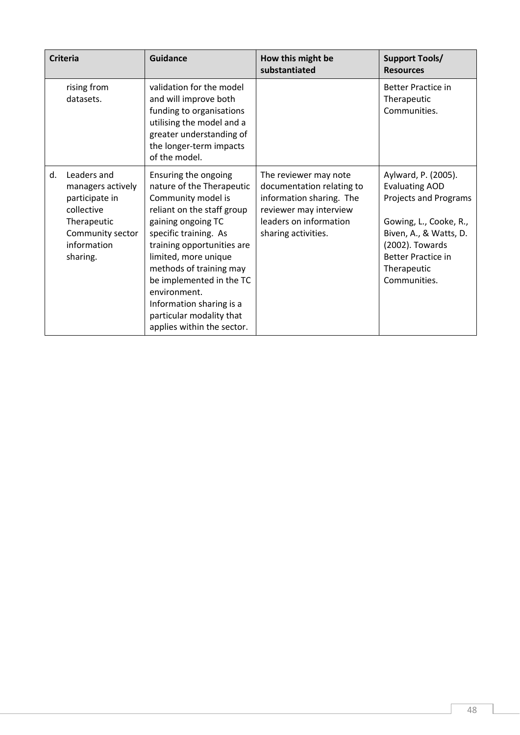|    | <b>Criteria</b>                                                                                                                | <b>Guidance</b>                                                                                                                                                                                                                                                                                                                                                         | How this might be<br>substantiated                                                                                                                        | <b>Support Tools/</b><br><b>Resources</b>                                                                                                                                                                |
|----|--------------------------------------------------------------------------------------------------------------------------------|-------------------------------------------------------------------------------------------------------------------------------------------------------------------------------------------------------------------------------------------------------------------------------------------------------------------------------------------------------------------------|-----------------------------------------------------------------------------------------------------------------------------------------------------------|----------------------------------------------------------------------------------------------------------------------------------------------------------------------------------------------------------|
|    | rising from<br>datasets.                                                                                                       | validation for the model<br>and will improve both<br>funding to organisations<br>utilising the model and a<br>greater understanding of<br>the longer-term impacts<br>of the model.                                                                                                                                                                                      |                                                                                                                                                           | <b>Better Practice in</b><br>Therapeutic<br>Communities.                                                                                                                                                 |
| d. | Leaders and<br>managers actively<br>participate in<br>collective<br>Therapeutic<br>Community sector<br>information<br>sharing. | Ensuring the ongoing<br>nature of the Therapeutic<br>Community model is<br>reliant on the staff group<br>gaining ongoing TC<br>specific training. As<br>training opportunities are<br>limited, more unique<br>methods of training may<br>be implemented in the TC<br>environment.<br>Information sharing is a<br>particular modality that<br>applies within the sector. | The reviewer may note<br>documentation relating to<br>information sharing. The<br>reviewer may interview<br>leaders on information<br>sharing activities. | Aylward, P. (2005).<br><b>Evaluating AOD</b><br>Projects and Programs<br>Gowing, L., Cooke, R.,<br>Biven, A., & Watts, D.<br>(2002). Towards<br><b>Better Practice in</b><br>Therapeutic<br>Communities. |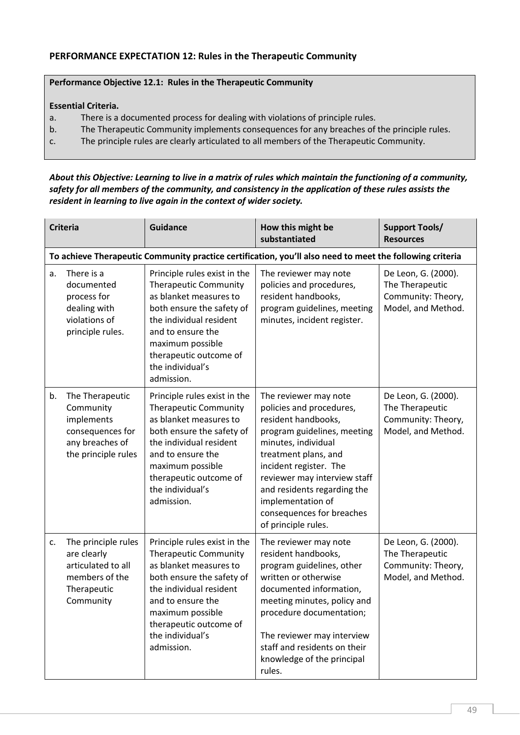# PERFORMANCE EXPECTATION 12: Rules in the Therapeutic Community

## Performance Objective 12.1: Rules in the Therapeutic Community

#### Essential Criteria.

- a. There is a documented process for dealing with violations of principle rules.
- b. The Therapeutic Community implements consequences for any breaches of the principle rules.
- c. The principle rules are clearly articulated to all members of the Therapeutic Community.

*About this Objective: Learning to live in a matrix of rules which maintain the functioning of a community, safety for all members of the community, and consistency in the application of these rules assists the resident in learning to live again in the context of wider society.*

|                                                                                                          | <b>Criteria</b>                                                                                          | <b>Guidance</b>                                                                                                                                                                                                                                     | How this might be<br>substantiated                                                                                                                                                                                                                                                                                       | <b>Support Tools/</b><br><b>Resources</b>                                          |
|----------------------------------------------------------------------------------------------------------|----------------------------------------------------------------------------------------------------------|-----------------------------------------------------------------------------------------------------------------------------------------------------------------------------------------------------------------------------------------------------|--------------------------------------------------------------------------------------------------------------------------------------------------------------------------------------------------------------------------------------------------------------------------------------------------------------------------|------------------------------------------------------------------------------------|
| To achieve Therapeutic Community practice certification, you'll also need to meet the following criteria |                                                                                                          |                                                                                                                                                                                                                                                     |                                                                                                                                                                                                                                                                                                                          |                                                                                    |
| a.                                                                                                       | There is a<br>documented<br>process for<br>dealing with<br>violations of<br>principle rules.             | Principle rules exist in the<br><b>Therapeutic Community</b><br>as blanket measures to<br>both ensure the safety of<br>the individual resident<br>and to ensure the<br>maximum possible<br>therapeutic outcome of<br>the individual's<br>admission. | The reviewer may note<br>policies and procedures,<br>resident handbooks,<br>program guidelines, meeting<br>minutes, incident register.                                                                                                                                                                                   | De Leon, G. (2000).<br>The Therapeutic<br>Community: Theory,<br>Model, and Method. |
| b.                                                                                                       | The Therapeutic<br>Community<br>implements<br>consequences for<br>any breaches of<br>the principle rules | Principle rules exist in the<br><b>Therapeutic Community</b><br>as blanket measures to<br>both ensure the safety of<br>the individual resident<br>and to ensure the<br>maximum possible<br>therapeutic outcome of<br>the individual's<br>admission. | The reviewer may note<br>policies and procedures,<br>resident handbooks,<br>program guidelines, meeting<br>minutes, individual<br>treatment plans, and<br>incident register. The<br>reviewer may interview staff<br>and residents regarding the<br>implementation of<br>consequences for breaches<br>of principle rules. | De Leon, G. (2000).<br>The Therapeutic<br>Community: Theory,<br>Model, and Method. |
| c.                                                                                                       | The principle rules<br>are clearly<br>articulated to all<br>members of the<br>Therapeutic<br>Community   | Principle rules exist in the<br><b>Therapeutic Community</b><br>as blanket measures to<br>both ensure the safety of<br>the individual resident<br>and to ensure the<br>maximum possible<br>therapeutic outcome of<br>the individual's<br>admission. | The reviewer may note<br>resident handbooks,<br>program guidelines, other<br>written or otherwise<br>documented information,<br>meeting minutes, policy and<br>procedure documentation;<br>The reviewer may interview<br>staff and residents on their<br>knowledge of the principal<br>rules.                            | De Leon, G. (2000).<br>The Therapeutic<br>Community: Theory,<br>Model, and Method. |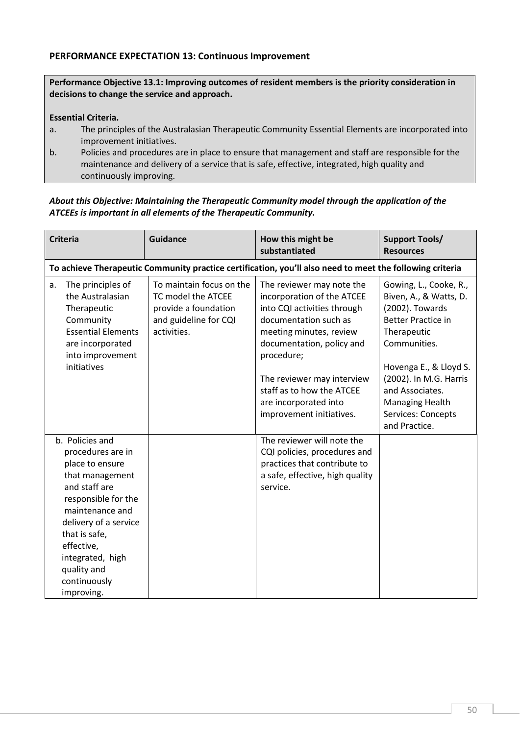## PERFORMANCE EXPECTATION 13: Continuous Improvement

Performance Objective 13.1: Improving outcomes of resident members is the priority consideration in decisions to change the service and approach.

#### Essential Criteria.

- a. The principles of the Australasian Therapeutic Community Essential Elements are incorporated into improvement initiatives.
- b. Policies and procedures are in place to ensure that management and staff are responsible for the maintenance and delivery of a service that is safe, effective, integrated, high quality and continuously improving.

## *About this Objective: Maintaining the Therapeutic Community model through the application of the ATCEEs is important in all elements of the Therapeutic Community.*

| <b>Criteria</b>                                                                                                                                                                                                                                                | <b>Guidance</b>                                                                                                | How this might be<br>substantiated                                                                                                                                                                                                                                                                    | <b>Support Tools/</b><br><b>Resources</b>                                                                                                                                                                                                                               |
|----------------------------------------------------------------------------------------------------------------------------------------------------------------------------------------------------------------------------------------------------------------|----------------------------------------------------------------------------------------------------------------|-------------------------------------------------------------------------------------------------------------------------------------------------------------------------------------------------------------------------------------------------------------------------------------------------------|-------------------------------------------------------------------------------------------------------------------------------------------------------------------------------------------------------------------------------------------------------------------------|
|                                                                                                                                                                                                                                                                |                                                                                                                | To achieve Therapeutic Community practice certification, you'll also need to meet the following criteria                                                                                                                                                                                              |                                                                                                                                                                                                                                                                         |
| The principles of<br>a.<br>the Australasian<br>Therapeutic<br>Community<br><b>Essential Elements</b><br>are incorporated<br>into improvement<br>initiatives                                                                                                    | To maintain focus on the<br>TC model the ATCEE<br>provide a foundation<br>and guideline for CQI<br>activities. | The reviewer may note the<br>incorporation of the ATCEE<br>into CQI activities through<br>documentation such as<br>meeting minutes, review<br>documentation, policy and<br>procedure;<br>The reviewer may interview<br>staff as to how the ATCEE<br>are incorporated into<br>improvement initiatives. | Gowing, L., Cooke, R.,<br>Biven, A., & Watts, D.<br>(2002). Towards<br><b>Better Practice in</b><br>Therapeutic<br>Communities.<br>Hovenga E., & Lloyd S.<br>(2002). In M.G. Harris<br>and Associates.<br><b>Managing Health</b><br>Services: Concepts<br>and Practice. |
| b. Policies and<br>procedures are in<br>place to ensure<br>that management<br>and staff are<br>responsible for the<br>maintenance and<br>delivery of a service<br>that is safe,<br>effective,<br>integrated, high<br>quality and<br>continuously<br>improving. |                                                                                                                | The reviewer will note the<br>CQI policies, procedures and<br>practices that contribute to<br>a safe, effective, high quality<br>service.                                                                                                                                                             |                                                                                                                                                                                                                                                                         |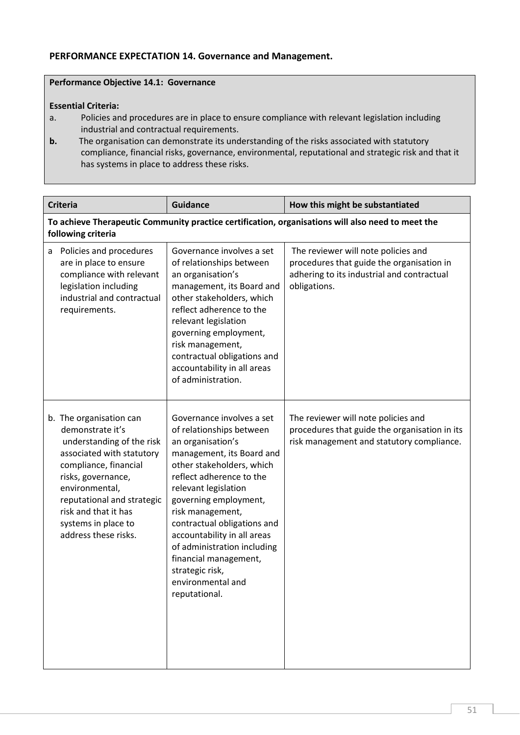# PERFORMANCE EXPECTATION 14. Governance and Management.

# Performance Objective 14.1: Governance

#### Essential Criteria:

- a. Policies and procedures are in place to ensure compliance with relevant legislation including industrial and contractual requirements.
- **b.** The organisation can demonstrate its understanding of the risks associated with statutory compliance, financial risks, governance, environmental, reputational and strategic risk and that it has systems in place to address these risks.

| <b>Criteria</b>                                                                                                                                                                                                                                                             | <b>Guidance</b>                                                                                                                                                                                                                                                                                                                                                                                                      | How this might be substantiated                                                                                                                |  |
|-----------------------------------------------------------------------------------------------------------------------------------------------------------------------------------------------------------------------------------------------------------------------------|----------------------------------------------------------------------------------------------------------------------------------------------------------------------------------------------------------------------------------------------------------------------------------------------------------------------------------------------------------------------------------------------------------------------|------------------------------------------------------------------------------------------------------------------------------------------------|--|
| To achieve Therapeutic Community practice certification, organisations will also need to meet the<br>following criteria                                                                                                                                                     |                                                                                                                                                                                                                                                                                                                                                                                                                      |                                                                                                                                                |  |
| Policies and procedures<br>a<br>are in place to ensure<br>compliance with relevant<br>legislation including<br>industrial and contractual<br>requirements.                                                                                                                  | Governance involves a set<br>of relationships between<br>an organisation's<br>management, its Board and<br>other stakeholders, which<br>reflect adherence to the<br>relevant legislation<br>governing employment,<br>risk management,<br>contractual obligations and<br>accountability in all areas<br>of administration.                                                                                            | The reviewer will note policies and<br>procedures that guide the organisation in<br>adhering to its industrial and contractual<br>obligations. |  |
| b. The organisation can<br>demonstrate it's<br>understanding of the risk<br>associated with statutory<br>compliance, financial<br>risks, governance,<br>environmental,<br>reputational and strategic<br>risk and that it has<br>systems in place to<br>address these risks. | Governance involves a set<br>of relationships between<br>an organisation's<br>management, its Board and<br>other stakeholders, which<br>reflect adherence to the<br>relevant legislation<br>governing employment,<br>risk management,<br>contractual obligations and<br>accountability in all areas<br>of administration including<br>financial management,<br>strategic risk,<br>environmental and<br>reputational. | The reviewer will note policies and<br>procedures that guide the organisation in its<br>risk management and statutory compliance.              |  |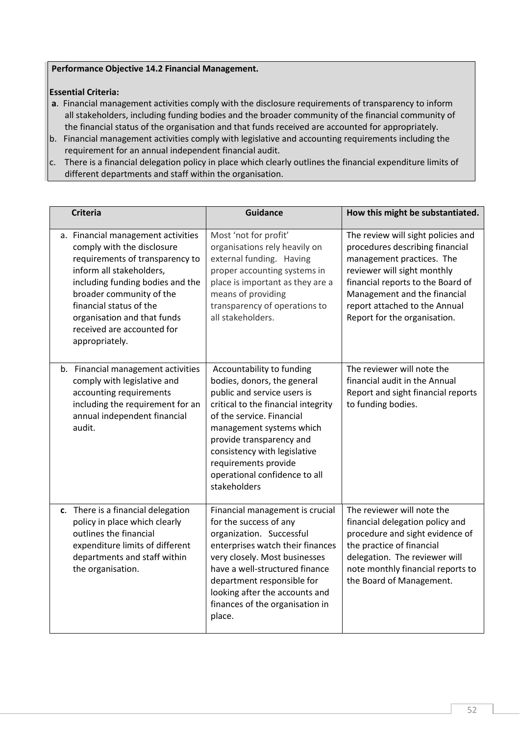## Performance Objective 14.2 Financial Management.

## Essential Criteria:

- a. Financial management activities comply with the disclosure requirements of transparency to inform all stakeholders, including funding bodies and the broader community of the financial community of the financial status of the organisation and that funds received are accounted for appropriately.
- b. Financial management activities comply with legislative and accounting requirements including the requirement for an annual independent financial audit.
- c. There is a financial delegation policy in place which clearly outlines the financial expenditure limits of different departments and staff within the organisation.

| <b>Criteria</b>                                                                                                                                                                                                                                                                                           | <b>Guidance</b>                                                                                                                                                                                                                                                                                                              | How this might be substantiated.                                                                                                                                                                                                                                        |
|-----------------------------------------------------------------------------------------------------------------------------------------------------------------------------------------------------------------------------------------------------------------------------------------------------------|------------------------------------------------------------------------------------------------------------------------------------------------------------------------------------------------------------------------------------------------------------------------------------------------------------------------------|-------------------------------------------------------------------------------------------------------------------------------------------------------------------------------------------------------------------------------------------------------------------------|
| a. Financial management activities<br>comply with the disclosure<br>requirements of transparency to<br>inform all stakeholders,<br>including funding bodies and the<br>broader community of the<br>financial status of the<br>organisation and that funds<br>received are accounted for<br>appropriately. | Most 'not for profit'<br>organisations rely heavily on<br>external funding. Having<br>proper accounting systems in<br>place is important as they are a<br>means of providing<br>transparency of operations to<br>all stakeholders.                                                                                           | The review will sight policies and<br>procedures describing financial<br>management practices. The<br>reviewer will sight monthly<br>financial reports to the Board of<br>Management and the financial<br>report attached to the Annual<br>Report for the organisation. |
| b. Financial management activities<br>comply with legislative and<br>accounting requirements<br>including the requirement for an<br>annual independent financial<br>audit.                                                                                                                                | Accountability to funding<br>bodies, donors, the general<br>public and service users is<br>critical to the financial integrity<br>of the service. Financial<br>management systems which<br>provide transparency and<br>consistency with legislative<br>requirements provide<br>operational confidence to all<br>stakeholders | The reviewer will note the<br>financial audit in the Annual<br>Report and sight financial reports<br>to funding bodies.                                                                                                                                                 |
| c. There is a financial delegation<br>policy in place which clearly<br>outlines the financial<br>expenditure limits of different<br>departments and staff within<br>the organisation.                                                                                                                     | Financial management is crucial<br>for the success of any<br>organization. Successful<br>enterprises watch their finances<br>very closely. Most businesses<br>have a well-structured finance<br>department responsible for<br>looking after the accounts and<br>finances of the organisation in<br>place.                    | The reviewer will note the<br>financial delegation policy and<br>procedure and sight evidence of<br>the practice of financial<br>delegation. The reviewer will<br>note monthly financial reports to<br>the Board of Management.                                         |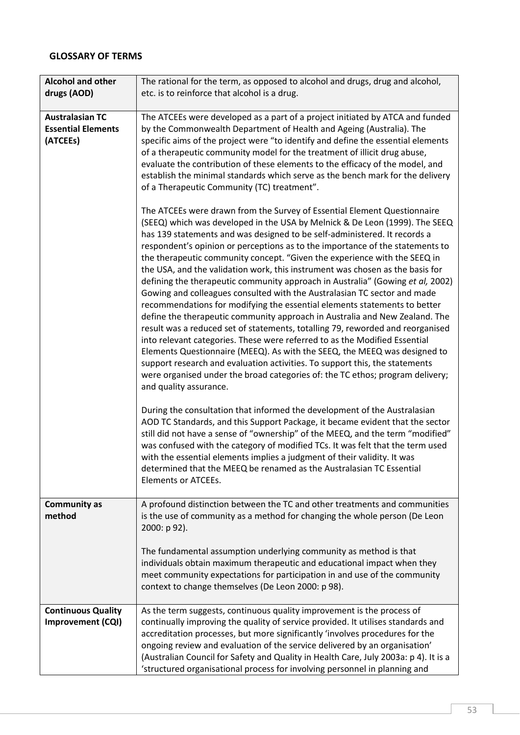# GLOSSARY OF TERMS

| <b>Alcohol and other</b><br>drugs (AOD)                         | The rational for the term, as opposed to alcohol and drugs, drug and alcohol,<br>etc. is to reinforce that alcohol is a drug.                                                                                                                                                                                                                                                                                                                                                                                                                                                                                                                                                                                                                                                                                                                                                                                                                                                                                                                                                                                                                                                                                                                        |
|-----------------------------------------------------------------|------------------------------------------------------------------------------------------------------------------------------------------------------------------------------------------------------------------------------------------------------------------------------------------------------------------------------------------------------------------------------------------------------------------------------------------------------------------------------------------------------------------------------------------------------------------------------------------------------------------------------------------------------------------------------------------------------------------------------------------------------------------------------------------------------------------------------------------------------------------------------------------------------------------------------------------------------------------------------------------------------------------------------------------------------------------------------------------------------------------------------------------------------------------------------------------------------------------------------------------------------|
| <b>Australasian TC</b><br><b>Essential Elements</b><br>(ATCEEs) | The ATCEEs were developed as a part of a project initiated by ATCA and funded<br>by the Commonwealth Department of Health and Ageing (Australia). The<br>specific aims of the project were "to identify and define the essential elements<br>of a therapeutic community model for the treatment of illicit drug abuse,<br>evaluate the contribution of these elements to the efficacy of the model, and<br>establish the minimal standards which serve as the bench mark for the delivery<br>of a Therapeutic Community (TC) treatment".                                                                                                                                                                                                                                                                                                                                                                                                                                                                                                                                                                                                                                                                                                             |
|                                                                 | The ATCEEs were drawn from the Survey of Essential Element Questionnaire<br>(SEEQ) which was developed in the USA by Melnick & De Leon (1999). The SEEQ<br>has 139 statements and was designed to be self-administered. It records a<br>respondent's opinion or perceptions as to the importance of the statements to<br>the therapeutic community concept. "Given the experience with the SEEQ in<br>the USA, and the validation work, this instrument was chosen as the basis for<br>defining the therapeutic community approach in Australia" (Gowing et al, 2002)<br>Gowing and colleagues consulted with the Australasian TC sector and made<br>recommendations for modifying the essential elements statements to better<br>define the therapeutic community approach in Australia and New Zealand. The<br>result was a reduced set of statements, totalling 79, reworded and reorganised<br>into relevant categories. These were referred to as the Modified Essential<br>Elements Questionnaire (MEEQ). As with the SEEQ, the MEEQ was designed to<br>support research and evaluation activities. To support this, the statements<br>were organised under the broad categories of: the TC ethos; program delivery;<br>and quality assurance. |
|                                                                 | During the consultation that informed the development of the Australasian<br>AOD TC Standards, and this Support Package, it became evident that the sector<br>still did not have a sense of "ownership" of the MEEQ, and the term "modified"<br>was confused with the category of modified TCs. It was felt that the term used<br>with the essential elements implies a judgment of their validity. It was<br>determined that the MEEQ be renamed as the Australasian TC Essential<br><b>Elements or ATCEEs.</b>                                                                                                                                                                                                                                                                                                                                                                                                                                                                                                                                                                                                                                                                                                                                     |
| <b>Community as</b><br>method                                   | A profound distinction between the TC and other treatments and communities<br>is the use of community as a method for changing the whole person (De Leon<br>2000: p 92).                                                                                                                                                                                                                                                                                                                                                                                                                                                                                                                                                                                                                                                                                                                                                                                                                                                                                                                                                                                                                                                                             |
|                                                                 | The fundamental assumption underlying community as method is that<br>individuals obtain maximum therapeutic and educational impact when they<br>meet community expectations for participation in and use of the community<br>context to change themselves (De Leon 2000: p 98).                                                                                                                                                                                                                                                                                                                                                                                                                                                                                                                                                                                                                                                                                                                                                                                                                                                                                                                                                                      |
| <b>Continuous Quality</b><br>Improvement (CQI)                  | As the term suggests, continuous quality improvement is the process of<br>continually improving the quality of service provided. It utilises standards and<br>accreditation processes, but more significantly 'involves procedures for the<br>ongoing review and evaluation of the service delivered by an organisation'<br>(Australian Council for Safety and Quality in Health Care, July 2003a: p 4). It is a<br>'structured organisational process for involving personnel in planning and                                                                                                                                                                                                                                                                                                                                                                                                                                                                                                                                                                                                                                                                                                                                                       |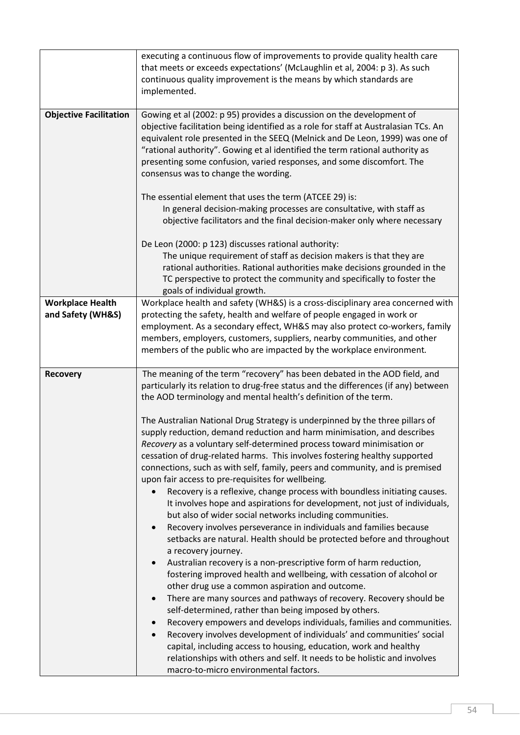|                                              | executing a continuous flow of improvements to provide quality health care<br>that meets or exceeds expectations' (McLaughlin et al, 2004: p 3). As such<br>continuous quality improvement is the means by which standards are<br>implemented.                                                                                                                                                                                                                                                                                                                                                                                                                                                                                                                                                                                                                                                                                                                                                                                                                                                                                                                                                                                                                                                                                                                                                                                                                                                                                                          |
|----------------------------------------------|---------------------------------------------------------------------------------------------------------------------------------------------------------------------------------------------------------------------------------------------------------------------------------------------------------------------------------------------------------------------------------------------------------------------------------------------------------------------------------------------------------------------------------------------------------------------------------------------------------------------------------------------------------------------------------------------------------------------------------------------------------------------------------------------------------------------------------------------------------------------------------------------------------------------------------------------------------------------------------------------------------------------------------------------------------------------------------------------------------------------------------------------------------------------------------------------------------------------------------------------------------------------------------------------------------------------------------------------------------------------------------------------------------------------------------------------------------------------------------------------------------------------------------------------------------|
| <b>Objective Facilitation</b>                | Gowing et al (2002: p 95) provides a discussion on the development of<br>objective facilitation being identified as a role for staff at Australasian TCs. An<br>equivalent role presented in the SEEQ (Melnick and De Leon, 1999) was one of<br>"rational authority". Gowing et al identified the term rational authority as<br>presenting some confusion, varied responses, and some discomfort. The<br>consensus was to change the wording.                                                                                                                                                                                                                                                                                                                                                                                                                                                                                                                                                                                                                                                                                                                                                                                                                                                                                                                                                                                                                                                                                                           |
|                                              | The essential element that uses the term (ATCEE 29) is:<br>In general decision-making processes are consultative, with staff as<br>objective facilitators and the final decision-maker only where necessary                                                                                                                                                                                                                                                                                                                                                                                                                                                                                                                                                                                                                                                                                                                                                                                                                                                                                                                                                                                                                                                                                                                                                                                                                                                                                                                                             |
|                                              | De Leon (2000: p 123) discusses rational authority:<br>The unique requirement of staff as decision makers is that they are<br>rational authorities. Rational authorities make decisions grounded in the<br>TC perspective to protect the community and specifically to foster the<br>goals of individual growth.                                                                                                                                                                                                                                                                                                                                                                                                                                                                                                                                                                                                                                                                                                                                                                                                                                                                                                                                                                                                                                                                                                                                                                                                                                        |
| <b>Workplace Health</b><br>and Safety (WH&S) | Workplace health and safety (WH&S) is a cross-disciplinary area concerned with<br>protecting the safety, health and welfare of people engaged in work or<br>employment. As a secondary effect, WH&S may also protect co-workers, family<br>members, employers, customers, suppliers, nearby communities, and other<br>members of the public who are impacted by the workplace environment.                                                                                                                                                                                                                                                                                                                                                                                                                                                                                                                                                                                                                                                                                                                                                                                                                                                                                                                                                                                                                                                                                                                                                              |
| <b>Recovery</b>                              | The meaning of the term "recovery" has been debated in the AOD field, and<br>particularly its relation to drug-free status and the differences (if any) between<br>the AOD terminology and mental health's definition of the term.                                                                                                                                                                                                                                                                                                                                                                                                                                                                                                                                                                                                                                                                                                                                                                                                                                                                                                                                                                                                                                                                                                                                                                                                                                                                                                                      |
|                                              | The Australian National Drug Strategy is underpinned by the three pillars of<br>supply reduction, demand reduction and harm minimisation, and describes<br>Recovery as a voluntary self-determined process toward minimisation or<br>cessation of drug-related harms. This involves fostering healthy supported<br>connections, such as with self, family, peers and community, and is premised<br>upon fair access to pre-requisites for wellbeing.<br>Recovery is a reflexive, change process with boundless initiating causes.<br>It involves hope and aspirations for development, not just of individuals,<br>but also of wider social networks including communities.<br>Recovery involves perseverance in individuals and families because<br>$\bullet$<br>setbacks are natural. Health should be protected before and throughout<br>a recovery journey.<br>Australian recovery is a non-prescriptive form of harm reduction,<br>$\bullet$<br>fostering improved health and wellbeing, with cessation of alcohol or<br>other drug use a common aspiration and outcome.<br>There are many sources and pathways of recovery. Recovery should be<br>$\bullet$<br>self-determined, rather than being imposed by others.<br>Recovery empowers and develops individuals, families and communities.<br>$\bullet$<br>Recovery involves development of individuals' and communities' social<br>$\bullet$<br>capital, including access to housing, education, work and healthy<br>relationships with others and self. It needs to be holistic and involves |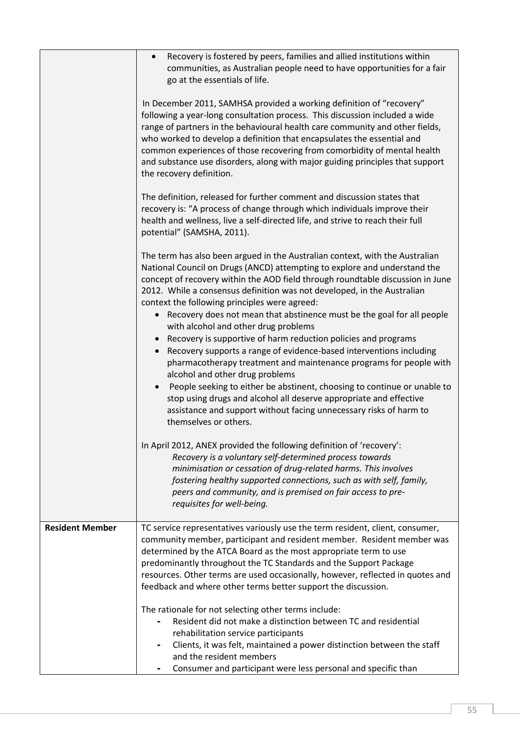|                        | Recovery is fostered by peers, families and allied institutions within<br>$\bullet$<br>communities, as Australian people need to have opportunities for a fair<br>go at the essentials of life.                                                                                                                                                                                                                                                                                                        |
|------------------------|--------------------------------------------------------------------------------------------------------------------------------------------------------------------------------------------------------------------------------------------------------------------------------------------------------------------------------------------------------------------------------------------------------------------------------------------------------------------------------------------------------|
|                        | In December 2011, SAMHSA provided a working definition of "recovery"<br>following a year-long consultation process. This discussion included a wide<br>range of partners in the behavioural health care community and other fields,<br>who worked to develop a definition that encapsulates the essential and<br>common experiences of those recovering from comorbidity of mental health<br>and substance use disorders, along with major guiding principles that support<br>the recovery definition. |
|                        | The definition, released for further comment and discussion states that<br>recovery is: "A process of change through which individuals improve their<br>health and wellness, live a self-directed life, and strive to reach their full<br>potential" (SAMSHA, 2011).                                                                                                                                                                                                                                   |
|                        | The term has also been argued in the Australian context, with the Australian<br>National Council on Drugs (ANCD) attempting to explore and understand the<br>concept of recovery within the AOD field through roundtable discussion in June<br>2012. While a consensus definition was not developed, in the Australian<br>context the following principles were agreed:                                                                                                                                |
|                        | • Recovery does not mean that abstinence must be the goal for all people                                                                                                                                                                                                                                                                                                                                                                                                                               |
|                        | with alcohol and other drug problems<br>Recovery is supportive of harm reduction policies and programs<br>Recovery supports a range of evidence-based interventions including<br>pharmacotherapy treatment and maintenance programs for people with<br>alcohol and other drug problems                                                                                                                                                                                                                 |
|                        | People seeking to either be abstinent, choosing to continue or unable to<br>$\bullet$<br>stop using drugs and alcohol all deserve appropriate and effective<br>assistance and support without facing unnecessary risks of harm to<br>themselves or others.                                                                                                                                                                                                                                             |
|                        | In April 2012, ANEX provided the following definition of 'recovery':<br>Recovery is a voluntary self-determined process towards<br>minimisation or cessation of drug-related harms. This involves<br>fostering healthy supported connections, such as with self, family,<br>peers and community, and is premised on fair access to pre-<br>requisites for well-being.                                                                                                                                  |
| <b>Resident Member</b> | TC service representatives variously use the term resident, client, consumer,                                                                                                                                                                                                                                                                                                                                                                                                                          |
|                        | community member, participant and resident member. Resident member was<br>determined by the ATCA Board as the most appropriate term to use<br>predominantly throughout the TC Standards and the Support Package<br>resources. Other terms are used occasionally, however, reflected in quotes and                                                                                                                                                                                                      |
|                        | feedback and where other terms better support the discussion.                                                                                                                                                                                                                                                                                                                                                                                                                                          |
|                        | The rationale for not selecting other terms include:<br>Resident did not make a distinction between TC and residential<br>rehabilitation service participants                                                                                                                                                                                                                                                                                                                                          |
|                        | Clients, it was felt, maintained a power distinction between the staff<br>-<br>and the resident members<br>Consumer and participant were less personal and specific than                                                                                                                                                                                                                                                                                                                               |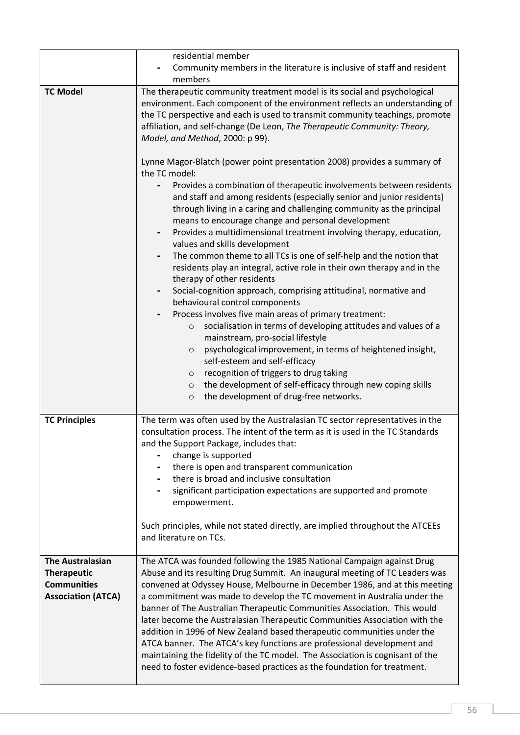|                                                                                                  | residential member<br>Community members in the literature is inclusive of staff and resident<br>members                                                                                                                                                                                                                                                                                                                                                                                                                                                                                                                                                                                                                                                                                    |
|--------------------------------------------------------------------------------------------------|--------------------------------------------------------------------------------------------------------------------------------------------------------------------------------------------------------------------------------------------------------------------------------------------------------------------------------------------------------------------------------------------------------------------------------------------------------------------------------------------------------------------------------------------------------------------------------------------------------------------------------------------------------------------------------------------------------------------------------------------------------------------------------------------|
| <b>TC Model</b>                                                                                  | The therapeutic community treatment model is its social and psychological<br>environment. Each component of the environment reflects an understanding of<br>the TC perspective and each is used to transmit community teachings, promote<br>affiliation, and self-change (De Leon, The Therapeutic Community: Theory,<br>Model, and Method, 2000: p 99).                                                                                                                                                                                                                                                                                                                                                                                                                                   |
|                                                                                                  | Lynne Magor-Blatch (power point presentation 2008) provides a summary of<br>the TC model:<br>Provides a combination of therapeutic involvements between residents<br>and staff and among residents (especially senior and junior residents)<br>through living in a caring and challenging community as the principal<br>means to encourage change and personal development<br>Provides a multidimensional treatment involving therapy, education,                                                                                                                                                                                                                                                                                                                                          |
|                                                                                                  | values and skills development<br>The common theme to all TCs is one of self-help and the notion that<br>$\qquad \qquad \blacksquare$<br>residents play an integral, active role in their own therapy and in the<br>therapy of other residents<br>Social-cognition approach, comprising attitudinal, normative and<br>۰<br>behavioural control components                                                                                                                                                                                                                                                                                                                                                                                                                                   |
|                                                                                                  | Process involves five main areas of primary treatment:<br>socialisation in terms of developing attitudes and values of a<br>$\circ$<br>mainstream, pro-social lifestyle<br>psychological improvement, in terms of heightened insight,<br>$\circ$<br>self-esteem and self-efficacy<br>recognition of triggers to drug taking<br>$\circ$<br>the development of self-efficacy through new coping skills<br>$\circ$                                                                                                                                                                                                                                                                                                                                                                            |
|                                                                                                  | the development of drug-free networks.<br>$\circ$                                                                                                                                                                                                                                                                                                                                                                                                                                                                                                                                                                                                                                                                                                                                          |
| <b>TC Principles</b>                                                                             | The term was often used by the Australasian TC sector representatives in the<br>consultation process. The intent of the term as it is used in the TC Standards<br>and the Support Package, includes that:<br>change is supported<br>there is open and transparent communication<br>there is broad and inclusive consultation                                                                                                                                                                                                                                                                                                                                                                                                                                                               |
|                                                                                                  | significant participation expectations are supported and promote<br>empowerment.                                                                                                                                                                                                                                                                                                                                                                                                                                                                                                                                                                                                                                                                                                           |
|                                                                                                  | Such principles, while not stated directly, are implied throughout the ATCEEs<br>and literature on TCs.                                                                                                                                                                                                                                                                                                                                                                                                                                                                                                                                                                                                                                                                                    |
| <b>The Australasian</b><br><b>Therapeutic</b><br><b>Communities</b><br><b>Association (ATCA)</b> | The ATCA was founded following the 1985 National Campaign against Drug<br>Abuse and its resulting Drug Summit. An inaugural meeting of TC Leaders was<br>convened at Odyssey House, Melbourne in December 1986, and at this meeting<br>a commitment was made to develop the TC movement in Australia under the<br>banner of The Australian Therapeutic Communities Association. This would<br>later become the Australasian Therapeutic Communities Association with the<br>addition in 1996 of New Zealand based therapeutic communities under the<br>ATCA banner. The ATCA's key functions are professional development and<br>maintaining the fidelity of the TC model. The Association is cognisant of the<br>need to foster evidence-based practices as the foundation for treatment. |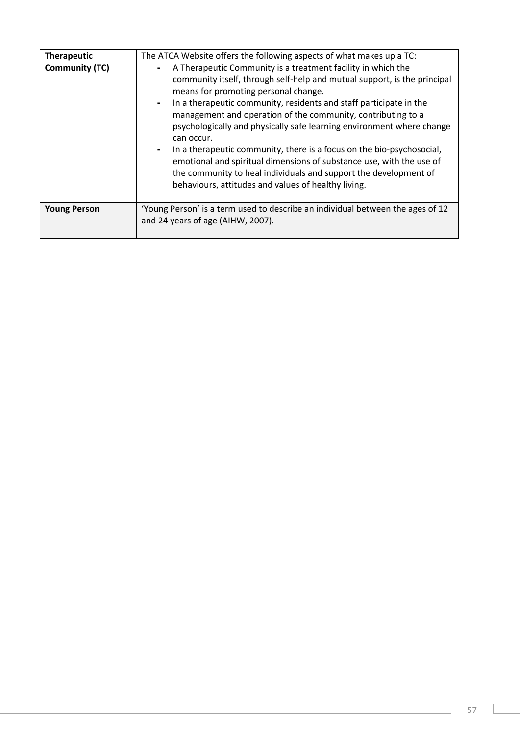| <b>Therapeutic</b><br><b>Community (TC)</b> | The ATCA Website offers the following aspects of what makes up a TC:<br>A Therapeutic Community is a treatment facility in which the<br>$\blacksquare$<br>community itself, through self-help and mutual support, is the principal<br>means for promoting personal change.<br>In a therapeutic community, residents and staff participate in the<br>$\sim$<br>management and operation of the community, contributing to a<br>psychologically and physically safe learning environment where change<br>can occur.<br>In a therapeutic community, there is a focus on the bio-psychosocial,<br>$\blacksquare$<br>emotional and spiritual dimensions of substance use, with the use of<br>the community to heal individuals and support the development of<br>behaviours, attitudes and values of healthy living. |
|---------------------------------------------|-----------------------------------------------------------------------------------------------------------------------------------------------------------------------------------------------------------------------------------------------------------------------------------------------------------------------------------------------------------------------------------------------------------------------------------------------------------------------------------------------------------------------------------------------------------------------------------------------------------------------------------------------------------------------------------------------------------------------------------------------------------------------------------------------------------------|
|                                             |                                                                                                                                                                                                                                                                                                                                                                                                                                                                                                                                                                                                                                                                                                                                                                                                                 |
| <b>Young Person</b>                         | 'Young Person' is a term used to describe an individual between the ages of 12<br>and 24 years of age (AIHW, 2007).                                                                                                                                                                                                                                                                                                                                                                                                                                                                                                                                                                                                                                                                                             |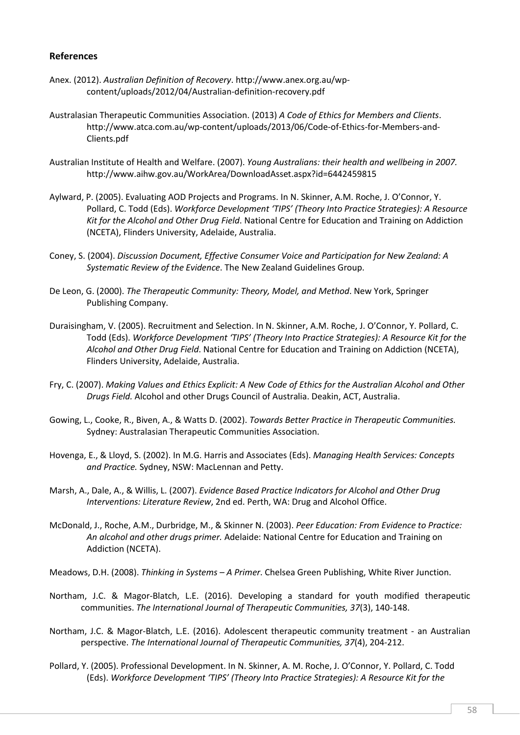#### References

- Anex. (2012). *Australian Definition of Recovery*. http://www.anex.org.au/wpcontent/uploads/2012/04/Australian-definition-recovery.pdf
- Australasian Therapeutic Communities Association. (2013) *A Code of Ethics for Members and Clients*. http://www.atca.com.au/wp-content/uploads/2013/06/Code-of-Ethics-for-Members-and-Clients.pdf
- Australian Institute of Health and Welfare. (2007). *Young Australians: their health and wellbeing in 2007.*  http://www.aihw.gov.au/WorkArea/DownloadAsset.aspx?id=6442459815
- Aylward, P. (2005). Evaluating AOD Projects and Programs. In N. Skinner, A.M. Roche, J. O'Connor, Y. Pollard, C. Todd (Eds). *Workforce Development 'TIPS' (Theory Into Practice Strategies): A Resource Kit for the Alcohol and Other Drug Field*. National Centre for Education and Training on Addiction (NCETA), Flinders University, Adelaide, Australia.
- Coney, S. (2004). *Discussion Document, Effective Consumer Voice and Participation for New Zealand: A Systematic Review of the Evidence*. The New Zealand Guidelines Group.
- De Leon, G. (2000). *The Therapeutic Community: Theory, Model, and Method*. New York, Springer Publishing Company.
- Duraisingham, V. (2005). Recruitment and Selection. In N. Skinner, A.M. Roche, J. O'Connor, Y. Pollard, C. Todd (Eds). *Workforce Development 'TIPS' (Theory Into Practice Strategies): A Resource Kit for the Alcohol and Other Drug Field*. National Centre for Education and Training on Addiction (NCETA), Flinders University, Adelaide, Australia.
- Fry, C. (2007). *Making Values and Ethics Explicit: A New Code of Ethics for the Australian Alcohol and Other Drugs Field.* Alcohol and other Drugs Council of Australia. Deakin, ACT, Australia.
- Gowing, L., Cooke, R., Biven, A., & Watts D. (2002). *Towards Better Practice in Therapeutic Communities.*  Sydney: Australasian Therapeutic Communities Association.
- Hovenga, E., & Lloyd, S. (2002). In M.G. Harris and Associates (Eds). *Managing Health Services: Concepts and Practice.* Sydney, NSW: MacLennan and Petty.
- Marsh, A., Dale, A., & Willis, L. (2007). *Evidence Based Practice Indicators for Alcohol and Other Drug Interventions: Literature Review*, 2nd ed. Perth, WA: Drug and Alcohol Office.
- McDonald, J., Roche, A.M., Durbridge, M., & Skinner N. (2003). *Peer Education: From Evidence to Practice: An alcohol and other drugs primer.* Adelaide: National Centre for Education and Training on Addiction (NCETA).
- Meadows, D.H. (2008). *Thinking in Systems – A Primer*. Chelsea Green Publishing, White River Junction.
- Northam, J.C. & Magor-Blatch, L.E. (2016). Developing a standard for youth modified therapeutic communities. *The International Journal of Therapeutic Communities, 37*(3), 140-148.
- Northam, J.C. & Magor-Blatch, L.E. (2016). Adolescent therapeutic community treatment an Australian perspective. *The International Journal of Therapeutic Communities, 37*(4), 204-212.
- Pollard, Y. (2005). Professional Development. In N. Skinner, A. M. Roche, J. O'Connor, Y. Pollard, C. Todd (Eds). *Workforce Development 'TIPS' (Theory Into Practice Strategies): A Resource Kit for the*